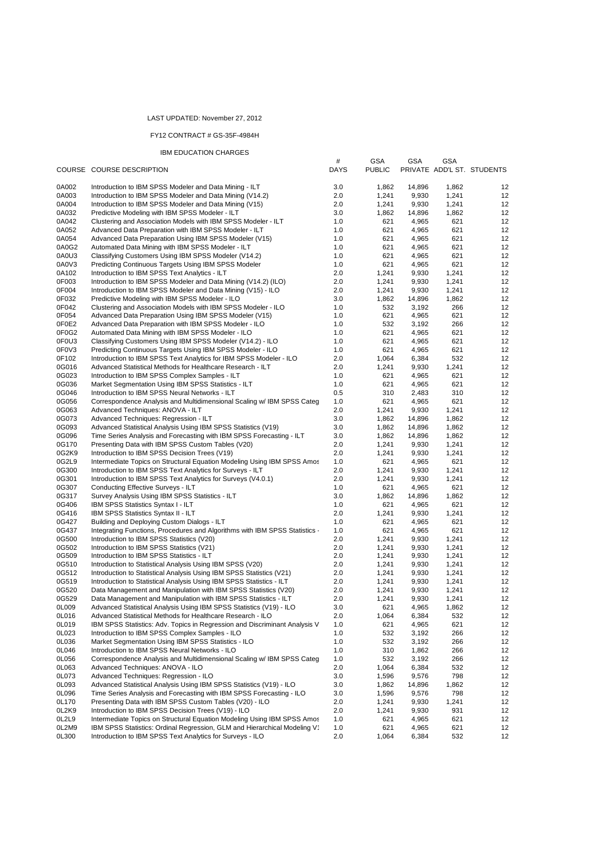## LAST UPDATED: November 27, 2012

## FY12 CONTRACT # GS-35F-4984H

## IBM EDUCATION CHARGES

|                |                                                                                                                                        | $\#$        | <b>GSA</b>     | <b>GSA</b>      | GSA            |                            |
|----------------|----------------------------------------------------------------------------------------------------------------------------------------|-------------|----------------|-----------------|----------------|----------------------------|
|                | COURSE COURSE DESCRIPTION                                                                                                              | <b>DAYS</b> | <b>PUBLIC</b>  |                 |                | PRIVATE ADD'L ST. STUDENTS |
| 0A002          | Introduction to IBM SPSS Modeler and Data Mining - ILT                                                                                 | 3.0         | 1,862          | 14,896          | 1,862          | 12                         |
| 0A003          | Introduction to IBM SPSS Modeler and Data Mining (V14.2)                                                                               | 2.0         | 1,241          | 9,930           | 1,241          | 12                         |
| 0A004          | Introduction to IBM SPSS Modeler and Data Mining (V15)                                                                                 | 2.0         | 1,241          | 9,930           | 1,241          | 12                         |
| 0A032          | Predictive Modeling with IBM SPSS Modeler - ILT                                                                                        | 3.0         | 1,862          | 14,896          | 1,862          | 12                         |
| 0A042          | Clustering and Association Models with IBM SPSS Modeler - ILT                                                                          | 1.0         | 621            | 4,965           | 621            | 12                         |
| 0A052          | Advanced Data Preparation with IBM SPSS Modeler - ILT                                                                                  | 1.0         | 621            | 4,965           | 621            | 12                         |
| 0A054          | Advanced Data Preparation Using IBM SPSS Modeler (V15)                                                                                 | 1.0         | 621            | 4,965           | 621            | 12                         |
| 0A0G2          | Automated Data Mining with IBM SPSS Modeler - ILT                                                                                      | 1.0         | 621            | 4,965           | 621            | 12                         |
| 0A0U3          | Classifying Customers Using IBM SPSS Modeler (V14.2)                                                                                   | 1.0         | 621            | 4,965           | 621            | 12                         |
| 0A0V3          | Predicting Continuous Targets Using IBM SPSS Modeler                                                                                   | 1.0         | 621            | 4,965           | 621            | 12                         |
| 0A102          | Introduction to IBM SPSS Text Analytics - ILT                                                                                          | 2.0         | 1,241          | 9,930           | 1,241          | 12                         |
| 0F003          | Introduction to IBM SPSS Modeler and Data Mining (V14.2) (ILO)                                                                         | 2.0         | 1,241          | 9,930           | 1,241          | 12                         |
| 0F004<br>0F032 | Introduction to IBM SPSS Modeler and Data Mining (V15) - ILO                                                                           | 2.0<br>3.0  | 1,241          | 9,930           | 1,241<br>1,862 | 12<br>12                   |
| 0F042          | Predictive Modeling with IBM SPSS Modeler - ILO<br>Clustering and Association Models with IBM SPSS Modeler - ILO                       | 1.0         | 1,862<br>532   | 14,896<br>3,192 | 266            | 12                         |
| 0F054          | Advanced Data Preparation Using IBM SPSS Modeler (V15)                                                                                 | 1.0         | 621            | 4,965           | 621            | 12                         |
| 0F0E2          | Advanced Data Preparation with IBM SPSS Modeler - ILO                                                                                  | 1.0         | 532            | 3,192           | 266            | 12                         |
| 0F0G2          | Automated Data Mining with IBM SPSS Modeler - ILO                                                                                      | 1.0         | 621            | 4,965           | 621            | 12                         |
| 0F0U3          | Classifying Customers Using IBM SPSS Modeler (V14.2) - ILO                                                                             | 1.0         | 621            | 4,965           | 621            | 12                         |
| 0F0V3          | Predicting Continuous Targets Using IBM SPSS Modeler - ILO                                                                             | 1.0         | 621            | 4,965           | 621            | 12                         |
| 0F102          | Introduction to IBM SPSS Text Analytics for IBM SPSS Modeler - ILO                                                                     | 2.0         | 1,064          | 6,384           | 532            | 12                         |
| 0G016          | Advanced Statistical Methods for Healthcare Research - ILT                                                                             | 2.0         | 1,241          | 9,930           | 1,241          | 12                         |
| 0G023          | Introduction to IBM SPSS Complex Samples - ILT                                                                                         | 1.0         | 621            | 4,965           | 621            | 12                         |
| 0G036          | Market Segmentation Using IBM SPSS Statistics - ILT                                                                                    | 1.0         | 621            | 4,965           | 621            | 12                         |
| 0G046          | Introduction to IBM SPSS Neural Networks - ILT                                                                                         | 0.5         | 310            | 2,483           | 310            | 12                         |
| 0G056          | Correspondence Analysis and Multidimensional Scaling w/ IBM SPSS Categ                                                                 | 1.0         | 621            | 4,965           | 621            | 12                         |
| 0G063          | Advanced Techniques: ANOVA - ILT                                                                                                       | 2.0         | 1,241          | 9,930           | 1,241          | 12                         |
| 0G073          | Advanced Techniques: Regression - ILT                                                                                                  | 3.0         | 1,862          | 14,896          | 1,862          | 12                         |
| 0G093          | Advanced Statistical Analysis Using IBM SPSS Statistics (V19)                                                                          | 3.0         | 1,862          | 14,896          | 1,862          | 12                         |
| 0G096          | Time Series Analysis and Forecasting with IBM SPSS Forecasting - ILT                                                                   | 3.0         | 1,862          | 14,896          | 1,862          | 12                         |
| 0G170          | Presenting Data with IBM SPSS Custom Tables (V20)                                                                                      | 2.0         | 1,241          | 9,930           | 1,241          | 12                         |
| 0G2K9<br>0G2L9 | Introduction to IBM SPSS Decision Trees (V19)<br>Intermediate Topics on Structural Equation Modeling Using IBM SPSS Amos               | 2.0<br>1.0  | 1,241<br>621   | 9,930<br>4,965  | 1,241<br>621   | 12<br>12                   |
| 0G300          | Introduction to IBM SPSS Text Analytics for Surveys - ILT                                                                              | 2.0         | 1,241          | 9,930           | 1,241          | 12                         |
| 0G301          | Introduction to IBM SPSS Text Analytics for Surveys (V4.0.1)                                                                           | 2.0         | 1,241          | 9,930           | 1,241          | 12                         |
| 0G307          | Conducting Effective Surveys - ILT                                                                                                     | 1.0         | 621            | 4,965           | 621            | 12                         |
| 0G317          | Survey Analysis Using IBM SPSS Statistics - ILT                                                                                        | 3.0         | 1,862          | 14,896          | 1,862          | 12                         |
| 0G406          | <b>IBM SPSS Statistics Syntax I - ILT</b>                                                                                              | 1.0         | 621            | 4,965           | 621            | 12                         |
| 0G416          | <b>IBM SPSS Statistics Syntax II - ILT</b>                                                                                             | 2.0         | 1,241          | 9,930           | 1,241          | 12                         |
| 0G427          | Building and Deploying Custom Dialogs - ILT                                                                                            | 1.0         | 621            | 4,965           | 621            | 12                         |
| 0G437          | Integrating Functions, Procedures and Algorithms with IBM SPSS Statistics -                                                            | 1.0         | 621            | 4,965           | 621            | 12                         |
| 0G500          | Introduction to IBM SPSS Statistics (V20)                                                                                              | 2.0         | 1,241          | 9,930           | 1,241          | 12                         |
| 0G502          | Introduction to IBM SPSS Statistics (V21)                                                                                              | 2.0         | 1,241          | 9,930           | 1,241          | 12                         |
| 0G509          | Introduction to IBM SPSS Statistics - ILT                                                                                              | 2.0         | 1,241          | 9,930           | 1,241          | 12                         |
| 0G510          | Introduction to Statistical Analysis Using IBM SPSS (V20)                                                                              | 2.0         | 1,241          | 9,930           | 1,241          | 12                         |
| 0G512          | Introduction to Statistical Analysis Using IBM SPSS Statistics (V21)                                                                   | 2.0         | 1,241          | 9,930           | 1,241          | 12                         |
| 0G519<br>0G520 | Introduction to Statistical Analysis Using IBM SPSS Statistics - ILT                                                                   | 2.0<br>2.0  | 1,241<br>1,241 | 9,930<br>9,930  | 1,241<br>1,241 | 12<br>12                   |
| 0G529          | Data Management and Manipulation with IBM SPSS Statistics (V20)<br>Data Management and Manipulation with IBM SPSS Statistics - ILT     | 2.0         | 1,241          | 9,930           | 1,241          | 12                         |
| 0L009          | Advanced Statistical Analysis Using IBM SPSS Statistics (V19) - ILO                                                                    | 3.0         | 621            | 4,965           | 1,862          | 12                         |
| 0L016          | Advanced Statistical Methods for Healthcare Research - ILO                                                                             | 2.0         | 1,064          | 6,384           | 532            | 12                         |
| 0L019          | IBM SPSS Statistics: Adv. Topics in Regression and Discriminant Analysis V                                                             | 1.0         | 621            | 4,965           | 621            | 12                         |
| 0L023          | Introduction to IBM SPSS Complex Samples - ILO                                                                                         | 1.0         | 532            | 3,192           | 266            | 12                         |
| 0L036          | Market Segmentation Using IBM SPSS Statistics - ILO                                                                                    | 1.0         | 532            | 3,192           | 266            | 12                         |
| 0L046          | Introduction to IBM SPSS Neural Networks - ILO                                                                                         | 1.0         | 310            | 1,862           | 266            | 12                         |
| 0L056          | Correspondence Analysis and Multidimensional Scaling w/ IBM SPSS Categ                                                                 | 1.0         | 532            | 3,192           | 266            | 12                         |
| 0L063          | Advanced Techniques: ANOVA - ILO                                                                                                       | 2.0         | 1,064          | 6,384           | 532            | 12                         |
| 0L073          | Advanced Techniques: Regression - ILO                                                                                                  | 3.0         | 1,596          | 9,576           | 798            | 12                         |
| 0L093          | Advanced Statistical Analysis Using IBM SPSS Statistics (V19) - ILO                                                                    | 3.0         | 1,862          | 14,896          | 1,862          | 12                         |
| 0L096          | Time Series Analysis and Forecasting with IBM SPSS Forecasting - ILO                                                                   | 3.0         | 1,596          | 9,576           | 798            | 12                         |
| 0L170          | Presenting Data with IBM SPSS Custom Tables (V20) - ILO                                                                                | 2.0         | 1,241          | 9,930           | 1,241          | 12                         |
| 0L2K9          | Introduction to IBM SPSS Decision Trees (V19) - ILO                                                                                    | 2.0         | 1,241          | 9,930           | 931            | 12                         |
| OL2L9<br>0L2M9 | Intermediate Topics on Structural Equation Modeling Using IBM SPSS Amos                                                                | 1.0         | 621            | 4,965           | 621            | 12                         |
| 0L300          | IBM SPSS Statistics: Ordinal Regression, GLM and Hierarchical Modeling V'<br>Introduction to IBM SPSS Text Analytics for Surveys - ILO | 1.0<br>2.0  | 621            | 4,965           | 621            | 12<br>12                   |
|                |                                                                                                                                        |             | 1,064          | 6,384           | 532            |                            |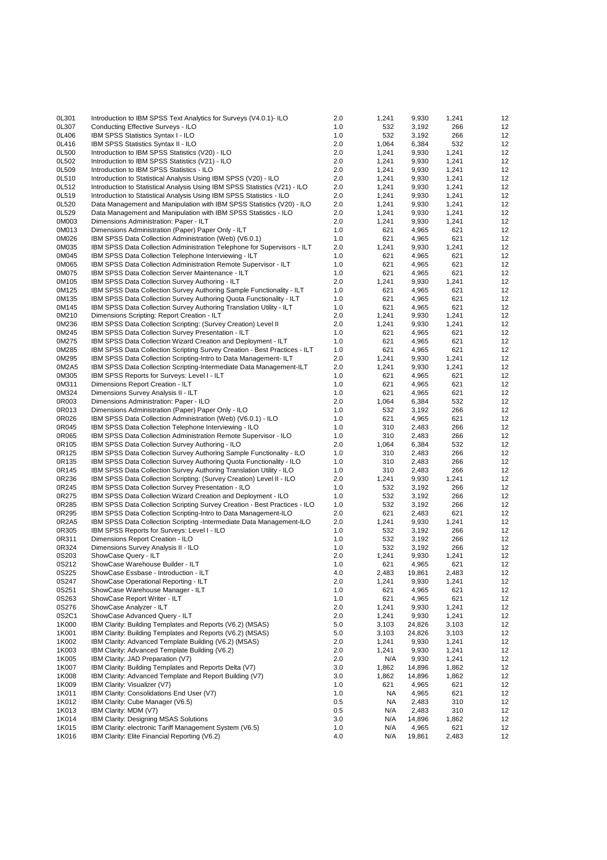| 0L301          | Introduction to IBM SPSS Text Analytics for Surveys (V4.0.1)- ILO               | 2.0        | 1,241      | 9,930  | 1,241      | 12 |
|----------------|---------------------------------------------------------------------------------|------------|------------|--------|------------|----|
| 0L307          | Conducting Effective Surveys - ILO                                              | 1.0        | 532        | 3,192  | 266        | 12 |
| 0L406          | <b>IBM SPSS Statistics Syntax I - ILO</b>                                       | 1.0        | 532        | 3,192  | 266        | 12 |
| 0L416          | <b>IBM SPSS Statistics Syntax II - ILO</b>                                      | 2.0        | 1,064      | 6,384  | 532        | 12 |
| 0L500          | Introduction to IBM SPSS Statistics (V20) - ILO                                 | 2.0        | 1,241      | 9,930  | 1,241      | 12 |
| 0L502          | Introduction to IBM SPSS Statistics (V21) - ILO                                 | 2.0        | 1,241      | 9,930  | 1,241      | 12 |
| 0L509          | Introduction to IBM SPSS Statistics - ILO                                       | 2.0        | 1,241      | 9,930  | 1,241      | 12 |
| 0L510          | Introduction to Statistical Analysis Using IBM SPSS (V20) - ILO                 | 2.0        | 1,241      | 9,930  | 1,241      | 12 |
| 0L512          | Introduction to Statistical Analysis Using IBM SPSS Statistics (V21) - ILO      | 2.0        | 1,241      | 9,930  | 1,241      | 12 |
| 0L519          | Introduction to Statistical Analysis Using IBM SPSS Statistics - ILO            | 2.0        | 1,241      | 9,930  | 1,241      | 12 |
| 0L520          | Data Management and Manipulation with IBM SPSS Statistics (V20) - ILO           | 2.0        | 1,241      | 9,930  | 1,241      | 12 |
| 0L529          | Data Management and Manipulation with IBM SPSS Statistics - ILO                 | 2.0        | 1,241      | 9,930  | 1,241      | 12 |
| 0M003          | Dimensions Administration: Paper - ILT                                          | 2.0        | 1,241      | 9,930  | 1,241      | 12 |
| 0M013          | Dimensions Administration (Paper) Paper Only - ILT                              | 1.0        | 621        | 4,965  | 621        | 12 |
| 0M026          | IBM SPSS Data Collection Administration (Web) (V6.0.1)                          | 1.0        | 621        | 4,965  | 621        | 12 |
| 0M035          | <b>IBM SPSS Data Collection Administration Telephone for Supervisors - ILT</b>  | 2.0        | 1,241      | 9,930  | 1,241      | 12 |
| 0M045          | IBM SPSS Data Collection Telephone Interviewing - ILT                           | 1.0        | 621        | 4,965  | 621        | 12 |
| 0M065          | IBM SPSS Data Collection Administration Remote Supervisor - ILT                 | 1.0        | 621        | 4,965  | 621        | 12 |
| 0M075          | IBM SPSS Data Collection Server Maintenance - ILT                               | 1.0        | 621        | 4,965  | 621        | 12 |
| 0M105          | IBM SPSS Data Collection Survey Authoring - ILT                                 | 2.0        | 1,241      | 9,930  | 1,241      | 12 |
| 0M125          | IBM SPSS Data Collection Survey Authoring Sample Functionality - ILT            | 1.0        | 621        | 4,965  | 621        | 12 |
| 0M135          | IBM SPSS Data Collection Survey Authoring Quota Functionality - ILT             | 1.0        | 621        | 4,965  | 621        | 12 |
| 0M145          | IBM SPSS Data Collection Survey Authoring Translation Utility - ILT             | 1.0        | 621        | 4,965  | 621        | 12 |
| 0M210          | Dimensions Scripting: Report Creation - ILT                                     | 2.0        | 1,241      | 9,930  | 1,241      | 12 |
| 0M236          | IBM SPSS Data Collection Scripting: (Survey Creation) Level II                  | 2.0        | 1,241      | 9,930  | 1,241      | 12 |
| 0M245          | IBM SPSS Data Collection Survey Presentation - ILT                              | 1.0        | 621        | 4,965  | 621        | 12 |
| 0M275          | IBM SPSS Data Collection Wizard Creation and Deployment - ILT                   | 1.0        | 621        | 4,965  | 621        | 12 |
| 0M285          | IBM SPSS Data Collection Scripting Survey Creation - Best Practices - ILT       | 1.0        | 621        | 4,965  | 621        | 12 |
| 0M295          | IBM SPSS Data Collection Scripting-Intro to Data Management-ILT                 | 2.0        | 1,241      | 9,930  | 1,241      | 12 |
| 0M2A5          | IBM SPSS Data Collection Scripting-Intermediate Data Management-ILT             | 2.0        | 1,241      | 9,930  | 1,241      | 12 |
|                |                                                                                 |            |            |        |            | 12 |
| 0M305<br>0M311 | IBM SPSS Reports for Surveys: Level I - ILT<br>Dimensions Report Creation - ILT | 1.0<br>1.0 | 621<br>621 | 4,965  | 621<br>621 | 12 |
|                |                                                                                 |            |            | 4,965  |            |    |
| 0M324          | Dimensions Survey Analysis II - ILT                                             | 1.0        | 621        | 4,965  | 621        | 12 |
| 0R003          | Dimensions Administration: Paper - ILO                                          | 2.0        | 1,064      | 6,384  | 532        | 12 |
| 0R013          | Dimensions Administration (Paper) Paper Only - ILO                              | 1.0        | 532        | 3,192  | 266        | 12 |
| 0R026          | IBM SPSS Data Collection Administration (Web) (V6.0.1) - ILO                    | 1.0        | 621        | 4,965  | 621        | 12 |
| 0R045          | IBM SPSS Data Collection Telephone Interviewing - ILO                           | 1.0        | 310        | 2,483  | 266        | 12 |
| 0R065          | IBM SPSS Data Collection Administration Remote Supervisor - ILO                 | 1.0        | 310        | 2,483  | 266        | 12 |
| 0R105          | IBM SPSS Data Collection Survey Authoring - ILO                                 | 2.0        | 1,064      | 6,384  | 532        | 12 |
| 0R125          | IBM SPSS Data Collection Survey Authoring Sample Functionality - ILO            | 1.0        | 310        | 2,483  | 266        | 12 |
| 0R135          | IBM SPSS Data Collection Survey Authoring Quota Functionality - ILO             | 1.0        | 310        | 2,483  | 266        | 12 |
| 0R145          | IBM SPSS Data Collection Survey Authoring Translation Utility - ILO             | 1.0        | 310        | 2,483  | 266        | 12 |
| 0R236          | IBM SPSS Data Collection Scripting: (Survey Creation) Level II - ILO            | 2.0        | 1,241      | 9,930  | 1,241      | 12 |
| 0R245          | IBM SPSS Data Collection Survey Presentation - ILO                              | 1.0        | 532        | 3,192  | 266        | 12 |
| 0R275          | IBM SPSS Data Collection Wizard Creation and Deployment - ILO                   | 1.0        | 532        | 3,192  | 266        | 12 |
| 0R285          | IBM SPSS Data Collection Scripting Survey Creation - Best Practices - ILO       | 1.0        | 532        | 3,192  | 266        | 12 |
| 0R295          | IBM SPSS Data Collection Scripting-Intro to Data Management-ILO                 | 2.0        | 621        | 2,483  | 621        | 12 |
| 0R2A5          | IBM SPSS Data Collection Scripting - Intermediate Data Management-ILO           | 2.0        | 1,241      | 9,930  | 1,241      | 12 |
| 0R305          | IBM SPSS Reports for Surveys: Level I - ILO                                     | 1.0        | 532        | 3,192  | 266        | 12 |
| 0R311          | Dimensions Report Creation - ILO                                                | 1.0        | 532        | 3,192  | 266        | 12 |
| 0R324          | Dimensions Survey Analysis II - ILO                                             | 1.0        | 532        | 3,192  | 266        | 12 |
| 0S203          | ShowCase Query - ILT                                                            | 2.0        | 1,241      | 9,930  | 1,241      | 12 |
| 0S212          | ShowCase Warehouse Builder - ILT                                                | 1.0        | 621        | 4,965  | 621        | 12 |
| 0S225          | ShowCase Essbase - Introduction - ILT                                           | 4.0        | 2,483      | 19,861 | 2,483      | 12 |
| 0S247          | ShowCase Operational Reporting - ILT                                            | 2.0        | 1,241      | 9,930  | 1,241      | 12 |
| 0S251          | ShowCase Warehouse Manager - ILT                                                | 1.0        | 621        | 4,965  | 621        | 12 |
| 0S263          | ShowCase Report Writer - ILT                                                    | 1.0        | 621        | 4,965  | 621        | 12 |
| 0S276          | ShowCase Analyzer - ILT                                                         | 2.0        | 1,241      | 9,930  | 1,241      | 12 |
| 0S2C1          | ShowCase Advanced Query - ILT                                                   | 2.0        | 1,241      | 9,930  | 1,241      | 12 |
| 1K000          | IBM Clarity: Building Templates and Reports (V6.2) (MSAS)                       | 5.0        | 3,103      | 24,826 | 3,103      | 12 |
| 1K001          | IBM Clarity: Building Templates and Reports (V6.2) (MSAS)                       | 5.0        | 3,103      | 24,826 | 3,103      | 12 |
| 1K002          | IBM Clarity: Advanced Template Building (V6.2) (MSAS)                           | 2.0        | 1,241      | 9,930  | 1,241      | 12 |
| 1K003          | IBM Clarity: Advanced Template Building (V6.2)                                  | 2.0        | 1,241      | 9,930  | 1,241      | 12 |
| 1K005          | IBM Clarity: JAD Preparation (V7)                                               | 2.0        | N/A        | 9,930  | 1,241      | 12 |
| 1K007          | IBM Clarity: Building Templates and Reports Delta (V7)                          | 3.0        | 1,862      | 14,896 | 1,862      | 12 |
| 1K008          | IBM Clarity: Advanced Template and Report Building (V7)                         | 3.0        | 1,862      | 14,896 | 1,862      | 12 |
| 1K009          | IBM Clarity: Visualizer (V7)                                                    | 1.0        | 621        | 4,965  | 621        | 12 |
| 1K011          | IBM Clarity: Consolidations End User (V7)                                       | 1.0        | NA.        | 4,965  | 621        | 12 |
| 1K012          | IBM Clarity: Cube Manager (V6.5)                                                | 0.5        | NA         | 2,483  | 310        | 12 |
| 1K013          | IBM Clarity: MDM (V7)                                                           | 0.5        | N/A        | 2,483  | 310        | 12 |
| 1K014          | <b>IBM Clarity: Designing MSAS Solutions</b>                                    | 3.0        | N/A        | 14,896 | 1,862      | 12 |
| 1K015          | IBM Clarity: electronic Tariff Management System (V6.5)                         | 1.0        | N/A        | 4,965  | 621        | 12 |
| 1K016          | IBM Clarity: Elite Financial Reporting (V6.2)                                   | 4.0        | N/A        | 19,861 | 2,483      | 12 |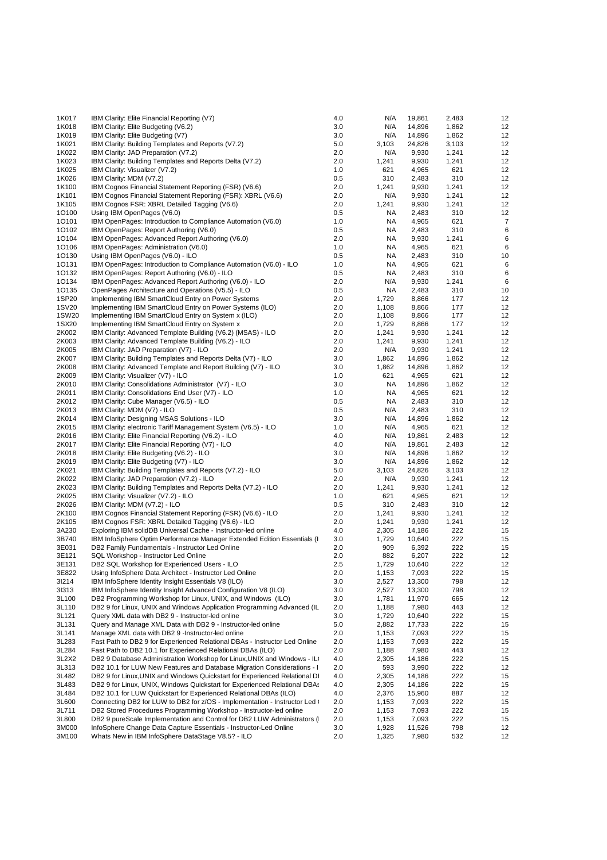| 1K017 | IBM Clarity: Elite Financial Reporting (V7)                                | 4.0 | N/A       | 19,861 | 2,483 | 12 |
|-------|----------------------------------------------------------------------------|-----|-----------|--------|-------|----|
| 1K018 | IBM Clarity: Elite Budgeting (V6.2)                                        | 3.0 | N/A       | 14,896 | 1,862 | 12 |
| 1K019 | IBM Clarity: Elite Budgeting (V7)                                          | 3.0 | N/A       | 14,896 | 1,862 | 12 |
| 1K021 | IBM Clarity: Building Templates and Reports (V7.2)                         | 5.0 | 3,103     | 24,826 | 3,103 | 12 |
|       |                                                                            |     |           |        |       |    |
| 1K022 | IBM Clarity: JAD Preparation (V7.2)                                        | 2.0 | N/A       | 9,930  | 1,241 | 12 |
| 1K023 | IBM Clarity: Building Templates and Reports Delta (V7.2)                   | 2.0 | 1,241     | 9,930  | 1,241 | 12 |
| 1K025 | IBM Clarity: Visualizer (V7.2)                                             | 1.0 | 621       | 4,965  | 621   | 12 |
| 1K026 | IBM Clarity: MDM (V7.2)                                                    | 0.5 | 310       | 2,483  | 310   | 12 |
| 1K100 | IBM Cognos Financial Statement Reporting (FSR) (V6.6)                      | 2.0 | 1,241     | 9,930  | 1,241 | 12 |
| 1K101 | IBM Cognos Financial Statement Reporting (FSR): XBRL (V6.6)                | 2.0 | N/A       | 9,930  | 1,241 | 12 |
| 1K105 | IBM Cognos FSR: XBRL Detailed Tagging (V6.6)                               | 2.0 | 1,241     | 9,930  | 1,241 | 12 |
| 10100 | Using IBM OpenPages (V6.0)                                                 | 0.5 | NA.       | 2,483  | 310   | 12 |
| 10101 |                                                                            | 1.0 | NA.       |        | 621   | 7  |
|       | IBM OpenPages: Introduction to Compliance Automation (V6.0)                |     |           | 4,965  |       |    |
| 10102 | IBM OpenPages: Report Authoring (V6.0)                                     | 0.5 | NA        | 2,483  | 310   | 6  |
| 10104 | IBM OpenPages: Advanced Report Authoring (V6.0)                            | 2.0 | NA.       | 9,930  | 1,241 | 6  |
| 10106 | IBM OpenPages: Administration (V6.0)                                       | 1.0 | NA.       | 4,965  | 621   | 6  |
| 10130 | Using IBM OpenPages (V6.0) - ILO                                           | 0.5 | <b>NA</b> | 2,483  | 310   | 10 |
| 10131 | IBM OpenPages: Introduction to Compliance Automation (V6.0) - ILO          | 1.0 | NA        | 4,965  | 621   | 6  |
| 10132 | IBM OpenPages: Report Authoring (V6.0) - ILO                               | 0.5 | NA        | 2,483  | 310   | 6  |
| 10134 | IBM OpenPages: Advanced Report Authoring (V6.0) - ILO                      | 2.0 | N/A       | 9,930  | 1,241 | 6  |
| 10135 | OpenPages Architecture and Operations (V5.5) - ILO                         | 0.5 | NA.       | 2,483  | 310   | 10 |
| 1SP20 |                                                                            |     |           |        |       |    |
|       | Implementing IBM SmartCloud Entry on Power Systems                         | 2.0 | 1,729     | 8,866  | 177   | 12 |
| 1SV20 | Implementing IBM SmartCloud Entry on Power Systems (ILO)                   | 2.0 | 1,108     | 8,866  | 177   | 12 |
| 1SW20 | Implementing IBM SmartCloud Entry on System x (ILO)                        | 2.0 | 1,108     | 8,866  | 177   | 12 |
| 1SX20 | Implementing IBM SmartCloud Entry on System x                              | 2.0 | 1,729     | 8,866  | 177   | 12 |
| 2K002 | IBM Clarity: Advanced Template Building (V6.2) (MSAS) - ILO                | 2.0 | 1,241     | 9,930  | 1,241 | 12 |
| 2K003 | IBM Clarity: Advanced Template Building (V6.2) - ILO                       | 2.0 | 1,241     | 9,930  | 1,241 | 12 |
| 2K005 | IBM Clarity: JAD Preparation (V7) - ILO                                    | 2.0 | N/A       | 9,930  | 1,241 | 12 |
| 2K007 | IBM Clarity: Building Templates and Reports Delta (V7) - ILO               | 3.0 | 1,862     | 14,896 | 1,862 | 12 |
| 2K008 | IBM Clarity: Advanced Template and Report Building (V7) - ILO              | 3.0 | 1,862     | 14,896 | 1,862 | 12 |
|       |                                                                            |     |           |        |       |    |
| 2K009 | IBM Clarity: Visualizer (V7) - ILO                                         | 1.0 | 621       | 4,965  | 621   | 12 |
| 2K010 | IBM Clarity: Consolidations Administrator (V7) - ILO                       | 3.0 | NA.       | 14,896 | 1,862 | 12 |
| 2K011 | IBM Clarity: Consolidations End User (V7) - ILO                            | 1.0 | NA.       | 4,965  | 621   | 12 |
| 2K012 | IBM Clarity: Cube Manager (V6.5) - ILO                                     | 0.5 | NA        | 2,483  | 310   | 12 |
| 2K013 | IBM Clarity: MDM (V7) - ILO                                                | 0.5 | N/A       | 2,483  | 310   | 12 |
| 2K014 | IBM Clarity: Designing MSAS Solutions - ILO                                | 3.0 | N/A       | 14,896 | 1,862 | 12 |
| 2K015 | IBM Clarity: electronic Tariff Management System (V6.5) - ILO              | 1.0 | N/A       | 4,965  | 621   | 12 |
| 2K016 | IBM Clarity: Elite Financial Reporting (V6.2) - ILO                        | 4.0 | N/A       | 19,861 | 2,483 | 12 |
| 2K017 |                                                                            | 4.0 | N/A       |        | 2,483 | 12 |
|       | IBM Clarity: Elite Financial Reporting (V7) - ILO                          |     |           | 19,861 |       |    |
| 2K018 | IBM Clarity: Elite Budgeting (V6.2) - ILO                                  | 3.0 | N/A       | 14,896 | 1,862 | 12 |
| 2K019 | IBM Clarity: Elite Budgeting (V7) - ILO                                    | 3.0 | N/A       | 14,896 | 1,862 | 12 |
| 2K021 | IBM Clarity: Building Templates and Reports (V7.2) - ILO                   | 5.0 | 3,103     | 24,826 | 3,103 | 12 |
| 2K022 | IBM Clarity: JAD Preparation (V7.2) - ILO                                  | 2.0 | N/A       | 9,930  | 1,241 | 12 |
| 2K023 | IBM Clarity: Building Templates and Reports Delta (V7.2) - ILO             | 2.0 | 1,241     | 9,930  | 1,241 | 12 |
| 2K025 | IBM Clarity: Visualizer (V7.2) - ILO                                       | 1.0 | 621       | 4,965  | 621   | 12 |
| 2K026 | IBM Clarity: MDM (V7.2) - ILO                                              | 0.5 | 310       | 2,483  | 310   | 12 |
| 2K100 | IBM Cognos Financial Statement Reporting (FSR) (V6.6) - ILO                | 2.0 | 1,241     | 9,930  | 1,241 | 12 |
| 2K105 | IBM Cognos FSR: XBRL Detailed Tagging (V6.6) - ILO                         | 2.0 | 1,241     | 9,930  | 1,241 | 12 |
|       |                                                                            |     |           |        |       |    |
| 3A230 | Exploring IBM solidDB Universal Cache - Instructor-led online              | 4.0 | 2,305     | 14,186 | 222   | 15 |
| 3B740 | IBM InfoSphere Optim Performance Manager Extended Edition Essentials (I    | 3.0 | 1,729     | 10,640 | 222   | 15 |
| 3E031 | DB2 Family Fundamentals - Instructor Led Online                            | 2.0 | 909       | 6,392  | 222   | 15 |
| 3E121 | SQL Workshop - Instructor Led Online                                       | 2.0 | 882       | 6,207  | 222   | 12 |
| 3E131 | DB2 SQL Workshop for Experienced Users - ILO                               | 2.5 | 1,729     | 10,640 | 222   | 12 |
| 3E822 | Using InfoSphere Data Architect - Instructor Led Online                    | 2.0 | 1,153     | 7,093  | 222   | 15 |
| 31214 | IBM InfoSphere Identity Insight Essentials V8 (ILO)                        | 3.0 | 2,527     | 13,300 | 798   | 12 |
| 31313 | IBM InfoSphere Identity Insight Advanced Configuration V8 (ILO)            | 3.0 | 2,527     | 13,300 | 798   | 12 |
| 3L100 | DB2 Programming Workshop for Linux, UNIX, and Windows (ILO)                | 3.0 | 1,781     | 11,970 | 665   | 12 |
|       |                                                                            |     |           |        |       |    |
| 3L110 | DB2 9 for Linux, UNIX and Windows Application Programming Advanced (IL     | 2.0 | 1,188     | 7,980  | 443   | 12 |
| 3L121 | Query XML data with DB2 9 - Instructor-led online                          | 3.0 | 1,729     | 10,640 | 222   | 15 |
| 3L131 | Query and Manage XML Data with DB2 9 - Instructor-led online               | 5.0 | 2,882     | 17,733 | 222   | 15 |
| 3L141 | Manage XML data with DB2 9 -Instructor-led online                          | 2.0 | 1,153     | 7,093  | 222   | 15 |
| 3L283 | Fast Path to DB2 9 for Experienced Relational DBAs - Instructor Led Online | 2.0 | 1,153     | 7,093  | 222   | 15 |
| 3L284 | Fast Path to DB2 10.1 for Experienced Relational DBAs (ILO)                | 2.0 | 1,188     | 7,980  | 443   | 12 |
| 3L2X2 | DB2 9 Database Administration Workshop for Linux, UNIX and Windows - IL    | 4.0 | 2,305     | 14,186 | 222   | 15 |
| 3L313 | DB2 10.1 for LUW New Features and Database Migration Considerations - I    | 2.0 | 593       | 3,990  | 222   | 12 |
| 3L482 | DB2 9 for Linux, UNIX and Windows Quickstart for Experienced Relational DI | 4.0 | 2,305     | 14,186 | 222   | 15 |
| 3L483 |                                                                            |     |           |        |       | 15 |
|       | DB2 9 for Linux, UNIX, Windows Quickstart for Experienced Relational DBAs  | 4.0 | 2,305     | 14,186 | 222   |    |
| 3L484 | DB2 10.1 for LUW Quickstart for Experienced Relational DBAs (ILO)          | 4.0 | 2,376     | 15,960 | 887   | 12 |
| 3L600 | Connecting DB2 for LUW to DB2 for z/OS - Implementation - Instructor Led ( | 2.0 | 1,153     | 7,093  | 222   | 15 |
| 3L711 | DB2 Stored Procedures Programming Workshop - Instructor-led online         | 2.0 | 1,153     | 7,093  | 222   | 15 |
| 3L800 | DB2 9 pureScale Implementation and Control for DB2 LUW Administrators (    | 2.0 | 1,153     | 7,093  | 222   | 15 |
| 3M000 | InfoSphere Change Data Capture Essentials - Instructor-Led Online          | 3.0 | 1,928     | 11,526 | 798   | 12 |
| 3M100 | Whats New in IBM InfoSphere DataStage V8.5? - ILO                          | 2.0 | 1,325     | 7,980  | 532   | 12 |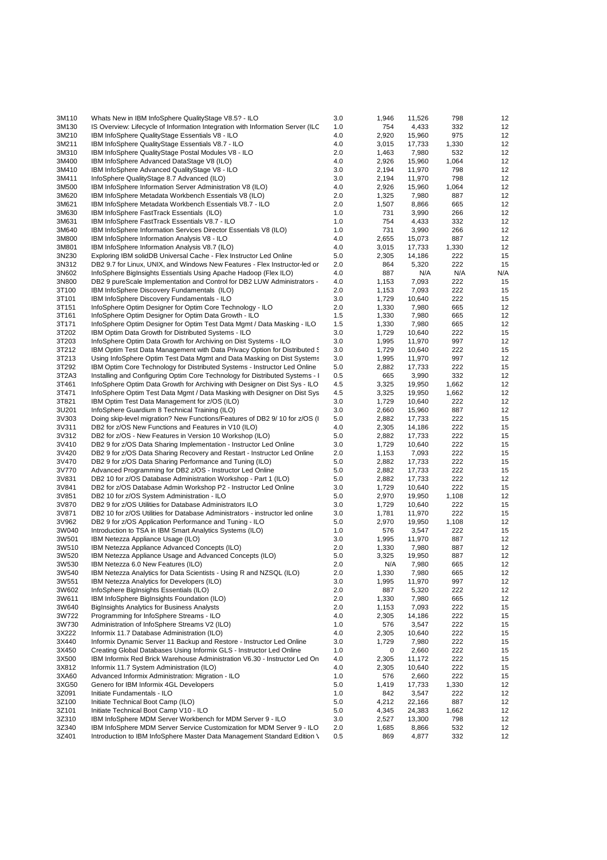| 3M110          | Whats New in IBM InfoSphere QualityStage V8.5? - ILO                                                                               | 3.0        | 1,946          | 11,526           | 798          | 12       |
|----------------|------------------------------------------------------------------------------------------------------------------------------------|------------|----------------|------------------|--------------|----------|
| 3M130          | IS Overview: Lifecycle of Information Integration with Information Server (ILC                                                     | 1.0        | 754            | 4,433            | 332          | 12       |
| 3M210          | IBM InfoSphere QualityStage Essentials V8 - ILO                                                                                    | 4.0        | 2,920          | 15,960           | 975          | 12       |
| 3M211          | IBM InfoSphere QualityStage Essentials V8.7 - ILO                                                                                  | 4.0        | 3,015          | 17,733           | 1,330        | 12       |
| 3M310          | IBM InfoSphere QualityStage Postal Modules V8 - ILO                                                                                | 2.0        | 1,463          | 7,980            | 532          | 12       |
| 3M400          | IBM InfoSphere Advanced DataStage V8 (ILO)                                                                                         | 4.0        | 2,926          | 15,960           | 1,064        | 12       |
| 3M410          | IBM InfoSphere Advanced QualityStage V8 - ILO                                                                                      | 3.0        | 2,194          | 11,970           | 798          | 12<br>12 |
| 3M411<br>3M500 | InfoSphere QualityStage 8.7 Advanced (ILO)<br>IBM InfoSphere Information Server Administration V8 (ILO)                            | 3.0<br>4.0 | 2,194<br>2,926 | 11,970<br>15,960 | 798<br>1,064 | 12       |
| 3M620          | IBM InfoSphere Metadata Workbench Essentials V8 (ILO)                                                                              | 2.0        | 1,325          | 7,980            | 887          | 12       |
| 3M621          | IBM InfoSphere Metadata Workbench Essentials V8.7 - ILO                                                                            | 2.0        | 1,507          | 8,866            | 665          | 12       |
| 3M630          | IBM InfoSphere FastTrack Essentials (ILO)                                                                                          | 1.0        | 731            | 3,990            | 266          | 12       |
| 3M631          | IBM InfoSphere FastTrack Essentials V8.7 - ILO                                                                                     | 1.0        | 754            | 4,433            | 332          | 12       |
| 3M640          | IBM InfoSphere Information Services Director Essentials V8 (ILO)                                                                   | 1.0        | 731            | 3,990            | 266          | 12       |
| 3M800          | IBM InfoSphere Information Analysis V8 - ILO                                                                                       | 4.0        | 2,655          | 15,073           | 887          | 12       |
| 3M801          | IBM InfoSphere Information Analysis V8.7 (ILO)                                                                                     | 4.0        | 3,015          | 17,733           | 1,330        | 12       |
| 3N230          | Exploring IBM solidDB Universal Cache - Flex Instructor Led Online                                                                 | 5.0        | 2,305          | 14,186           | 222          | 15       |
| 3N312          | DB2 9.7 for Linux, UNIX, and Windows New Features - Flex Instructor-led or                                                         | 2.0        | 864            | 5,320            | 222          | 15       |
| 3N602          | InfoSphere BigInsights Essentials Using Apache Hadoop (Flex ILO)                                                                   | 4.0        | 887            | N/A              | N/A          | N/A      |
| 3N800          | DB2 9 pureScale Implementation and Control for DB2 LUW Administrators -                                                            | 4.0        | 1,153          | 7,093            | 222          | 15       |
| 3T100<br>3T101 | IBM InfoSphere Discovery Fundamentals (ILO)                                                                                        | 2.0<br>3.0 | 1,153          | 7,093<br>10,640  | 222<br>222   | 15       |
| 3T151          | IBM InfoSphere Discovery Fundamentals - ILO<br>InfoSphere Optim Designer for Optim Core Technology - ILO                           | 2.0        | 1,729<br>1,330 | 7,980            | 665          | 15<br>12 |
| 3T161          | InfoSphere Optim Designer for Optim Data Growth - ILO                                                                              | 1.5        | 1,330          | 7,980            | 665          | 12       |
| 3T171          | InfoSphere Optim Designer for Optim Test Data Mgmt / Data Masking - ILO                                                            | 1.5        | 1,330          | 7,980            | 665          | 12       |
| 3T202          | IBM Optim Data Growth for Distributed Systems - ILO                                                                                | 3.0        | 1,729          | 10,640           | 222          | 15       |
| 3T203          | InfoSphere Optim Data Growth for Archiving on Dist Systems - ILO                                                                   | 3.0        | 1,995          | 11,970           | 997          | 12       |
| 3T212          | IBM Optim Test Data Management with Data Privacy Option for Distributed &                                                          | 3.0        | 1,729          | 10,640           | 222          | 15       |
| 3T213          | Using InfoSphere Optim Test Data Mgmt and Data Masking on Dist Systems                                                             | 3.0        | 1,995          | 11,970           | 997          | 12       |
| 3T292          | IBM Optim Core Technology for Distributed Systems - Instructor Led Online                                                          | 5.0        | 2,882          | 17,733           | 222          | 15       |
| 3T2A3          | Installing and Configuring Optim Core Technology for Distributed Systems - I                                                       | 0.5        | 665            | 3,990            | 332          | 12       |
| 3T461          | InfoSphere Optim Data Growth for Archiving with Designer on Dist Sys - ILO                                                         | 4.5        | 3,325          | 19,950           | 1,662        | 12       |
| 3T471          | InfoSphere Optim Test Data Mgmt / Data Masking with Designer on Dist Sys                                                           | 4.5        | 3,325          | 19,950           | 1,662        | 12       |
| 3T821          | IBM Optim Test Data Management for z/OS (ILO)                                                                                      | 3.0        | 1,729          | 10,640           | 222          | 12       |
| 3U201          | InfoSphere Guardium 8 Technical Training (ILO)                                                                                     | 3.0<br>5.0 | 2,660          | 15,960           | 887<br>222   | 12<br>15 |
| 3V303<br>3V311 | Doing skip-level migration? New Functions/Features of DB2 9/10 for z/OS (I<br>DB2 for z/OS New Functions and Features in V10 (ILO) | 4.0        | 2,882<br>2,305 | 17,733<br>14,186 | 222          | 15       |
| 3V312          | DB2 for z/OS - New Features in Version 10 Workshop (ILO)                                                                           | 5.0        | 2,882          | 17,733           | 222          | 15       |
| 3V410          | DB2 9 for z/OS Data Sharing Implementation - Instructor Led Online                                                                 | 3.0        | 1,729          | 10,640           | 222          | 15       |
| 3V420          | DB2 9 for z/OS Data Sharing Recovery and Restart - Instructor Led Online                                                           | 2.0        | 1,153          | 7,093            | 222          | 15       |
| 3V470          | DB2 9 for z/OS Data Sharing Performance and Tuning (ILO)                                                                           | 5.0        | 2,882          | 17,733           | 222          | 15       |
| 3V770          | Advanced Programming for DB2 z/OS - Instructor Led Online                                                                          | 5.0        | 2,882          | 17,733           | 222          | 15       |
| 3V831          | DB2 10 for z/OS Database Administration Workshop - Part 1 (ILO)                                                                    | 5.0        | 2,882          | 17,733           | 222          | 12       |
| 3V841          | DB2 for z/OS Database Admin Workshop P2 - Instructor Led Online                                                                    | 3.0        | 1,729          | 10,640           | 222          | 15       |
| 3V851          | DB2 10 for z/OS System Administration - ILO                                                                                        | 5.0        | 2,970          | 19,950           | 1,108        | 12       |
| 3V870          | DB2 9 for z/OS Utilities for Database Administrators ILO                                                                           | 3.0        | 1,729          | 10,640           | 222          | 15       |
| 3V871          | DB2 10 for z/OS Utilities for Database Administrators - instructor led online                                                      | 3.0        | 1,781          | 11,970           | 222          | 15       |
| 3V962          | DB2 9 for z/OS Application Performance and Tuning - ILO                                                                            | 5.0        | 2,970          | 19,950           | 1,108        | 12       |
| 3W040          | Introduction to TSA in IBM Smart Analytics Systems (ILO)                                                                           | 1.0        | 576            | 3,547            | 222          | 15<br>12 |
| 3W501<br>3W510 | IBM Netezza Appliance Usage (ILO)<br>IBM Netezza Appliance Advanced Concepts (ILO)                                                 | 3.0<br>2.0 | 1,995<br>1,330 | 11,970<br>7,980  | 887<br>887   | 12       |
| 3W520          | IBM Netezza Appliance Usage and Advanced Concepts (ILO)                                                                            | 5.0        | 3,325          | 19,950           | 887          | 12       |
| 3W530          | IBM Netezza 6.0 New Features (ILO)                                                                                                 | 2.0        | N/A            | 7,980            | 665          | 12       |
| 3W540          | IBM Netezza Analytics for Data Scientists - Using R and NZSQL (ILO)                                                                | 2.0        | 1,330          | 7,980            | 665          | 12       |
| 3W551          | IBM Netezza Analytics for Developers (ILO)                                                                                         | 3.0        | 1,995          | 11,970           | 997          | 12       |
| 3W602          | InfoSphere BigInsights Essentials (ILO)                                                                                            | 2.0        | 887            | 5,320            | 222          | 12       |
| 3W611          | IBM InfoSphere BigInsights Foundation (ILO)                                                                                        | 2.0        | 1,330          | 7,980            | 665          | 12       |
| 3W640          | <b>BigInsights Analytics for Business Analysts</b>                                                                                 | 2.0        | 1,153          | 7,093            | 222          | 15       |
| 3W722          | Programming for InfoSphere Streams - ILO                                                                                           | 4.0        | 2,305          | 14,186           | 222          | 15       |
| 3W730          | Administration of InfoSphere Streams V2 (ILO)                                                                                      | 1.0        | 576            | 3,547            | 222          | 15       |
| 3X222          | Informix 11.7 Database Administration (ILO)                                                                                        | 4.0        | 2,305          | 10,640           | 222          | 15       |
| 3X440          | Informix Dynamic Server 11 Backup and Restore - Instructor Led Online                                                              | 3.0        | 1,729          | 7,980            | 222          | 15       |
| 3X450          | Creating Global Databases Using Informix GLS - Instructor Led Online                                                               | 1.0        | 0              | 2,660            | 222          | 15       |
| 3X500<br>3X812 | IBM Informix Red Brick Warehouse Administration V6.30 - Instructor Led On                                                          | 4.0<br>4.0 | 2,305          | 11,172           | 222<br>222   | 15       |
| 3XA60          | Informix 11.7 System Administration (ILO)<br>Advanced Informix Administration: Migration - ILO                                     | 1.0        | 2,305<br>576   | 10,640<br>2,660  | 222          | 15<br>15 |
| 3XG50          | Genero for IBM Informix 4GL Developers                                                                                             | 5.0        | 1,419          | 17,733           | 1,330        | 12       |
| 3Z091          | Initiate Fundamentals - ILO                                                                                                        | 1.0        | 842            | 3,547            | 222          | 12       |
| 3Z100          | Initiate Technical Boot Camp (ILO)                                                                                                 | 5.0        | 4,212          | 22,166           | 887          | 12       |
| 3Z101          | Initiate Technical Boot Camp V10 - ILO                                                                                             | 5.0        | 4,345          | 24,383           | 1,662        | 12       |
| 3Z310          | IBM InfoSphere MDM Server Workbench for MDM Server 9 - ILO                                                                         | 3.0        | 2,527          | 13,300           | 798          | 12       |
| 3Z340          | IBM InfoSphere MDM Server Service Customization for MDM Server 9 - ILO                                                             | 2.0        | 1,685          | 8,866            | 532          | 12       |
| 3Z401          | Introduction to IBM InfoSphere Master Data Management Standard Edition \                                                           | 0.5        | 869            | 4,877            | 332          | 12       |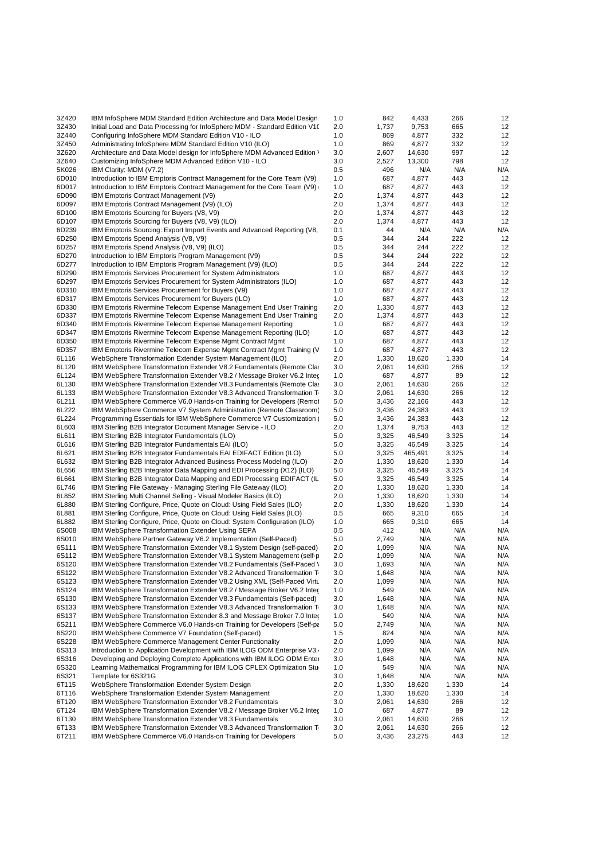| 3Z420 | IBM InfoSphere MDM Standard Edition Architecture and Data Model Design     | 1.0 | 842   | 4,433   | 266   | 12  |
|-------|----------------------------------------------------------------------------|-----|-------|---------|-------|-----|
| 3Z430 | Initial Load and Data Processing for InfoSphere MDM - Standard Edition V1( | 2.0 | 1,737 | 9,753   | 665   | 12  |
| 3Z440 | Configuring InfoSphere MDM Standard Edition V10 - ILO                      | 1.0 | 869   | 4,877   | 332   | 12  |
| 3Z450 | Administrating InfoSphere MDM Standard Edition V10 (ILO)                   | 1.0 | 869   | 4,877   | 332   | 12  |
| 3Z620 | Architecture and Data Model design for InfoSphere MDM Advanced Edition \   | 3.0 | 2,607 | 14,630  | 997   | 12  |
| 3Z640 | Customizing InfoSphere MDM Advanced Edition V10 - ILO                      | 3.0 | 2,527 | 13,300  | 798   | 12  |
| 5K026 | IBM Clarity: MDM (V7.2)                                                    | 0.5 | 496   | N/A     | N/A   | N/A |
| 6D010 | Introduction to IBM Emptoris Contract Management for the Core Team (V9)    | 1.0 | 687   | 4,877   | 443   | 12  |
| 6D017 | Introduction to IBM Emptoris Contract Management for the Core Team (V9)    | 1.0 | 687   | 4,877   | 443   | 12  |
| 6D090 | IBM Emptoris Contract Management (V9)                                      | 2.0 | 1,374 | 4,877   | 443   | 12  |
| 6D097 | IBM Emptoris Contract Management (V9) (ILO)                                | 2.0 | 1,374 | 4,877   | 443   | 12  |
| 6D100 | IBM Emptoris Sourcing for Buyers (V8, V9)                                  | 2.0 | 1,374 | 4,877   | 443   | 12  |
| 6D107 | IBM Emptoris Sourcing for Buyers (V8, V9) (ILO)                            | 2.0 | 1,374 | 4,877   | 443   | 12  |
| 6D239 | IBM Emptoris Sourcing: Export Import Events and Advanced Reporting (V8,    | 0.1 | 44    | N/A     | N/A   | N/A |
| 6D250 | IBM Emptoris Spend Analysis (V8, V9)                                       | 0.5 | 344   | 244     | 222   | 12  |
| 6D257 | IBM Emptoris Spend Analysis (V8, V9) (ILO)                                 | 0.5 | 344   | 244     | 222   | 12  |
| 6D270 | Introduction to IBM Emptoris Program Management (V9)                       | 0.5 | 344   | 244     | 222   | 12  |
| 6D277 | Introduction to IBM Emptoris Program Management (V9) (ILO)                 | 0.5 | 344   | 244     | 222   | 12  |
| 6D290 | <b>IBM Emptoris Services Procurement for System Administrators</b>         | 1.0 | 687   | 4,877   | 443   | 12  |
| 6D297 | IBM Emptoris Services Procurement for System Administrators (ILO)          | 1.0 | 687   | 4,877   | 443   | 12  |
| 6D310 | IBM Emptoris Services Procurement for Buyers (V9)                          | 1.0 | 687   | 4,877   | 443   | 12  |
| 6D317 | IBM Emptoris Services Procurement for Buyers (ILO)                         | 1.0 | 687   | 4,877   | 443   | 12  |
| 6D330 | IBM Emptoris Rivermine Telecom Expense Management End User Training        | 2.0 | 1,330 | 4,877   | 443   | 12  |
| 6D337 |                                                                            | 2.0 | 1,374 |         | 443   | 12  |
|       | IBM Emptoris Rivermine Telecom Expense Management End User Training        |     |       | 4,877   |       |     |
| 6D340 | IBM Emptoris Rivermine Telecom Expense Management Reporting                | 1.0 | 687   | 4,877   | 443   | 12  |
| 6D347 | IBM Emptoris Rivermine Telecom Expense Management Reporting (ILO)          | 1.0 | 687   | 4,877   | 443   | 12  |
| 6D350 | IBM Emptoris Rivermine Telecom Expense Mgmt Contract Mgmt                  | 1.0 | 687   | 4,877   | 443   | 12  |
| 6D357 | IBM Emptoris Rivermine Telecom Expense Mgmt Contract Mgmt Training (V      | 1.0 | 687   | 4,877   | 443   | 12  |
| 6L116 | WebSphere Transformation Extender System Management (ILO)                  | 2.0 | 1,330 | 18,620  | 1,330 | 14  |
| 6L120 | IBM WebSphere Transformation Extender V8.2 Fundamentals (Remote Class      | 3.0 | 2,061 | 14,630  | 266   | 12  |
| 6L124 | IBM WebSphere Transformation Extender V8.2 / Message Broker V6.2 Inter     | 1.0 | 687   | 4,877   | 89    | 12  |
| 6L130 | IBM WebSphere Transformation Extender V8.3 Fundamentals (Remote Class      | 3.0 | 2,061 | 14,630  | 266   | 12  |
| 6L133 | IBM WebSphere Transformation Extender V8.3 Advanced Transformation T       | 3.0 | 2,061 | 14,630  | 266   | 12  |
| 6L211 | IBM WebSphere Commerce V6.0 Hands-on Training for Developers (Remot        | 5.0 | 3,436 | 22,166  | 443   | 12  |
| 6L222 | IBM WebSphere Commerce V7 System Administration (Remote Classroom)         | 5.0 | 3,436 | 24,383  | 443   | 12  |
| 6L224 | Programming Essentials for IBM WebSphere Commerce V7 Customization         | 5.0 | 3,436 | 24,383  | 443   | 12  |
| 6L603 | IBM Sterling B2B Integrator Document Manager Service - ILO                 | 2.0 | 1,374 | 9,753   | 443   | 12  |
| 6L611 | IBM Sterling B2B Integrator Fundamentals (ILO)                             | 5.0 | 3,325 | 46,549  | 3,325 | 14  |
| 6L616 | IBM Sterling B2B Integrator Fundamentals EAI (ILO)                         | 5.0 | 3,325 | 46,549  | 3,325 | 14  |
| 6L621 | IBM Sterling B2B Integrator Fundamentals EAI EDIFACT Edition (ILO)         | 5.0 | 3,325 | 465,491 | 3,325 | 14  |
| 6L632 | IBM Sterling B2B Integrator Advanced Business Process Modeling (ILO)       | 2.0 | 1,330 | 18,620  | 1,330 | 14  |
| 6L656 | IBM Sterling B2B Integrator Data Mapping and EDI Processing (X12) (ILO)    | 5.0 | 3,325 | 46,549  | 3,325 | 14  |
| 6L661 | IBM Sterling B2B Integrator Data Mapping and EDI Processing EDIFACT (IL    | 5.0 | 3,325 | 46,549  | 3,325 | 14  |
| 6L746 | IBM Sterling File Gateway - Managing Sterling File Gateway (ILO)           | 2.0 | 1,330 | 18,620  | 1,330 | 14  |
| 6L852 | IBM Sterling Multi Channel Selling - Visual Modeler Basics (ILO)           | 2.0 | 1,330 | 18,620  | 1,330 | 14  |
| 6L880 | IBM Sterling Configure, Price, Quote on Cloud: Using Field Sales (ILO)     | 2.0 | 1,330 | 18,620  | 1,330 | 14  |
| 6L881 | IBM Sterling Configure, Price, Quote on Cloud: Using Field Sales (ILO)     | 0.5 | 665   | 9,310   | 665   | 14  |
| 6L882 | IBM Sterling Configure, Price, Quote on Cloud: System Configuration (ILO)  | 1.0 | 665   | 9,310   | 665   | 14  |
| 6S008 | IBM WebSphere Transformation Extender Using SEPA                           | 0.5 | 412   | N/A     | N/A   | N/A |
| 6S010 | IBM WebSphere Partner Gateway V6.2 Implementation (Self-Paced)             | 5.0 | 2,749 | N/A     | N/A   | N/A |
| 6S111 | IBM WebSphere Transformation Extender V8.1 System Design (self-paced)      | 2.0 | 1,099 | N/A     | N/A   | N/A |
| 6S112 | IBM WebSphere Transformation Extender V8.1 System Management (self-p       | 2.0 | 1,099 | N/A     | N/A   | N/A |
| 6S120 | IBM WebSphere Transformation Extender V8.2 Fundamentals (Self-Paced \      | 3.0 | 1,693 | N/A     | N/A   | N/A |
| 6S122 | IBM WebSphere Transformation Extender V8.2 Advanced Transformation T       | 3.0 | 1,648 | N/A     | N/A   | N/A |
| 6S123 | IBM WebSphere Transformation Extender V8.2 Using XML (Self-Paced Virtu     | 2.0 | 1,099 | N/A     | N/A   | N/A |
| 6S124 | IBM WebSphere Transformation Extender V8.2 / Message Broker V6.2 Inter     | 1.0 | 549   | N/A     | N/A   | N/A |
| 6S130 | IBM WebSphere Transformation Extender V8.3 Fundamentals (Self-paced)       | 3.0 | 1,648 | N/A     | N/A   | N/A |
| 6S133 | IBM WebSphere Transformation Extender V8.3 Advanced Transformation T       | 3.0 | 1,648 | N/A     | N/A   | N/A |
| 6S137 | IBM WebSphere Transformation Extender 8.3 and Message Broker 7.0 Inter     | 1.0 | 549   | N/A     | N/A   | N/A |
| 6S211 | IBM WebSphere Commerce V6.0 Hands-on Training for Developers (Self-pa      | 5.0 | 2,749 | N/A     | N/A   | N/A |
| 6S220 | IBM WebSphere Commerce V7 Foundation (Self-paced)                          | 1.5 | 824   | N/A     | N/A   | N/A |
| 6S228 | IBM WebSphere Commerce Management Center Functionality                     | 2.0 | 1,099 | N/A     | N/A   | N/A |
| 6S313 | Introduction to Application Development with IBM ILOG ODM Enterprise V3.   | 2.0 | 1,099 | N/A     | N/A   | N/A |
| 6S316 | Developing and Deploying Complete Applications with IBM ILOG ODM Enter     | 3.0 | 1,648 | N/A     | N/A   | N/A |
| 6S320 | Learning Mathematical Programming for IBM ILOG CPLEX Optimization Stu      | 1.0 | 549   | N/A     | N/A   | N/A |
| 6S321 | Template for 6S321G                                                        | 3.0 | 1,648 | N/A     | N/A   | N/A |
| 6T115 | WebSphere Transformation Extender System Design                            | 2.0 | 1,330 | 18,620  | 1,330 | 14  |
| 6T116 | WebSphere Transformation Extender System Management                        | 2.0 | 1,330 | 18,620  | 1,330 | 14  |
| 6T120 | IBM WebSphere Transformation Extender V8.2 Fundamentals                    | 3.0 | 2,061 | 14,630  | 266   | 12  |
| 6T124 | IBM WebSphere Transformation Extender V8.2 / Message Broker V6.2 Inter     | 1.0 | 687   | 4,877   | 89    | 12  |
| 6T130 | IBM WebSphere Transformation Extender V8.3 Fundamentals                    | 3.0 | 2,061 | 14,630  | 266   | 12  |
| 6T133 | IBM WebSphere Transformation Extender V8.3 Advanced Transformation T       | 3.0 | 2,061 | 14,630  | 266   | 12  |
| 6T211 | IBM WebSphere Commerce V6.0 Hands-on Training for Developers               | 5.0 | 3,436 | 23,275  | 443   | 12  |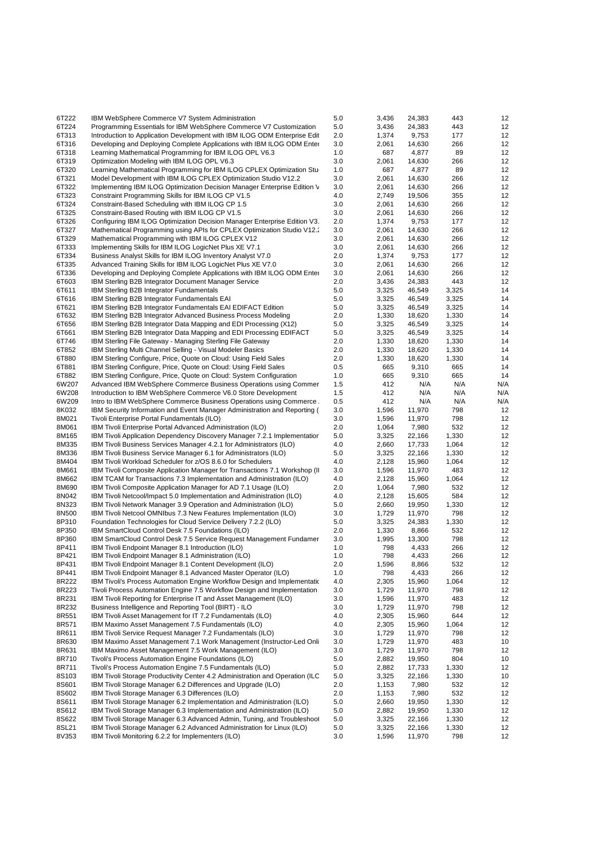| 6T222          | IBM WebSphere Commerce V7 System Administration                                                                                             | 5.0        | 3,436          | 24,383           | 443            | 12       |
|----------------|---------------------------------------------------------------------------------------------------------------------------------------------|------------|----------------|------------------|----------------|----------|
| 6T224          | Programming Essentials for IBM WebSphere Commerce V7 Customization                                                                          | 5.0        | 3,436          | 24,383           | 443            | 12       |
| 6T313          | Introduction to Application Development with IBM ILOG ODM Enterprise Edit                                                                   | 2.0        | 1,374          | 9,753            | 177            | 12       |
| 6T316          | Developing and Deploying Complete Applications with IBM ILOG ODM Enter                                                                      | 3.0        | 2,061          | 14,630           | 266            | 12       |
| 6T318          | Learning Mathematical Programming for IBM ILOG OPL V6.3                                                                                     | 1.0        | 687            | 4,877            | 89             | 12       |
| 6T319          | Optimization Modeling with IBM ILOG OPL V6.3                                                                                                | 3.0        | 2,061          | 14,630           | 266            | 12       |
| 6T320          | Learning Mathematical Programming for IBM ILOG CPLEX Optimization Stu                                                                       | 1.0        | 687            | 4,877            | 89             | 12       |
| 6T321<br>6T322 | Model Development with IBM ILOG CPLEX Optimization Studio V12.2<br>Implementing IBM ILOG Optimization Decision Manager Enterprise Edition V | 3.0<br>3.0 | 2,061<br>2,061 | 14,630<br>14,630 | 266<br>266     | 12<br>12 |
| 6T323          | Constraint Programming Skills for IBM ILOG CP V1.5                                                                                          | 4.0        | 2,749          | 19,506           | 355            | 12       |
| 6T324          | Constraint-Based Scheduling with IBM ILOG CP 1.5                                                                                            | 3.0        | 2,061          | 14,630           | 266            | 12       |
| 6T325          | Constraint-Based Routing with IBM ILOG CP V1.5                                                                                              | 3.0        | 2,061          | 14,630           | 266            | 12       |
| 6T326          | Configuring IBM ILOG Optimization Decision Manager Enterprise Edition V3.                                                                   | 2.0        | 1,374          | 9,753            | 177            | 12       |
| 6T327          | Mathematical Programming using APIs for CPLEX Optimization Studio V12.                                                                      | 3.0        | 2,061          | 14,630           | 266            | 12       |
| 6T329          | Mathematical Programming with IBM ILOG CPLEX V12                                                                                            | 3.0        | 2,061          | 14,630           | 266            | 12       |
| 6T333          | Implementing Skills for IBM ILOG LogicNet Plus XE V7.1                                                                                      | 3.0        | 2,061          | 14,630           | 266            | 12       |
| 6T334          | Business Analyst Skills for IBM ILOG Inventory Analyst V7.0                                                                                 | 2.0        | 1,374          | 9,753            | 177            | 12       |
| 6T335          | Advanced Training Skills for IBM ILOG LogicNet Plus XE V7.0                                                                                 | 3.0        | 2,061          | 14,630           | 266            | 12       |
| 6T336          | Developing and Deploying Complete Applications with IBM ILOG ODM Enter                                                                      | 3.0        | 2,061          | 14,630           | 266            | 12       |
| 6T603          | IBM Sterling B2B Integrator Document Manager Service                                                                                        | 2.0        | 3,436          | 24,383           | 443            | 12       |
| 6T611          | <b>IBM Sterling B2B Integrator Fundamentals</b>                                                                                             | 5.0        | 3,325          | 46,549           | 3,325          | 14       |
| 6T616<br>6T621 | IBM Sterling B2B Integrator Fundamentals EAI                                                                                                | 5.0<br>5.0 | 3,325<br>3,325 | 46,549<br>46,549 | 3,325<br>3,325 | 14<br>14 |
| 6T632          | IBM Sterling B2B Integrator Fundamentals EAI EDIFACT Edition<br>IBM Sterling B2B Integrator Advanced Business Process Modeling              | 2.0        | 1,330          | 18,620           | 1,330          | 14       |
| 6T656          | IBM Sterling B2B Integrator Data Mapping and EDI Processing (X12)                                                                           | 5.0        | 3,325          | 46,549           | 3,325          | 14       |
| 6T661          | IBM Sterling B2B Integrator Data Mapping and EDI Processing EDIFACT                                                                         | 5.0        | 3,325          | 46,549           | 3,325          | 14       |
| 6T746          | IBM Sterling File Gateway - Managing Sterling File Gateway                                                                                  | 2.0        | 1,330          | 18,620           | 1,330          | 14       |
| 6T852          | IBM Sterling Multi Channel Selling - Visual Modeler Basics                                                                                  | 2.0        | 1,330          | 18,620           | 1,330          | 14       |
| 6T880          | IBM Sterling Configure, Price, Quote on Cloud: Using Field Sales                                                                            | 2.0        | 1,330          | 18,620           | 1,330          | 14       |
| 6T881          | IBM Sterling Configure, Price, Quote on Cloud: Using Field Sales                                                                            | 0.5        | 665            | 9,310            | 665            | 14       |
| 6T882          | IBM Sterling Configure, Price, Quote on Cloud: System Configuration                                                                         | 1.0        | 665            | 9,310            | 665            | 14       |
| 6W207          | Advanced IBM WebSphere Commerce Business Operations using Commer                                                                            | 1.5        | 412            | N/A              | N/A            | N/A      |
| 6W208          | Introduction to IBM WebSphere Commerce V6.0 Store Development                                                                               | 1.5        | 412            | N/A              | N/A            | N/A      |
| 6W209          | Intro to IBM WebSphere Commerce Business Operations using Commerce                                                                          | 0.5        | 412            | N/A              | N/A            | N/A      |
| 8K032          | IBM Security Information and Event Manager Administration and Reporting (                                                                   | 3.0        | 1,596          | 11,970           | 798            | 12       |
| 8M021<br>8M061 | Tivoli Enterprise Portal Fundamentals (ILO)<br>IBM Tivoli Enterprise Portal Advanced Administration (ILO)                                   | 3.0<br>2.0 | 1,596<br>1,064 | 11,970<br>7,980  | 798<br>532     | 12<br>12 |
| 8M165          | IBM Tivoli Application Dependency Discovery Manager 7.2.1 Implementatior                                                                    | 5.0        | 3,325          | 22,166           | 1,330          | 12       |
| 8M335          | IBM Tivoli Business Services Manager 4.2.1 for Administrators (ILO)                                                                         | 4.0        | 2,660          | 17,733           | 1,064          | 12       |
| 8M336          | IBM Tivoli Business Service Manager 6.1 for Administrators (ILO)                                                                            | 5.0        | 3,325          | 22,166           | 1,330          | 12       |
| 8M404          | IBM Tivoli Workload Scheduler for z/OS 8.6.0 for Schedulers                                                                                 | 4.0        | 2,128          | 15,960           | 1,064          | 12       |
| 8M661          | IBM Tivoli Composite Application Manager for Transactions 7.1 Workshop (II)                                                                 | 3.0        | 1,596          | 11,970           | 483            | 12       |
| 8M662          | IBM TCAM for Transactions 7.3 Implementation and Administration (ILO)                                                                       | 4.0        | 2,128          | 15,960           | 1,064          | 12       |
| 8M690          | IBM Tivoli Composite Application Manager for AD 7.1 Usage (ILO)                                                                             | 2.0        | 1,064          | 7,980            | 532            | 12       |
| 8N042          | IBM Tivoli Netcool/Impact 5.0 Implementation and Administration (ILO)                                                                       | 4.0        | 2,128          | 15,605           | 584            | 12       |
| 8N323          | IBM Tivoli Network Manager 3.9 Operation and Administration (ILO)                                                                           | 5.0        | 2,660          | 19,950           | 1,330          | 12       |
| 8N500          | IBM Tivoli Netcool OMNIbus 7.3 New Features Implementation (ILO)                                                                            | 3.0        | 1,729          | 11,970           | 798            | 12       |
| 8P310          | Foundation Technologies for Cloud Service Delivery 7.2.2 (ILO)                                                                              | 5.0        | 3,325          | 24,383           | 1,330          | 12       |
| 8P350          | IBM SmartCloud Control Desk 7.5 Foundations (ILO)                                                                                           | 2.0        | 1,330          | 8,866            | 532            | 12       |
| 8P360<br>8P411 | IBM SmartCloud Control Desk 7.5 Service Request Management Fundamer<br>IBM Tivoli Endpoint Manager 8.1 Introduction (ILO)                   | 3.0<br>1.0 | 1,995<br>798   | 13,300<br>4,433  | 798<br>266     | 12<br>12 |
| 8P421          | IBM Tivoli Endpoint Manager 8.1 Administration (ILO)                                                                                        | 1.0        | 798            | 4,433            | 266            | 12       |
| 8P431          | IBM Tivoli Endpoint Manager 8.1 Content Development (ILO)                                                                                   | 2.0        | 1,596          | 8,866            | 532            | 12       |
| 8P441          | IBM Tivoli Endpoint Manager 8.1 Advanced Master Operator (ILO)                                                                              | 1.0        | 798            | 4,433            | 266            | 12       |
| 8R222          | IBM Tivoli's Process Automation Engine Workflow Design and Implementation                                                                   | 4.0        | 2,305          | 15,960           | 1,064          | 12       |
| 8R223          | Tivoli Process Automation Engine 7.5 Workflow Design and Implementation                                                                     | 3.0        | 1,729          | 11,970           | 798            | 12       |
| 8R231          | IBM Tivoli Reporting for Enterprise IT and Asset Management (ILO)                                                                           | 3.0        | 1,596          | 11,970           | 483            | 12       |
| 8R232          | Business Intelligence and Reporting Tool (BIRT) - ILO                                                                                       | 3.0        | 1,729          | 11,970           | 798            | 12       |
| 8R551          | IBM Tivoli Asset Management for IT 7.2 Fundamentals (ILO)                                                                                   | 4.0        | 2,305          | 15,960           | 644            | 12       |
| 8R571          | IBM Maximo Asset Management 7.5 Fundamentals (ILO)                                                                                          | 4.0        | 2,305          | 15,960           | 1,064          | 12       |
| 8R611          | IBM Tivoli Service Request Manager 7.2 Fundamentals (ILO)                                                                                   | 3.0        | 1,729          | 11,970           | 798            | 12       |
| 8R630          | IBM Maximo Asset Management 7.1 Work Management (Instructor-Led Onli                                                                        | 3.0        | 1,729          | 11,970           | 483            | 10       |
| 8R631          | IBM Maximo Asset Management 7.5 Work Management (ILO)                                                                                       | 3.0        | 1,729          | 11,970           | 798            | 12       |
| 8R710<br>8R711 | Tivoli's Process Automation Engine Foundations (ILO)<br>Tivoli's Process Automation Engine 7.5 Fundamentals (ILO)                           | 5.0<br>5.0 | 2,882<br>2,882 | 19,950<br>17,733 | 804<br>1,330   | 10<br>12 |
| 8S103          | IBM Tivoli Storage Productivity Center 4.2 Administration and Operation (ILC                                                                | 5.0        | 3,325          | 22,166           | 1,330          | 10       |
| 8S601          | IBM Tivoli Storage Manager 6.2 Differences and Upgrade (ILO)                                                                                | 2.0        | 1,153          | 7,980            | 532            | 12       |
| 8S602          | IBM Tivoli Storage Manager 6.3 Differences (ILO)                                                                                            | 2.0        | 1,153          | 7,980            | 532            | 12       |
| 8S611          | IBM Tivoli Storage Manager 6.2 Implementation and Administration (ILO)                                                                      | 5.0        | 2,660          | 19,950           | 1,330          | 12       |
| 8S612          | IBM Tivoli Storage Manager 6.3 Implementation and Administration (ILO)                                                                      | 5.0        | 2,882          | 19,950           | 1,330          | 12       |
| 8S622          | IBM Tivoli Storage Manager 6.3 Advanced Admin, Tuning, and Troubleshoot                                                                     | 5.0        | 3,325          | 22,166           | 1,330          | 12       |
| 8SL21          | IBM Tivoli Storage Manager 6.2 Advanced Administration for Linux (ILO)                                                                      | 5.0        | 3,325          | 22,166           | 1,330          | 12       |
| 8V353          | IBM Tivoli Monitoring 6.2.2 for Implementers (ILO)                                                                                          | 3.0        | 1,596          | 11,970           | 798            | 12       |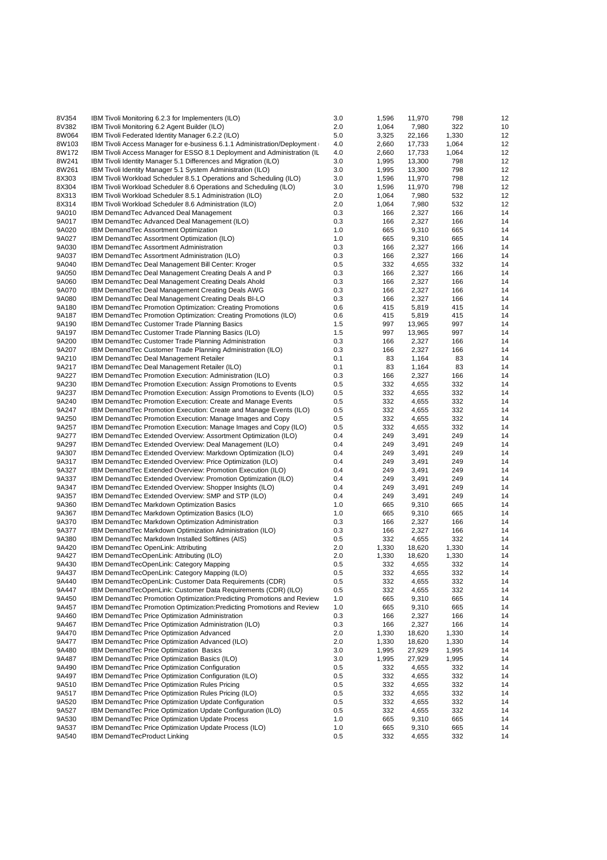| 8V354 | IBM Tivoli Monitoring 6.2.3 for Implementers (ILO)                                              | 3.0     | 1,596 | 11,970 | 798   | 12       |
|-------|-------------------------------------------------------------------------------------------------|---------|-------|--------|-------|----------|
| 8V382 | IBM Tivoli Monitoring 6.2 Agent Builder (ILO)                                                   | 2.0     | 1,064 | 7,980  | 322   | 10       |
| 8W064 | IBM Tivoli Federated Identity Manager 6.2.2 (ILO)                                               | 5.0     | 3,325 | 22,166 | 1,330 | 12       |
| 8W103 | IBM Tivoli Access Manager for e-business 6.1.1 Administration/Deployment                        | 4.0     | 2,660 | 17,733 | 1,064 | 12       |
| 8W172 | IBM Tivoli Access Manager for ESSO 8.1 Deployment and Administration (IL                        | 4.0     | 2,660 | 17,733 | 1,064 | 12       |
| 8W241 | IBM Tivoli Identity Manager 5.1 Differences and Migration (ILO)                                 | 3.0     | 1,995 | 13,300 | 798   | 12       |
| 8W261 | IBM Tivoli Identity Manager 5.1 System Administration (ILO)                                     | 3.0     | 1,995 | 13,300 | 798   | 12       |
| 8X303 | IBM Tivoli Workload Scheduler 8.5.1 Operations and Scheduling (ILO)                             | 3.0     | 1,596 | 11,970 | 798   | 12       |
| 8X304 | IBM Tivoli Workload Scheduler 8.6 Operations and Scheduling (ILO)                               | 3.0     | 1,596 | 11,970 | 798   | 12       |
| 8X313 | IBM Tivoli Workload Scheduler 8.5.1 Administration (ILO)                                        | 2.0     | 1,064 | 7,980  | 532   | 12       |
|       |                                                                                                 |         |       |        |       |          |
| 8X314 | IBM Tivoli Workload Scheduler 8.6 Administration (ILO)                                          | 2.0     | 1,064 | 7,980  | 532   | 12       |
| 9A010 | IBM DemandTec Advanced Deal Management                                                          | 0.3     | 166   | 2,327  | 166   | 14       |
| 9A017 | IBM DemandTec Advanced Deal Management (ILO)                                                    | 0.3     | 166   | 2,327  | 166   | 14       |
| 9A020 | IBM DemandTec Assortment Optimization                                                           | 1.0     | 665   | 9,310  | 665   | 14       |
| 9A027 | IBM DemandTec Assortment Optimization (ILO)                                                     | 1.0     | 665   | 9,310  | 665   | 14       |
| 9A030 | IBM DemandTec Assortment Administration                                                         | 0.3     | 166   | 2,327  | 166   | 14       |
| 9A037 | IBM DemandTec Assortment Administration (ILO)                                                   | 0.3     | 166   | 2,327  | 166   | 14       |
| 9A040 | IBM DemandTec Deal Management Bill Center: Kroger                                               | 0.5     | 332   | 4,655  | 332   | 14       |
| 9A050 | IBM Demand Tec Deal Management Creating Deals A and P                                           | 0.3     | 166   | 2,327  | 166   | 14       |
| 9A060 | IBM DemandTec Deal Management Creating Deals Ahold                                              | 0.3     | 166   | 2,327  | 166   | 14       |
| 9A070 | IBM DemandTec Deal Management Creating Deals AWG                                                | 0.3     | 166   | 2,327  | 166   | 14       |
| 9A080 | IBM Demand Tec Deal Management Creating Deals BI-LO                                             | 0.3     | 166   | 2,327  | 166   | 14       |
| 9A180 | IBM DemandTec Promotion Optimization: Creating Promotions                                       | 0.6     | 415   | 5,819  | 415   | 14       |
| 9A187 | IBM DemandTec Promotion Optimization: Creating Promotions (ILO)                                 | 0.6     | 415   | 5,819  | 415   | 14       |
| 9A190 | IBM DemandTec Customer Trade Planning Basics                                                    | 1.5     | 997   | 13,965 | 997   | 14       |
| 9A197 | IBM DemandTec Customer Trade Planning Basics (ILO)                                              | 1.5     | 997   | 13,965 | 997   | 14       |
| 9A200 | IBM DemandTec Customer Trade Planning Administration                                            | 0.3     | 166   | 2,327  | 166   | 14       |
| 9A207 | IBM DemandTec Customer Trade Planning Administration (ILO)                                      | 0.3     | 166   | 2,327  | 166   | 14       |
| 9A210 | IBM DemandTec Deal Management Retailer                                                          | 0.1     | 83    | 1,164  | 83    | 14       |
| 9A217 | IBM Demand Tec Deal Management Retailer (ILO)                                                   | 0.1     | 83    | 1,164  | 83    | 14       |
| 9A227 | IBM DemandTec Promotion Execution: Administration (ILO)                                         | 0.3     | 166   | 2,327  | 166   | 14       |
| 9A230 | IBM Demand Tec Promotion Execution: Assign Promotions to Events                                 | 0.5     | 332   | 4,655  | 332   | 14       |
| 9A237 | IBM DemandTec Promotion Execution: Assign Promotions to Events (ILO)                            | 0.5     | 332   | 4,655  | 332   | 14       |
| 9A240 | IBM DemandTec Promotion Execution: Create and Manage Events                                     | 0.5     | 332   |        | 332   | 14       |
| 9A247 |                                                                                                 |         | 332   | 4,655  |       | 14       |
|       | IBM DemandTec Promotion Execution: Create and Manage Events (ILO)                               | 0.5     |       | 4,655  | 332   |          |
| 9A250 | IBM DemandTec Promotion Execution: Manage Images and Copy                                       | 0.5     | 332   | 4,655  | 332   | 14       |
| 9A257 | IBM DemandTec Promotion Execution: Manage Images and Copy (ILO)                                 | 0.5     | 332   | 4,655  | 332   | 14       |
| 9A277 | IBM DemandTec Extended Overview: Assortment Optimization (ILO)                                  | 0.4     | 249   | 3,491  | 249   | 14       |
| 9A297 | IBM DemandTec Extended Overview: Deal Management (ILO)                                          | 0.4     | 249   | 3,491  | 249   | 14       |
| 9A307 | IBM DemandTec Extended Overview: Markdown Optimization (ILO)                                    | 0.4     | 249   | 3,491  | 249   | 14       |
| 9A317 | IBM DemandTec Extended Overview: Price Optimization (ILO)                                       | 0.4     | 249   | 3,491  | 249   | 14       |
| 9A327 | IBM Demand Tec Extended Overview: Promotion Execution (ILO)                                     | 0.4     | 249   | 3,491  | 249   | 14       |
| 9A337 | IBM DemandTec Extended Overview: Promotion Optimization (ILO)                                   | 0.4     | 249   | 3,491  | 249   | 14       |
| 9A347 | IBM DemandTec Extended Overview: Shopper Insights (ILO)                                         | 0.4     | 249   | 3,491  | 249   | 14       |
| 9A357 | IBM DemandTec Extended Overview: SMP and STP (ILO)                                              | 0.4     | 249   | 3,491  | 249   | 14       |
| 9A360 | IBM DemandTec Markdown Optimization Basics                                                      | 1.0     | 665   | 9,310  | 665   | 14       |
| 9A367 | IBM DemandTec Markdown Optimization Basics (ILO)                                                | 1.0     | 665   | 9,310  | 665   | 14       |
| 9A370 | IBM DemandTec Markdown Optimization Administration                                              | 0.3     | 166   | 2,327  | 166   | 14       |
| 9A377 | IBM DemandTec Markdown Optimization Administration (ILO)                                        | 0.3     | 166   | 2,327  | 166   | 14       |
| 9A380 | IBM DemandTec Markdown Installed Softlines (AIS)                                                | 0.5     | 332   | 4,655  | 332   | 14       |
| 9A420 | IBM DemandTec OpenLink: Attributing                                                             | 2.0     | 1,330 | 18,620 | 1,330 | 14       |
| 9A427 | IBM DemandTecOpenLink: Attributing (ILO)                                                        | 2.0     | 1,330 | 18,620 | 1,330 | 14       |
| 9A430 | IBM DemandTecOpenLink: Category Mapping                                                         | 0.5     | 332   | 4,655  | 332   | 14       |
| 9A437 | IBM DemandTecOpenLink: Category Mapping (ILO)                                                   | 0.5     | 332   | 4,655  | 332   | 14       |
| 9A440 | IBM DemandTecOpenLink: Customer Data Requirements (CDR)                                         | $0.5\,$ | 332   | 4,655  | 332   | 14       |
| 9A447 | IBM DemandTecOpenLink: Customer Data Requirements (CDR) (ILO)                                   | 0.5     | 332   | 4,655  | 332   | 14       |
| 9A450 | IBM DemandTec Promotion Optimization: Predicting Promotions and Review                          | 1.0     | 665   | 9,310  | 665   | 14       |
| 9A457 | IBM DemandTec Promotion Optimization: Predicting Promotions and Review                          | 1.0     | 665   | 9,310  | 665   | 14       |
| 9A460 | IBM DemandTec Price Optimization Administration                                                 | 0.3     | 166   | 2,327  | 166   | 14       |
| 9A467 | IBM DemandTec Price Optimization Administration (ILO)                                           | 0.3     | 166   | 2,327  | 166   | 14       |
| 9A470 | IBM DemandTec Price Optimization Advanced                                                       | 2.0     | 1,330 | 18,620 | 1,330 | 14       |
| 9A477 | IBM DemandTec Price Optimization Advanced (ILO)                                                 | 2.0     | 1,330 | 18,620 | 1,330 | 14       |
| 9A480 | IBM DemandTec Price Optimization Basics                                                         | 3.0     | 1,995 | 27,929 | 1,995 | 14       |
| 9A487 |                                                                                                 |         |       |        |       |          |
|       | IBM DemandTec Price Optimization Basics (ILO)<br>IBM DemandTec Price Optimization Configuration | 3.0     | 1,995 | 27,929 | 1,995 | 14<br>14 |
| 9A490 |                                                                                                 | $0.5\,$ | 332   | 4,655  | 332   |          |
| 9A497 | IBM DemandTec Price Optimization Configuration (ILO)                                            | 0.5     | 332   | 4,655  | 332   | 14       |
| 9A510 | IBM DemandTec Price Optimization Rules Pricing                                                  | 0.5     | 332   | 4,655  | 332   | 14       |
| 9A517 | IBM DemandTec Price Optimization Rules Pricing (ILO)                                            | $0.5\,$ | 332   | 4,655  | 332   | 14       |
| 9A520 | IBM DemandTec Price Optimization Update Configuration                                           | 0.5     | 332   | 4,655  | 332   | 14       |
| 9A527 | IBM DemandTec Price Optimization Update Configuration (ILO)                                     | 0.5     | 332   | 4,655  | 332   | 14       |
| 9A530 | IBM DemandTec Price Optimization Update Process                                                 | 1.0     | 665   | 9,310  | 665   | 14       |
| 9A537 | IBM DemandTec Price Optimization Update Process (ILO)                                           | 1.0     | 665   | 9,310  | 665   | 14       |
| 9A540 | IBM DemandTecProduct Linking                                                                    | 0.5     | 332   | 4,655  | 332   | 14       |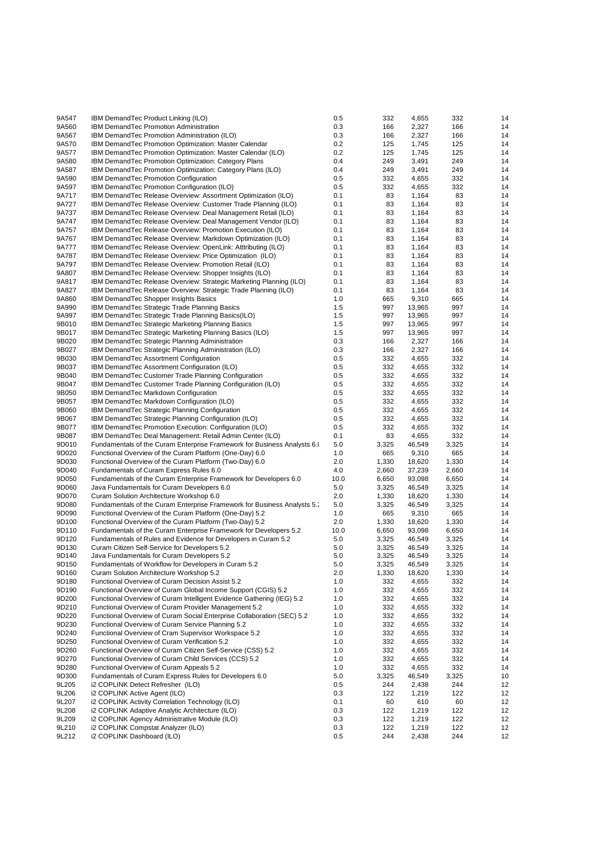| 9A547 | IBM DemandTec Product Linking (ILO)                                     | 0.5  | 332   | 4,655  | 332   | 14 |
|-------|-------------------------------------------------------------------------|------|-------|--------|-------|----|
| 9A560 | <b>IBM DemandTec Promotion Administration</b>                           | 0.3  | 166   | 2,327  | 166   | 14 |
|       |                                                                         |      |       |        |       |    |
| 9A567 | IBM DemandTec Promotion Administration (ILO)                            | 0.3  | 166   | 2,327  | 166   | 14 |
| 9A570 | IBM DemandTec Promotion Optimization: Master Calendar                   | 0.2  | 125   | 1,745  | 125   | 14 |
| 9A577 | IBM DemandTec Promotion Optimization: Master Calendar (ILO)             | 0.2  | 125   | 1,745  | 125   | 14 |
|       |                                                                         |      |       |        |       |    |
| 9A580 | IBM DemandTec Promotion Optimization: Category Plans                    | 0.4  | 249   | 3,491  | 249   | 14 |
| 9A587 | IBM DemandTec Promotion Optimization: Category Plans (ILO)              | 0.4  | 249   | 3,491  | 249   | 14 |
| 9A590 | IBM DemandTec Promotion Configuration                                   | 0.5  | 332   | 4,655  | 332   | 14 |
|       |                                                                         |      |       |        |       |    |
| 9A597 | IBM DemandTec Promotion Configuration (ILO)                             | 0.5  | 332   | 4,655  | 332   | 14 |
| 9A717 | IBM DemandTec Release Overview: Assortment Optimization (ILO)           | 0.1  | 83    | 1,164  | 83    | 14 |
| 9A727 | IBM Demand Tec Release Overview: Customer Trade Planning (ILO)          | 0.1  | 83    | 1,164  | 83    | 14 |
|       |                                                                         |      |       |        |       |    |
| 9A737 | IBM DemandTec Release Overview: Deal Management Retail (ILO)            | 0.1  | 83    | 1,164  | 83    | 14 |
| 9A747 | IBM DemandTec Release Overview: Deal Management Vendor (ILO)            | 0.1  | 83    | 1,164  | 83    | 14 |
| 9A757 | IBM DemandTec Release Overview: Promotion Execution (ILO)               | 0.1  | 83    |        | 83    | 14 |
|       |                                                                         |      |       | 1,164  |       |    |
| 9A767 | IBM DemandTec Release Overview: Markdown Optimization (ILO)             | 0.1  | 83    | 1,164  | 83    | 14 |
| 9A777 | IBM DemandTec Release Overview: OpenLink: Atttributing (ILO)            | 0.1  | 83    | 1,164  | 83    | 14 |
| 9A787 | IBM DemandTec Release Overview: Price Optimization (ILO)                | 0.1  | 83    | 1,164  | 83    | 14 |
|       |                                                                         |      |       |        |       |    |
| 9A797 | IBM DemandTec Release Overview: Promotion Retail (ILO)                  | 0.1  | 83    | 1,164  | 83    | 14 |
| 9A807 | IBM DemandTec Release Overview: Shopper Insights (ILO)                  | 0.1  | 83    | 1,164  | 83    | 14 |
| 9A817 |                                                                         | 0.1  | 83    |        | 83    | 14 |
|       | IBM DemandTec Release Overview: Strategic Marketing Planning (ILO)      |      |       | 1,164  |       |    |
| 9A827 | IBM Demand Tec Release Overview: Strategic Trade Planning (ILO)         | 0.1  | 83    | 1,164  | 83    | 14 |
| 9A860 | IBM DemandTec Shopper Insights Basics                                   | 1.0  | 665   | 9,310  | 665   | 14 |
|       |                                                                         |      |       |        |       |    |
| 9A990 | IBM DemandTec Strategic Trade Planning Basics                           | 1.5  | 997   | 13,965 | 997   | 14 |
| 9A997 | IBM DemandTec Strategic Trade Planning Basics(ILO)                      | 1.5  | 997   | 13,965 | 997   | 14 |
| 9B010 | IBM DemandTec Strategic Marketing Planning Basics                       | 1.5  | 997   | 13,965 | 997   | 14 |
|       |                                                                         |      |       |        |       |    |
| 9B017 | IBM DemandTec Strategic Marketing Planning Basics (ILO)                 | 1.5  | 997   | 13,965 | 997   | 14 |
| 9B020 | IBM DemandTec Strategic Planning Administration                         | 0.3  | 166   | 2,327  | 166   | 14 |
| 9B027 | IBM DemandTec Strategic Planning Administration (ILO)                   | 0.3  | 166   | 2,327  | 166   | 14 |
|       |                                                                         |      |       |        |       |    |
| 9B030 | IBM DemandTec Assortment Configuration                                  | 0.5  | 332   | 4,655  | 332   | 14 |
| 9B037 | IBM DemandTec Assortment Configuration (ILO)                            | 0.5  | 332   | 4,655  | 332   | 14 |
|       |                                                                         |      |       |        |       |    |
| 9B040 | IBM DemandTec Customer Trade Planning Configuration                     | 0.5  | 332   | 4,655  | 332   | 14 |
| 9B047 | IBM DemandTec Customer Trade Planning Configuration (ILO)               | 0.5  | 332   | 4,655  | 332   | 14 |
| 9B050 | IBM DemandTec Markdown Configuration                                    | 0.5  | 332   | 4,655  | 332   | 14 |
|       |                                                                         |      |       |        |       |    |
| 9B057 | IBM DemandTec Markdown Configuration (ILO)                              | 0.5  | 332   | 4,655  | 332   | 14 |
| 9B060 | IBM DemandTec Strategic Planning Configuration                          | 0.5  | 332   | 4,655  | 332   | 14 |
| 9B067 | IBM DemandTec Strategic Planning Configuration (ILO)                    | 0.5  | 332   | 4,655  | 332   | 14 |
|       |                                                                         |      |       |        |       |    |
| 9B077 | IBM DemandTec Promotion Execution: Configuration (ILO)                  | 0.5  | 332   | 4,655  | 332   | 14 |
| 9B087 | IBM Demand Tec Deal Management: Retail Admin Center (ILO)               | 0.1  | 83    | 4,655  | 332   | 14 |
| 9D010 | Fundamentals of the Curam Enterprise Framework for Business Analysts 6. | 5.0  | 3,325 | 46,549 | 3,325 | 14 |
|       |                                                                         |      |       |        |       |    |
| 9D020 | Functional Overview of the Curam Platform (One-Day) 6.0                 | 1.0  | 665   | 9,310  | 665   | 14 |
| 9D030 | Functional Overview of the Curam Platform (Two-Day) 6.0                 | 2.0  | 1,330 | 18,620 | 1,330 | 14 |
| 9D040 | Fundamentals of Curam Express Rules 6.0                                 | 4.0  | 2,660 | 37,239 | 2,660 | 14 |
|       |                                                                         |      |       |        |       |    |
| 9D050 | Fundamentals of the Curam Enterprise Framework for Developers 6.0       | 10.0 | 6,650 | 93,098 | 6,650 | 14 |
| 9D060 | Java Fundamentals for Curam Developers 6.0                              | 5.0  | 3,325 | 46,549 | 3,325 | 14 |
| 9D070 |                                                                         | 2.0  |       |        |       | 14 |
|       | Curam Solution Architecture Workshop 6.0                                |      | 1,330 | 18,620 | 1,330 |    |
| 9D080 | Fundamentals of the Curam Enterprise Framework for Business Analysts 5. | 5.0  | 3,325 | 46,549 | 3,325 | 14 |
| 9D090 | Functional Overview of the Curam Platform (One-Day) 5.2                 | 1.0  | 665   | 9,310  | 665   | 14 |
|       |                                                                         | 2.0  |       |        |       |    |
| 9D100 | Functional Overview of the Curam Platform (Two-Day) 5.2                 |      | 1,330 | 18,620 | 1,330 | 14 |
| 9D110 | Fundamentals of the Curam Enterprise Framework for Developers 5.2       | 10.0 | 6,650 | 93,098 | 6,650 | 14 |
| 9D120 | Fundamentals of Rules and Evidence for Developers in Curam 5.2          | 5.0  | 3,325 | 46,549 | 3,325 | 14 |
|       |                                                                         |      |       |        |       |    |
| 9D130 | Curam Citizen Self-Service for Developers 5.2                           | 5.0  | 3,325 | 46,549 | 3,325 | 14 |
| 9D140 | Java Fundamentals for Curam Developers 5.2                              | 5.0  | 3,325 | 46,549 | 3,325 | 14 |
| 9D150 | Fundamentals of Workflow for Developers in Curam 5.2                    | 5.0  | 3,325 | 46,549 | 3,325 | 14 |
|       |                                                                         |      |       |        |       |    |
| 9D160 | Curam Solution Architecture Workshop 5.2                                | 2.0  | 1,330 | 18,620 | 1,330 | 14 |
| 9D180 | Functional Overview of Curam Decision Assist 5.2                        | 1.0  | 332   | 4,655  | 332   | 14 |
| 9D190 | Functional Overview of Curam Global Income Support (CGIS) 5.2           | 1.0  | 332   | 4,655  | 332   | 14 |
|       |                                                                         |      |       |        |       |    |
| 9D200 | Functional Overview of Curam Intelligent Evidence Gathering (IEG) 5.2   | 1.0  | 332   | 4,655  | 332   | 14 |
| 9D210 | Functional Overview of Curam Provider Management 5.2                    | 1.0  | 332   | 4,655  | 332   | 14 |
| 9D220 | Functional Overview of Curam Social Enterprise Collaboration (SEC) 5.2  | 1.0  | 332   | 4,655  | 332   | 14 |
|       |                                                                         |      |       |        |       |    |
| 9D230 | Functional Overview of Curam Service Planning 5.2                       | 1.0  | 332   | 4,655  | 332   | 14 |
| 9D240 | Functional Overview of Cram Supervisor Workspace 5.2                    | 1.0  | 332   | 4,655  | 332   | 14 |
| 9D250 | Functional Overview of Curam Verification 5.2                           | 1.0  | 332   | 4,655  | 332   | 14 |
|       |                                                                         |      |       |        |       |    |
| 9D260 | Functional Overview of Curam Citizen Self-Service (CSS) 5.2             | 1.0  | 332   | 4,655  | 332   | 14 |
| 9D270 | Functional Overview of Curam Child Services (CCS) 5.2                   | 1.0  | 332   | 4,655  | 332   | 14 |
|       |                                                                         |      |       |        |       |    |
| 9D280 | Functional Overview of Curam Appeals 5.2                                | 1.0  | 332   | 4,655  | 332   | 14 |
| 9D300 | Fundamentals of Curam Express Rules for Developers 6.0                  | 5.0  | 3,325 | 46,549 | 3,325 | 10 |
| 9L205 | i2 COPLINK Detect Refresher (ILO)                                       | 0.5  | 244   | 2,438  | 244   | 12 |
|       |                                                                         |      |       |        |       |    |
| 9L206 | i2 COPLINK Active Agent (ILO)                                           | 0.3  | 122   | 1,219  | 122   | 12 |
| 9L207 | i2 COPLINK Activity Correlation Technology (ILO)                        | 0.1  | 60    | 610    | 60    | 12 |
| 9L208 | i2 COPLINK Adaptive Analytic Architecture (ILO)                         | 0.3  | 122   | 1,219  | 122   | 12 |
|       |                                                                         |      |       |        |       |    |
| 9L209 | i2 COPLINK Agency Administrative Module (ILO)                           | 0.3  | 122   | 1,219  | 122   | 12 |
| 9L210 | i2 COPLINK Compstat Analyzer (ILO)                                      | 0.3  | 122   | 1,219  | 122   | 12 |
| 9L212 | i2 COPLINK Dashboard (ILO)                                              | 0.5  | 244   | 2,438  | 244   | 12 |
|       |                                                                         |      |       |        |       |    |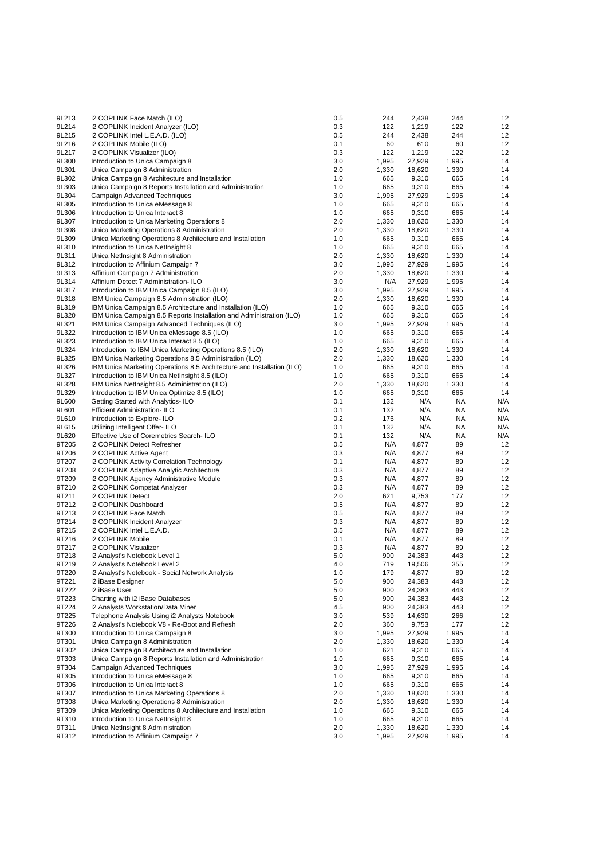| 9L213 | i2 COPLINK Face Match (ILO)                                            | 0.5 | 244   | 2,438  | 244   | 12  |
|-------|------------------------------------------------------------------------|-----|-------|--------|-------|-----|
| 9L214 | i2 COPLINK Incident Analyzer (ILO)                                     | 0.3 | 122   | 1,219  | 122   | 12  |
| 9L215 | i2 COPLINK Intel L.E.A.D. (ILO)                                        | 0.5 | 244   | 2,438  | 244   | 12  |
| 9L216 | i2 COPLINK Mobile (ILO)                                                | 0.1 | 60    | 610    | 60    | 12  |
| 9L217 | i2 COPLINK Visualizer (ILO)                                            | 0.3 | 122   | 1,219  | 122   | 12  |
| 9L300 | Introduction to Unica Campaign 8                                       | 3.0 | 1,995 | 27,929 | 1,995 | 14  |
| 9L301 | Unica Campaign 8 Administration                                        | 2.0 | 1,330 | 18,620 | 1,330 | 14  |
| 9L302 | Unica Campaign 8 Architecture and Installation                         | 1.0 | 665   | 9,310  | 665   | 14  |
| 9L303 | Unica Campaign 8 Reports Installation and Administration               | 1.0 | 665   | 9,310  | 665   | 14  |
| 9L304 | Campaign Advanced Techniques                                           | 3.0 | 1,995 | 27,929 | 1,995 | 14  |
| 9L305 | Introduction to Unica eMessage 8                                       | 1.0 | 665   | 9,310  | 665   | 14  |
| 9L306 | Introduction to Unica Interact 8                                       | 1.0 | 665   | 9,310  | 665   | 14  |
| 9L307 | Introduction to Unica Marketing Operations 8                           | 2.0 | 1,330 | 18,620 | 1,330 | 14  |
|       | Unica Marketing Operations 8 Administration                            | 2.0 |       |        |       | 14  |
| 9L308 |                                                                        |     | 1,330 | 18,620 | 1,330 |     |
| 9L309 | Unica Marketing Operations 8 Architecture and Installation             | 1.0 | 665   | 9,310  | 665   | 14  |
| 9L310 | Introduction to Unica NetInsight 8                                     | 1.0 | 665   | 9,310  | 665   | 14  |
| 9L311 | Unica NetInsight 8 Administration                                      | 2.0 | 1,330 | 18,620 | 1,330 | 14  |
| 9L312 | Introduction to Affinium Campaign 7                                    | 3.0 | 1,995 | 27,929 | 1,995 | 14  |
| 9L313 | Affinium Campaign 7 Administration                                     | 2.0 | 1,330 | 18,620 | 1,330 | 14  |
| 9L314 | Affinium Detect 7 Administration-ILO                                   | 3.0 | N/A   | 27,929 | 1,995 | 14  |
| 9L317 | Introduction to IBM Unica Campaign 8.5 (ILO)                           | 3.0 | 1,995 | 27,929 | 1,995 | 14  |
| 9L318 | IBM Unica Campaign 8.5 Administration (ILO)                            | 2.0 | 1,330 | 18,620 | 1,330 | 14  |
| 9L319 | IBM Unica Campaign 8.5 Architecture and Installation (ILO)             | 1.0 | 665   | 9,310  | 665   | 14  |
| 9L320 | IBM Unica Campaign 8.5 Reports Installation and Administration (ILO)   | 1.0 | 665   | 9,310  | 665   | 14  |
| 9L321 | IBM Unica Campaign Advanced Techniques (ILO)                           | 3.0 | 1,995 | 27,929 | 1,995 | 14  |
| 9L322 | Introduction to IBM Unica eMessage 8.5 (ILO)                           | 1.0 | 665   | 9,310  | 665   | 14  |
| 9L323 | Introduction to IBM Unica Interact 8.5 (ILO)                           | 1.0 | 665   | 9,310  | 665   | 14  |
| 9L324 | Introduction to IBM Unica Marketing Operations 8.5 (ILO)               | 2.0 | 1,330 | 18,620 | 1,330 | 14  |
| 9L325 | IBM Unica Marketing Operations 8.5 Administration (ILO)                | 2.0 | 1,330 | 18,620 | 1,330 | 14  |
| 9L326 | IBM Unica Marketing Operations 8.5 Architecture and Installation (ILO) | 1.0 | 665   | 9,310  | 665   | 14  |
| 9L327 | Introduction to IBM Unica NetInsight 8.5 (ILO)                         | 1.0 | 665   | 9,310  | 665   | 14  |
| 9L328 | IBM Unica NetInsight 8.5 Administration (ILO)                          | 2.0 | 1,330 | 18,620 | 1,330 | 14  |
| 9L329 |                                                                        | 1.0 | 665   |        | 665   | 14  |
|       | Introduction to IBM Unica Optimize 8.5 (ILO)                           |     |       | 9,310  |       |     |
| 9L600 | Getting Started with Analytics-ILO                                     | 0.1 | 132   | N/A    | NA    | N/A |
| 9L601 | <b>Efficient Administration-ILO</b>                                    | 0.1 | 132   | N/A    | NA    | N/A |
| 9L610 | Introduction to Explore-ILO                                            | 0.2 | 176   | N/A    | NA    | N/A |
| 9L615 | Utilizing Intelligent Offer-ILO                                        | 0.1 | 132   | N/A    | ΝA    | N/A |
| 9L620 | Effective Use of Coremetrics Search-ILO                                | 0.1 | 132   | N/A    | NA    | N/A |
| 9T205 | i2 COPLINK Detect Refresher                                            | 0.5 | N/A   | 4,877  | 89    | 12  |
| 9T206 | i2 COPLINK Active Agent                                                | 0.3 | N/A   | 4,877  | 89    | 12  |
| 9T207 | i2 COPLINK Activity Correlation Technology                             | 0.1 | N/A   | 4,877  | 89    | 12  |
| 9T208 | i2 COPLINK Adaptive Analytic Architecture                              | 0.3 | N/A   | 4,877  | 89    | 12  |
| 9T209 | i2 COPLINK Agency Administrative Module                                | 0.3 | N/A   | 4,877  | 89    | 12  |
| 9T210 | i2 COPLINK Compstat Analyzer                                           | 0.3 | N/A   | 4,877  | 89    | 12  |
| 9T211 | i2 COPLINK Detect                                                      | 2.0 | 621   | 9,753  | 177   | 12  |
| 9T212 | i2 COPLINK Dashboard                                                   | 0.5 | N/A   | 4,877  | 89    | 12  |
| 9T213 | i2 COPLINK Face Match                                                  | 0.5 | N/A   | 4,877  | 89    | 12  |
| 9T214 | i2 COPLINK Incident Analyzer                                           | 0.3 | N/A   | 4,877  | 89    | 12  |
| 9T215 | i2 COPLINK Intel L.E.A.D.                                              | 0.5 | N/A   | 4,877  | 89    | 12  |
| 9T216 | i2 COPLINK Mobile                                                      | 0.1 | N/A   | 4,877  | 89    | 12  |
| 9T217 | i2 COPLINK Visualizer                                                  | 0.3 | N/A   | 4,877  | 89    | 12  |
| 9T218 | i2 Analyst's Notebook Level 1                                          | 5.0 | 900   | 24,383 | 443   | 12  |
|       |                                                                        |     | 719   |        | 355   |     |
| 9T219 | i2 Analyst's Notebook Level 2                                          | 4.0 |       | 19,506 |       | 12  |
| 9T220 | i2 Analyst's Notebook - Social Network Analysis                        | 1.0 | 179   | 4,877  | 89    | 12  |
| 9T221 | i2 iBase Designer                                                      | 5.0 | 900   | 24,383 | 443   | 12  |
| 9T222 | i2 iBase User                                                          | 5.0 | 900   | 24,383 | 443   | 12  |
| 9T223 | Charting with i2 iBase Databases                                       | 5.0 | 900   | 24,383 | 443   | 12  |
| 9T224 | i2 Analysts Workstation/Data Miner                                     | 4.5 | 900   | 24,383 | 443   | 12  |
| 9T225 | Telephone Analysis Using i2 Analysts Notebook                          | 3.0 | 539   | 14,630 | 266   | 12  |
| 9T226 | i2 Analyst's Notebook V8 - Re-Boot and Refresh                         | 2.0 | 360   | 9,753  | 177   | 12  |
| 9T300 | Introduction to Unica Campaign 8                                       | 3.0 | 1,995 | 27,929 | 1,995 | 14  |
| 9T301 | Unica Campaign 8 Administration                                        | 2.0 | 1,330 | 18,620 | 1,330 | 14  |
| 9T302 | Unica Campaign 8 Architecture and Installation                         | 1.0 | 621   | 9,310  | 665   | 14  |
| 9T303 | Unica Campaign 8 Reports Installation and Administration               | 1.0 | 665   | 9,310  | 665   | 14  |
| 9T304 | Campaign Advanced Techniques                                           | 3.0 | 1,995 | 27,929 | 1,995 | 14  |
| 9T305 | Introduction to Unica eMessage 8                                       | 1.0 | 665   | 9,310  | 665   | 14  |
| 9T306 | Introduction to Unica Interact 8                                       | 1.0 | 665   | 9,310  | 665   | 14  |
| 9T307 | Introduction to Unica Marketing Operations 8                           | 2.0 | 1,330 | 18,620 | 1,330 | 14  |
| 9T308 | Unica Marketing Operations 8 Administration                            | 2.0 | 1,330 | 18,620 | 1,330 | 14  |
| 9T309 | Unica Marketing Operations 8 Architecture and Installation             | 1.0 | 665   | 9,310  | 665   | 14  |
| 9T310 | Introduction to Unica NetInsight 8                                     | 1.0 | 665   | 9,310  | 665   | 14  |
| 9T311 | Unica NetInsight 8 Administration                                      | 2.0 | 1,330 |        | 1,330 | 14  |
|       |                                                                        |     |       | 18,620 |       |     |
| 9T312 | Introduction to Affinium Campaign 7                                    | 3.0 | 1,995 | 27,929 | 1,995 | 14  |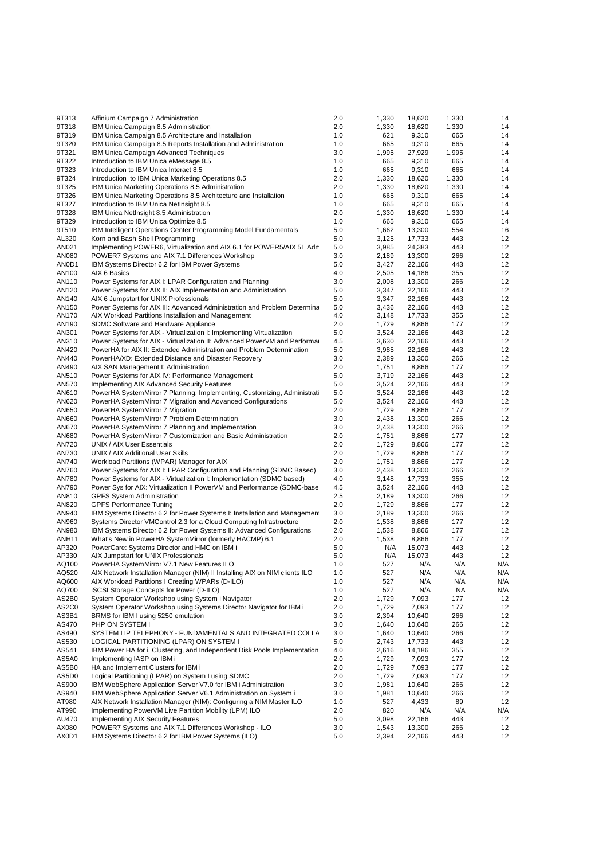| 9T313                      | Affinium Campaign 7 Administration                                                                                                       | 2.0        | 1,330          | 18,620           | 1,330      | 14        |
|----------------------------|------------------------------------------------------------------------------------------------------------------------------------------|------------|----------------|------------------|------------|-----------|
| 9T318                      | IBM Unica Campaign 8.5 Administration                                                                                                    | 2.0        | 1,330          | 18,620           | 1,330      | 14        |
| 9T319                      | IBM Unica Campaign 8.5 Architecture and Installation                                                                                     | 1.0        | 621            | 9,310            | 665        | 14        |
| 9T320                      | IBM Unica Campaign 8.5 Reports Installation and Administration                                                                           | 1.0        | 665            | 9,310            | 665        | 14        |
| 9T321                      | IBM Unica Campaign Advanced Techniques                                                                                                   | 3.0        | 1,995          | 27,929           | 1,995      | 14        |
| 9T322                      | Introduction to IBM Unica eMessage 8.5                                                                                                   | 1.0        | 665            | 9,310            | 665        | 14        |
| 9T323                      | Introduction to IBM Unica Interact 8.5                                                                                                   | 1.0        | 665            | 9,310            | 665        | 14        |
| 9T324                      | Introduction to IBM Unica Marketing Operations 8.5                                                                                       | 2.0        | 1,330          | 18,620           | 1,330      | 14        |
| 9T325                      | IBM Unica Marketing Operations 8.5 Administration                                                                                        | 2.0        | 1,330          | 18,620           | 1,330      | 14        |
| 9T326<br>9T327             | IBM Unica Marketing Operations 8.5 Architecture and Installation                                                                         | 1.0<br>1.0 | 665<br>665     | 9,310            | 665<br>665 | 14<br>14  |
| 9T328                      | Introduction to IBM Unica NetInsight 8.5<br>IBM Unica NetInsight 8.5 Administration                                                      | 2.0        | 1,330          | 9,310<br>18,620  | 1,330      | 14        |
| 9T329                      | Introduction to IBM Unica Optimize 8.5                                                                                                   | 1.0        | 665            | 9,310            | 665        | 14        |
| 9T510                      | IBM Intelligent Operations Center Programming Model Fundamentals                                                                         | 5.0        | 1,662          | 13,300           | 554        | 16        |
| AL320                      | Korn and Bash Shell Programming                                                                                                          | 5.0        | 3,125          | 17,733           | 443        | 12        |
| AN021                      | Implementing POWER6, Virtualization and AIX 6.1 for POWER5/AIX 5L Adn                                                                    | 5.0        | 3,985          | 24,383           | 443        | 12        |
| AN080                      | POWER7 Systems and AIX 7.1 Differences Workshop                                                                                          | 3.0        | 2,189          | 13,300           | 266        | 12        |
| AN0D1                      | IBM Systems Director 6.2 for IBM Power Systems                                                                                           | 5.0        | 3,427          | 22,166           | 443        | 12        |
| AN100                      | AIX 6 Basics                                                                                                                             | 4.0        | 2,505          | 14,186           | 355        | 12        |
| AN110                      | Power Systems for AIX I: LPAR Configuration and Planning                                                                                 | 3.0        | 2,008          | 13,300           | 266        | 12        |
| AN120                      | Power Systems for AIX II: AIX Implementation and Administration                                                                          | 5.0        | 3,347          | 22,166           | 443        | 12        |
| AN140                      | AIX 6 Jumpstart for UNIX Professionals                                                                                                   | 5.0        | 3,347          | 22,166           | 443        | 12        |
| AN150                      | Power Systems for AIX III: Advanced Administration and Problem Determina                                                                 | 5.0        | 3,436          | 22,166           | 443        | 12        |
| AN170                      | AIX Workload Partitions Installation and Management                                                                                      | 4.0        | 3,148          | 17,733           | 355        | 12        |
| AN190                      | SDMC Software and Hardware Appliance                                                                                                     | 2.0        | 1,729          | 8,866            | 177        | 12        |
| AN301                      | Power Systems for AIX - Virtualization I: Implementing Virtualization                                                                    | 5.0        | 3,524          | 22,166           | 443        | 12        |
| AN310                      | Power Systems for AIX - Virtualization II: Advanced PowerVM and Performal                                                                | 4.5        | 3,630          | 22,166           | 443        | 12        |
| AN420                      | PowerHA for AIX II: Extended Administration and Problem Determination                                                                    | 5.0        | 3,985          | 22,166           | 443        | 12        |
| AN440                      | PowerHA/XD: Extended Distance and Disaster Recovery                                                                                      | 3.0        | 2,389          | 13,300           | 266        | 12        |
| AN490                      | AIX SAN Management I: Administration                                                                                                     | 2.0        | 1,751          | 8,866            | 177        | 12        |
| AN510<br>AN570             | Power Systems for AIX IV: Performance Management                                                                                         | 5.0<br>5.0 | 3,719<br>3,524 | 22,166<br>22,166 | 443<br>443 | 12<br>12  |
| AN610                      | Implementing AIX Advanced Security Features<br>PowerHA SystemMirror 7 Planning, Implementing, Customizing, Administrati                  | 5.0        | 3,524          | 22,166           | 443        | 12        |
| AN620                      | PowerHA SystemMirror 7 Migration and Advanced Configurations                                                                             | 5.0        | 3,524          | 22,166           | 443        | 12        |
| AN650                      | PowerHA SystemMirror 7 Migration                                                                                                         | 2.0        | 1,729          | 8,866            | 177        | 12        |
| AN660                      | PowerHA SystemMirror 7 Problem Determination                                                                                             | 3.0        | 2,438          | 13,300           | 266        | 12        |
| AN670                      | PowerHA SystemMirror 7 Planning and Implementation                                                                                       | 3.0        | 2,438          | 13,300           | 266        | 12        |
| AN680                      | PowerHA SystemMirror 7 Customization and Basic Administration                                                                            | 2.0        | 1,751          | 8,866            | 177        | 12        |
| AN720                      | UNIX / AIX User Essentials                                                                                                               | 2.0        | 1,729          | 8,866            | 177        | 12        |
| AN730                      | UNIX / AIX Additional User Skills                                                                                                        | 2.0        | 1,729          | 8,866            | 177        | 12        |
| AN740                      | Workload Partitions (WPAR) Manager for AIX                                                                                               | 2.0        | 1,751          | 8,866            | 177        | 12        |
| AN760                      | Power Systems for AIX I: LPAR Configuration and Planning (SDMC Based)                                                                    | 3.0        | 2,438          | 13,300           | 266        | 12        |
| AN780                      | Power Systems for AIX - Virtualization I: Implementation (SDMC based)                                                                    | 4.0        | 3,148          | 17,733           | 355        | 12        |
| AN790                      | Power Sys for AIX: Virtualization II PowerVM and Performance (SDMC-base                                                                  | 4.5        | 3,524          | 22,166           | 443        | 12        |
| AN810                      | <b>GPFS System Administration</b>                                                                                                        | 2.5        | 2,189          | 13,300           | 266        | 12        |
| AN820                      | <b>GPFS Performance Tuning</b>                                                                                                           | 2.0        | 1,729          | 8,866            | 177        | 12        |
| AN940                      | IBM Systems Director 6.2 for Power Systems I: Installation and Managemen                                                                 | 3.0        | 2,189          | 13,300           | 266        | 12        |
| AN960                      | Systems Director VMControl 2.3 for a Cloud Computing Infrastructure                                                                      | 2.0        | 1,538          | 8,866            | 177        | 12        |
| AN980                      | IBM Systems Director 6.2 for Power Systems II: Advanced Configurations                                                                   | 2.0        | 1,538          | 8,866            | 177        | 12        |
| ANH <sub>11</sub><br>AP320 | What's New in PowerHA SystemMirror (formerly HACMP) 6.1<br>PowerCare: Systems Director and HMC on IBM i                                  | 2.0<br>5.0 | 1,538<br>N/A   | 8,866<br>15,073  | 177<br>443 | 12<br>12  |
| AP330                      | AIX Jumpstart for UNIX Professionals                                                                                                     | 5.0        | N/A            | 15,073           | 443        | 12        |
| AQ100                      | PowerHA SystemMirror V7.1 New Features ILO                                                                                               | 1.0        | 527            | N/A              | N/A        | N/A       |
| AQ520                      | AIX Network Installation Manager (NIM) II Installing AIX on NIM clients ILO                                                              | 1.0        | 527            | N/A              | N/A        | N/A       |
| AQ600                      | AIX Workload Partitions I Creating WPARs (D-ILO)                                                                                         | 1.0        | 527            | N/A              | N/A        | N/A       |
| AQ700                      | iSCSI Storage Concepts for Power (D-ILO)                                                                                                 | 1.0        | 527            | N/A              | NA         | N/A       |
| AS2B0                      | System Operator Workshop using System i Navigator                                                                                        | 2.0        | 1,729          | 7,093            | 177        | 12        |
| AS2C0                      | System Operator Workshop using Systems Director Navigator for IBM i                                                                      | 2.0        | 1,729          | 7,093            | 177        | 12        |
| AS3B1                      | BRMS for IBM I using 5250 emulation                                                                                                      | 3.0        | 2,394          | 10,640           | 266        | 12        |
| AS470                      | PHP ON SYSTEM I                                                                                                                          | 3.0        | 1,640          | 10,640           | 266        | 12        |
| AS490                      | SYSTEM I IP TELEPHONY - FUNDAMENTALS AND INTEGRATED COLLA                                                                                | 3.0        | 1,640          | 10,640           | 266        | 12        |
| AS530                      | LOGICAL PARTITIONING (LPAR) ON SYSTEM I                                                                                                  | 5.0        | 2,743          | 17,733           | 443        | 12        |
| AS541                      | IBM Power HA for i, Clustering, and Independent Disk Pools Implementation                                                                | 4.0        | 2,616          | 14,186           | 355        | 12        |
| AS5A0                      | Implementing IASP on IBM i                                                                                                               | 2.0        | 1,729          | 7,093            | 177        | 12        |
| AS5B0                      | HA and Implement Clusters for IBM i                                                                                                      | 2.0        | 1,729          | 7,093            | 177        | 12        |
| AS5D0                      | Logical Partitioning (LPAR) on System I using SDMC                                                                                       | 2.0        | 1,729          | 7,093            | 177        | 12        |
| AS900                      | IBM WebSphere Application Server V7.0 for IBM i Administration                                                                           | 3.0        | 1,981          | 10,640           | 266        | 12        |
| AS940                      | IBM WebSphere Application Server V6.1 Administration on System i<br>AIX Network Installation Manager (NIM): Configuring a NIM Master ILO | 3.0        | 1,981          | 10,640           | 266        | 12        |
| AT980<br>AT990             | Implementing PowerVM Live Partition Mobility (LPM) ILO                                                                                   | 1.0<br>2.0 | 527<br>820     | 4,433<br>N/A     | 89<br>N/A  | 12        |
| AU470                      | <b>Implementing AIX Security Features</b>                                                                                                | 5.0        | 3,098          | 22,166           | 443        | N/A<br>12 |
| AX080                      | POWER7 Systems and AIX 7.1 Differences Workshop - ILO                                                                                    | 3.0        | 1,543          | 13,300           | 266        | 12        |
| AX0D1                      | IBM Systems Director 6.2 for IBM Power Systems (ILO)                                                                                     | 5.0        | 2,394          | 22,166           | 443        | 12        |
|                            |                                                                                                                                          |            |                |                  |            |           |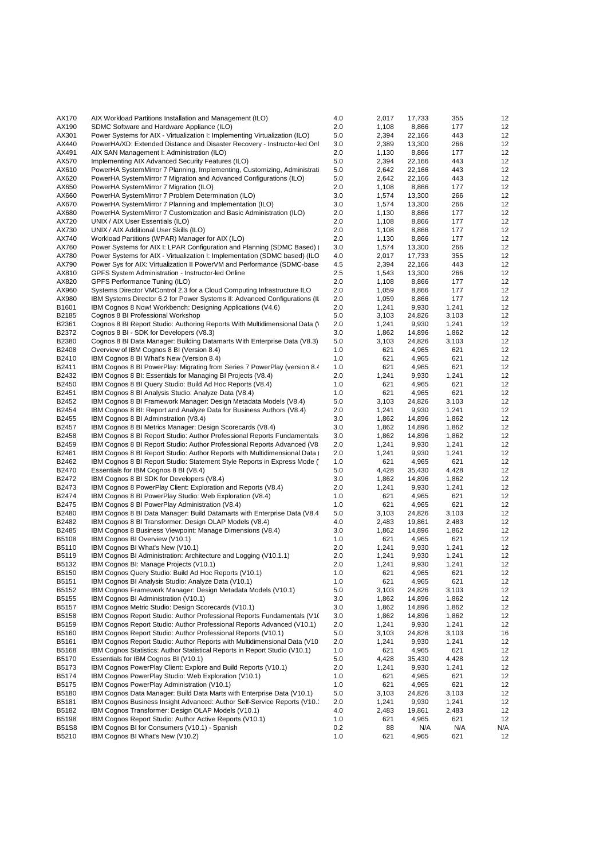| AX170                 | AIX Workload Partitions Installation and Management (ILO)                                                                                              | 4.0        | 2,017          | 17,733          | 355            | 12        |
|-----------------------|--------------------------------------------------------------------------------------------------------------------------------------------------------|------------|----------------|-----------------|----------------|-----------|
| AX190                 | SDMC Software and Hardware Appliance (ILO)                                                                                                             | 2.0        | 1,108          | 8,866           | 177            | 12        |
| AX301                 | Power Systems for AIX - Virtualization I: Implementing Virtualization (ILO)                                                                            | 5.0        | 2,394          | 22,166          | 443            | 12        |
| AX440                 | PowerHA/XD: Extended Distance and Disaster Recovery - Instructor-led Onl                                                                               | 3.0        | 2,389          | 13,300          | 266            | 12        |
| AX491<br>AX570        | AIX SAN Management I: Administration (ILO)<br>Implementing AIX Advanced Security Features (ILO)                                                        | 2.0<br>5.0 | 1,130<br>2,394 | 8,866<br>22,166 | 177<br>443     | 12<br>12  |
| AX610                 | PowerHA SystemMirror 7 Planning, Implementing, Customizing, Administrati                                                                               | 5.0        | 2,642          | 22,166          | 443            | 12        |
| AX620                 | PowerHA SystemMirror 7 Migration and Advanced Configurations (ILO)                                                                                     | 5.0        | 2,642          | 22,166          | 443            | 12        |
| AX650                 | PowerHA SystemMirror 7 Migration (ILO)                                                                                                                 | 2.0        | 1,108          | 8,866           | 177            | 12        |
| AX660                 | PowerHA SystemMirror 7 Problem Determination (ILO)                                                                                                     | 3.0        | 1,574          | 13,300          | 266            | 12        |
| AX670                 | PowerHA SystemMirror 7 Planning and Implementation (ILO)                                                                                               | 3.0        | 1,574          | 13,300          | 266            | 12        |
| AX680                 | PowerHA SystemMirror 7 Customization and Basic Administration (ILO)                                                                                    | 2.0        | 1,130          | 8,866           | 177            | 12        |
| AX720                 | UNIX / AIX User Essentials (ILO)                                                                                                                       | 2.0        | 1,108          | 8,866           | 177            | 12        |
| AX730                 | UNIX / AIX Additional User Skills (ILO)                                                                                                                | 2.0        | 1,108          | 8,866           | 177            | 12        |
| AX740<br>AX760        | Workload Partitions (WPAR) Manager for AIX (ILO)<br>Power Systems for AIX I: LPAR Configuration and Planning (SDMC Based)                              | 2.0<br>3.0 | 1,130<br>1,574 | 8,866<br>13,300 | 177<br>266     | 12<br>12  |
| AX780                 | Power Systems for AIX - Virtualization I: Implementation (SDMC based) (ILO                                                                             | 4.0        | 2,017          | 17,733          | 355            | 12        |
| AX790                 | Power Sys for AIX: Virtualization II PowerVM and Performance (SDMC-base                                                                                | 4.5        | 2,394          | 22,166          | 443            | 12        |
| AX810                 | GPFS System Administration - Instructor-led Online                                                                                                     | 2.5        | 1,543          | 13,300          | 266            | 12        |
| AX820                 | GPFS Performance Tuning (ILO)                                                                                                                          | 2.0        | 1,108          | 8,866           | 177            | 12        |
| AX960                 | Systems Director VMControl 2.3 for a Cloud Computing Infrastructure ILO                                                                                | 2.0        | 1,059          | 8,866           | 177            | 12        |
| AX980                 | IBM Systems Director 6.2 for Power Systems II: Advanced Configurations (II                                                                             | 2.0        | 1,059          | 8,866           | 177            | 12        |
| B1601                 | IBM Cognos 8 Now! Workbench: Designing Applications (V4.6)                                                                                             | 2.0        | 1,241          | 9,930           | 1,241          | 12        |
| B2185<br>B2361        | Cognos 8 BI Professional Workshop                                                                                                                      | 5.0<br>2.0 | 3,103<br>1,241 | 24,826<br>9,930 | 3,103<br>1,241 | 12<br>12  |
| B2372                 | Cognos 8 BI Report Studio: Authoring Reports With Multidimensional Data (V)<br>Cognos 8 BI - SDK for Developers (V8.3)                                 | 3.0        | 1,862          | 14,896          | 1,862          | 12        |
| B2380                 | Cognos 8 BI Data Manager: Building Datamarts With Enterprise Data (V8.3)                                                                               | 5.0        | 3,103          | 24,826          | 3,103          | 12        |
| B2408                 | Overview of IBM Cognos 8 BI (Version 8.4)                                                                                                              | 1.0        | 621            | 4,965           | 621            | 12        |
| B2410                 | IBM Cognos 8 BI What's New (Version 8.4)                                                                                                               | 1.0        | 621            | 4,965           | 621            | 12        |
| B2411                 | IBM Cognos 8 BI PowerPlay: Migrating from Series 7 PowerPlay (version 8.4)                                                                             | 1.0        | 621            | 4,965           | 621            | 12        |
| B2432                 | IBM Cognos 8 BI: Essentials for Managing BI Projects (V8.4)                                                                                            | 2.0        | 1,241          | 9,930           | 1,241          | 12        |
| B2450                 | IBM Cognos 8 BI Query Studio: Build Ad Hoc Reports (V8.4)                                                                                              | 1.0        | 621            | 4,965           | 621            | 12        |
| B2451                 | IBM Cognos 8 BI Analysis Studio: Analyze Data (V8.4)                                                                                                   | 1.0        | 621            | 4,965           | 621            | 12        |
| B2452<br>B2454        | IBM Cognos 8 BI Framework Manager: Design Metadata Models (V8.4)<br>IBM Cognos 8 BI: Report and Analyze Data for Business Authors (V8.4)               | 5.0<br>2.0 | 3,103<br>1,241 | 24,826<br>9,930 | 3,103<br>1,241 | 12<br>12  |
| B2455                 | IBM Cognos 8 BI Adminstration (V8.4)                                                                                                                   | 3.0        | 1,862          | 14,896          | 1,862          | 12        |
| B2457                 | IBM Cognos 8 BI Metrics Manager: Design Scorecards (V8.4)                                                                                              | 3.0        | 1,862          | 14,896          | 1,862          | 12        |
| B2458                 | IBM Cognos 8 BI Report Studio: Author Professional Reports Fundamentals                                                                                | 3.0        | 1,862          | 14,896          | 1,862          | 12        |
| B2459                 | IBM Cognos 8 BI Report Studio: Author Professional Reports Advanced (V8                                                                                | 2.0        | 1,241          | 9,930           | 1,241          | 12        |
| B2461                 | IBM Cognos 8 BI Report Studio: Author Reports with Multidimensional Data                                                                               | 2.0        | 1,241          | 9,930           | 1,241          | 12        |
| B2462                 | IBM Cognos 8 BI Report Studio: Statement Style Reports in Express Mode (                                                                               | 1.0        | 621            | 4,965           | 621            | 12        |
| B2470                 | Essentials for IBM Cognos 8 BI (V8.4)                                                                                                                  | 5.0        | 4,428          | 35,430          | 4,428          | 12        |
| B2472<br>B2473        | IBM Cognos 8 BI SDK for Developers (V8.4)<br>IBM Cognos 8 PowerPlay Client: Exploration and Reports (V8.4)                                             | 3.0<br>2.0 | 1,862<br>1,241 | 14,896<br>9,930 | 1,862<br>1,241 | 12<br>12  |
| B2474                 | IBM Cognos 8 BI PowerPlay Studio: Web Exploration (V8.4)                                                                                               | 1.0        | 621            | 4,965           | 621            | 12        |
| B2475                 | IBM Cognos 8 BI PowerPlay Administration (V8.4)                                                                                                        | 1.0        | 621            | 4,965           | 621            | 12        |
| B2480                 | IBM Cognos 8 BI Data Manager: Build Datamarts with Enterprise Data (V8.4)                                                                              | 5.0        | 3,103          | 24,826          | 3,103          | 12        |
| B2482                 | IBM Cognos 8 BI Transformer: Design OLAP Models (V8.4)                                                                                                 | 4.0        | 2,483          | 19,861          | 2,483          | 12        |
| B2485                 | IBM Cognos 8 Business Viewpoint: Manage Dimensions (V8.4)                                                                                              | 3.0        | 1,862          | 14,896          | 1,862          | 12        |
| B5108                 | IBM Cognos BI Overview (V10.1)                                                                                                                         | 1.0        | 621            | 4,965           | 621            | 12        |
| B5110                 | IBM Cognos BI What's New (V10.1)                                                                                                                       | 2.0        | 1,241          | 9,930           | 1,241          | 12        |
| B5119<br>B5132        | IBM Cognos BI Administration: Architecture and Logging (V10.1.1)<br>IBM Cognos BI: Manage Projects (V10.1)                                             | 2.0<br>2.0 | 1,241<br>1,241 | 9,930<br>9,930  | 1,241<br>1,241 | 12<br>12  |
| B5150                 | IBM Cognos Query Studio: Build Ad Hoc Reports (V10.1)                                                                                                  | 1.0        | 621            | 4,965           | 621            | 12        |
| B5151                 | IBM Cognos BI Analysis Studio: Analyze Data (V10.1)                                                                                                    | 1.0        | 621            | 4,965           | 621            | 12        |
| B5152                 | IBM Cognos Framework Manager: Design Metadata Models (V10.1)                                                                                           | 5.0        | 3,103          | 24,826          | 3,103          | 12        |
| B5155                 | IBM Cognos BI Administration (V10.1)                                                                                                                   | 3.0        | 1,862          | 14,896          | 1,862          | 12        |
| B5157                 | IBM Cognos Metric Studio: Design Scorecards (V10.1)                                                                                                    | 3.0        | 1,862          | 14,896          | 1,862          | 12        |
| B5158                 | IBM Cognos Report Studio: Author Professional Reports Fundamentals (V10)                                                                               | 3.0        | 1,862          | 14,896          | 1,862          | 12        |
| B5159                 | IBM Cognos Report Studio: Author Professional Reports Advanced (V10.1)                                                                                 | 2.0        | 1,241          | 9,930           | 1,241          | 12        |
| B5160                 | IBM Cognos Report Studio: Author Professional Reports (V10.1)                                                                                          | 5.0        | 3,103          | 24,826          | 3,103          | 16<br>12  |
| B5161<br>B5168        | IBM Cognos Report Studio: Author Reports with Multidimensional Data (V10<br>IBM Cognos Statistics: Author Statistical Reports in Report Studio (V10.1) | 2.0<br>1.0 | 1,241<br>621   | 9,930<br>4,965  | 1,241<br>621   | 12        |
| B5170                 | Essentials for IBM Cognos BI (V10.1)                                                                                                                   | 5.0        | 4,428          | 35,430          | 4,428          | 12        |
| B5173                 | IBM Cognos PowerPlay Client: Explore and Build Reports (V10.1)                                                                                         | 2.0        | 1,241          | 9,930           | 1,241          | 12        |
| B5174                 | IBM Cognos PowerPlay Studio: Web Exploration (V10.1)                                                                                                   | 1.0        | 621            | 4,965           | 621            | 12        |
| B5175                 | IBM Cognos PowerPlay Administration (V10.1)                                                                                                            | 1.0        | 621            | 4,965           | 621            | 12        |
| B5180                 | IBM Cognos Data Manager: Build Data Marts with Enterprise Data (V10.1)                                                                                 | 5.0        | 3,103          | 24,826          | 3,103          | 12        |
| B5181                 | IBM Cognos Business Insight Advanced: Author Self-Service Reports (V10.                                                                                | 2.0        | 1,241          | 9,930           | 1,241          | 12        |
| B5182                 | IBM Cognos Transformer: Design OLAP Models (V10.1)                                                                                                     | 4.0        | 2,483          | 19,861          | 2,483          | 12        |
| B5198<br><b>B51S8</b> | IBM Cognos Report Studio: Author Active Reports (V10.1)<br>IBM Cognos BI for Consumers (V10.1) - Spanish                                               | 1.0<br>0.2 | 621<br>88      | 4,965<br>N/A    | 621<br>N/A     | 12<br>N/A |
| B5210                 | IBM Cognos BI What's New (V10.2)                                                                                                                       | 1.0        | 621            | 4,965           | 621            | 12        |
|                       |                                                                                                                                                        |            |                |                 |                |           |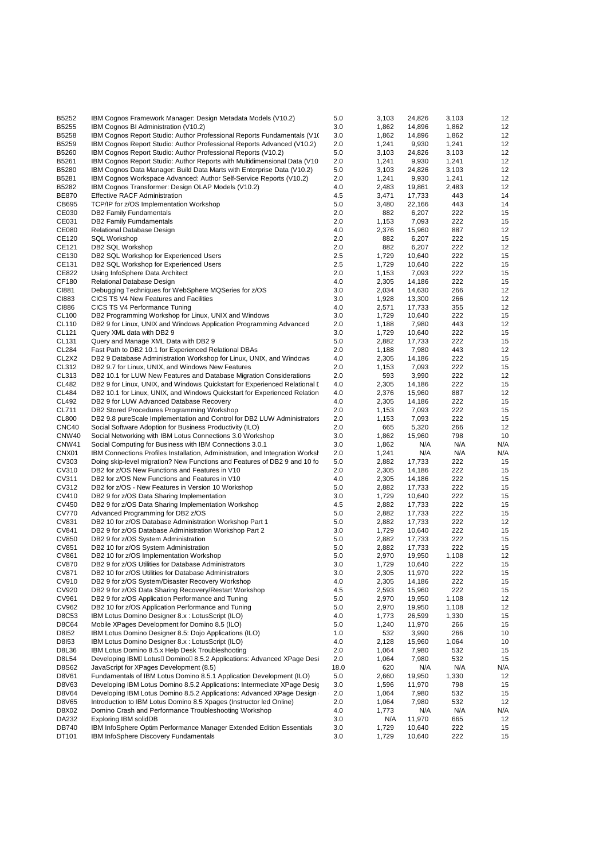| B5252                          | IBM Cognos Framework Manager: Design Metadata Models (V10.2)                  | 5.0  | 3,103 | 24,826 | 3,103 | 12  |
|--------------------------------|-------------------------------------------------------------------------------|------|-------|--------|-------|-----|
| B5255                          | IBM Cognos BI Administration (V10.2)                                          | 3.0  | 1,862 | 14,896 | 1,862 | 12  |
| B5258                          | IBM Cognos Report Studio: Author Professional Reports Fundamentals (V10)      | 3.0  | 1,862 | 14,896 | 1,862 | 12  |
|                                |                                                                               |      |       |        |       |     |
| B5259                          | IBM Cognos Report Studio: Author Professional Reports Advanced (V10.2)        | 2.0  | 1,241 | 9,930  | 1,241 | 12  |
| B5260                          | IBM Cognos Report Studio: Author Professional Reports (V10.2)                 | 5.0  | 3,103 | 24,826 | 3,103 | 12  |
| B5261                          | IBM Cognos Report Studio: Author Reports with Multidimensional Data (V10)     | 2.0  | 1,241 | 9,930  | 1,241 | 12  |
| B5280                          | IBM Cognos Data Manager: Build Data Marts with Enterprise Data (V10.2)        | 5.0  | 3,103 | 24,826 | 3,103 | 12  |
| B5281                          | IBM Cognos Workspace Advanced: Author Self-Service Reports (V10.2)            | 2.0  | 1,241 | 9,930  | 1,241 | 12  |
|                                |                                                                               |      |       |        |       |     |
| B5282                          | IBM Cognos Transformer: Design OLAP Models (V10.2)                            | 4.0  | 2,483 | 19,861 | 2,483 | 12  |
| <b>BE870</b>                   | <b>Effective RACF Administration</b>                                          | 4.5  | 3,471 | 17,733 | 443   | 14  |
| CB695                          | TCP/IP for z/OS Implementation Workshop                                       | 5.0  | 3,480 | 22,166 | 443   | 14  |
| CE030                          | <b>DB2 Family Fundamentals</b>                                                | 2.0  | 882   | 6,207  | 222   | 15  |
| CE031                          | DB2 Family Fumdamentals                                                       | 2.0  | 1,153 | 7,093  | 222   | 15  |
|                                |                                                                               |      |       |        |       |     |
| CE080                          | Relational Database Design                                                    | 4.0  | 2,376 | 15,960 | 887   | 12  |
| CE120                          | <b>SQL Workshop</b>                                                           | 2.0  | 882   | 6,207  | 222   | 15  |
| CE121                          | DB2 SQL Workshop                                                              | 2.0  | 882   | 6,207  | 222   | 12  |
| CE130                          | DB2 SQL Workshop for Experienced Users                                        | 2.5  | 1,729 | 10,640 | 222   | 15  |
| CE131                          | DB2 SQL Workshop for Experienced Users                                        | 2.5  | 1,729 | 10,640 | 222   | 15  |
| CE822                          |                                                                               | 2.0  | 1,153 | 7,093  | 222   | 15  |
|                                | Using InfoSphere Data Architect                                               |      |       |        |       |     |
| CF180                          | Relational Database Design                                                    | 4.0  | 2,305 | 14,186 | 222   | 15  |
| CI881                          | Debugging Techniques for WebSphere MQSeries for z/OS                          | 3.0  | 2,034 | 14,630 | 266   | 12  |
| CI883                          | CICS TS V4 New Features and Facilities                                        | 3.0  | 1,928 | 13,300 | 266   | 12  |
| CI886                          | CICS TS V4 Performance Tuning                                                 | 4.0  | 2,571 | 17,733 | 355   | 12  |
| CL100                          | DB2 Programming Workshop for Linux, UNIX and Windows                          | 3.0  | 1,729 | 10,640 | 222   | 15  |
|                                |                                                                               |      |       |        |       |     |
| CL110                          | DB2 9 for Linux, UNIX and Windows Application Programming Advanced            | 2.0  | 1,188 | 7,980  | 443   | 12  |
| CL121                          | Query XML data with DB2 9                                                     | 3.0  | 1,729 | 10,640 | 222   | 15  |
| CL131                          | Query and Manage XML Data with DB2 9                                          | 5.0  | 2,882 | 17,733 | 222   | 15  |
| <b>CL284</b>                   | Fast Path to DB2 10.1 for Experienced Relational DBAs                         | 2.0  | 1,188 | 7,980  | 443   | 12  |
| CL <sub>2</sub> X <sub>2</sub> |                                                                               | 4.0  | 2,305 |        | 222   | 15  |
|                                | DB2 9 Database Administration Workshop for Linux, UNIX, and Windows           |      |       | 14,186 |       |     |
| CL312                          | DB2 9.7 for Linux, UNIX, and Windows New Features                             | 2.0  | 1,153 | 7,093  | 222   | 15  |
| CL313                          | DB2 10.1 for LUW New Features and Database Migration Considerations           | 2.0  | 593   | 3,990  | 222   | 12  |
| <b>CL482</b>                   | DB2 9 for Linux, UNIX, and Windows Quickstart for Experienced Relational I    | 4.0  | 2,305 | 14,186 | 222   | 15  |
| <b>CL484</b>                   | DB2 10.1 for Linux, UNIX, and Windows Quickstart for Experienced Relation     | 4.0  | 2,376 | 15,960 | 887   | 12  |
| CL492                          | DB2 9 for LUW Advanced Database Recovery                                      | 4.0  | 2,305 | 14,186 | 222   | 15  |
|                                |                                                                               |      |       |        |       |     |
| CL711                          | DB2 Stored Procedures Programming Workshop                                    | 2.0  | 1,153 | 7,093  | 222   | 15  |
| <b>CL800</b>                   | DB2 9.8 pureScale Implementation and Control for DB2 LUW Administrators       | 2.0  | 1,153 | 7,093  | 222   | 15  |
| CNC40                          | Social Software Adoption for Business Productivity (ILO)                      | 2.0  | 665   | 5,320  | 266   | 12  |
| CNW40                          | Social Networking with IBM Lotus Connections 3.0 Workshop                     | 3.0  | 1,862 | 15,960 | 798   | 10  |
| CNW41                          | Social Computing for Business with IBM Connections 3.0.1                      | 3.0  | 1,862 | N/A    | N/A   | N/A |
|                                |                                                                               |      |       |        |       |     |
| CNX <sub>01</sub>              | IBM Connections Profiles Installation, Administration, and Integration Worksh | 2.0  | 1,241 | N/A    | N/A   | N/A |
| CV303                          | Doing skip-level migration? New Functions and Features of DB2 9 and 10 fo     | 5.0  | 2,882 | 17,733 | 222   | 15  |
| CV310                          | DB2 for z/OS New Functions and Features in V10                                | 2.0  | 2,305 | 14,186 | 222   | 15  |
| CV311                          | DB2 for z/OS New Functions and Features in V10                                | 4.0  | 2,305 | 14,186 | 222   | 15  |
| CV312                          | DB2 for z/OS - New Features in Version 10 Workshop                            | 5.0  | 2,882 | 17,733 | 222   | 15  |
|                                |                                                                               |      |       |        |       |     |
| CV410                          | DB2 9 for z/OS Data Sharing Implementation                                    | 3.0  | 1,729 | 10,640 | 222   | 15  |
| CV450                          | DB2 9 for z/OS Data Sharing Implementation Workshop                           | 4.5  | 2,882 | 17,733 | 222   | 15  |
| <b>CV770</b>                   | Advanced Programming for DB2 z/OS                                             | 5.0  | 2,882 | 17,733 | 222   | 15  |
| CV831                          | DB2 10 for z/OS Database Administration Workshop Part 1                       | 5.0  | 2,882 | 17,733 | 222   | 12  |
| CV841                          | DB2 9 for z/OS Database Administration Workshop Part 2                        | 3.0  | 1,729 | 10,640 | 222   | 15  |
| <b>CV850</b>                   |                                                                               | 5.0  | 2,882 | 17,733 | 222   | 15  |
|                                | DB2 9 for z/OS System Administration                                          |      |       |        |       |     |
| CV851                          | DB2 10 for z/OS System Administration                                         | 5.0  | 2,882 | 17,733 | 222   | 15  |
| CV861                          | DB2 10 for z/OS Implementation Workshop                                       | 5.0  | 2,970 | 19,950 | 1,108 | 12  |
| <b>CV870</b>                   | DB2 9 for z/OS Utilities for Database Administrators                          | 3.0  | 1,729 | 10,640 | 222   | 15  |
| CV871                          | DB2 10 for z/OS Utilities for Database Administrators                         | 3.0  | 2,305 | 11,970 | 222   | 15  |
| CV910                          | DB2 9 for z/OS System/Disaster Recovery Workshop                              | 4.0  | 2,305 | 14,186 | 222   | 15  |
|                                | DB2 9 for z/OS Data Sharing Recovery/Restart Workshop                         |      |       |        |       |     |
| CV920                          |                                                                               | 4.5  | 2,593 | 15,960 | 222   | 15  |
| CV961                          | DB2 9 for z/OS Application Performance and Tuning                             | 5.0  | 2,970 | 19,950 | 1,108 | 12  |
| CV962                          | DB2 10 for z/OS Application Performance and Tuning                            | 5.0  | 2,970 | 19,950 | 1,108 | 12  |
| D8C53                          | IBM Lotus Domino Designer 8.x: LotusScript (ILO)                              | 4.0  | 1,773 | 26,599 | 1,330 | 15  |
| D8C64                          | Mobile XPages Development for Domino 8.5 (ILO)                                | 5.0  | 1,240 | 11,970 | 266   | 15  |
| D8152                          | IBM Lotus Domino Designer 8.5: Dojo Applications (ILO)                        | 1.0  | 532   | 3,990  | 266   | 10  |
|                                |                                                                               |      |       |        |       |     |
| D8153                          | IBM Lotus Domino Designer 8.x : LotusScript (ILO)                             | 4.0  | 2,128 | 15,960 | 1,064 | 10  |
| D8L36                          | IBM Lotus Domino 8.5.x Help Desk Troubleshooting                              | 2.0  | 1,064 | 7,980  | 532   | 15  |
| D8L54                          | Developing IBM□ Lotus□ Domino□ 8.5.2 Applications: Advanced XPage Desi        | 2.0  | 1,064 | 7,980  | 532   | 15  |
| D8S62                          | JavaScript for XPages Development (8.5)                                       | 18.0 | 620   | N/A    | N/A   | N/A |
| D8V61                          | Fundamentals of IBM Lotus Domino 8.5.1 Application Development (ILO)          | 5.0  | 2,660 | 19,950 | 1,330 | 12  |
|                                |                                                                               |      |       |        |       |     |
| D8V63                          | Developing IBM Lotus Domino 8.5.2 Applications: Intermediate XPage Desic      | 3.0  | 1,596 | 11,970 | 798   | 15  |
| D8V64                          | Developing IBM Lotus Domino 8.5.2 Applications: Advanced XPage Design         | 2.0  | 1,064 | 7,980  | 532   | 15  |
| D8V65                          | Introduction to IBM Lotus Domino 8.5 Xpages (Instructor led Online)           | 2.0  | 1,064 | 7,980  | 532   | 12  |
| D8X02                          | Domino Crash and Performance Troubleshooting Workshop                         | 4.0  | 1,773 | N/A    | N/A   | N/A |
| DA232                          | Exploring IBM solidDB                                                         | 3.0  | N/A   | 11,970 | 665   | 12  |
| DB740                          | IBM InfoSphere Optim Performance Manager Extended Edition Essentials          | 3.0  | 1,729 | 10,640 | 222   | 15  |
| DT101                          | IBM InfoSphere Discovery Fundamentals                                         | 3.0  | 1,729 | 10,640 | 222   | 15  |
|                                |                                                                               |      |       |        |       |     |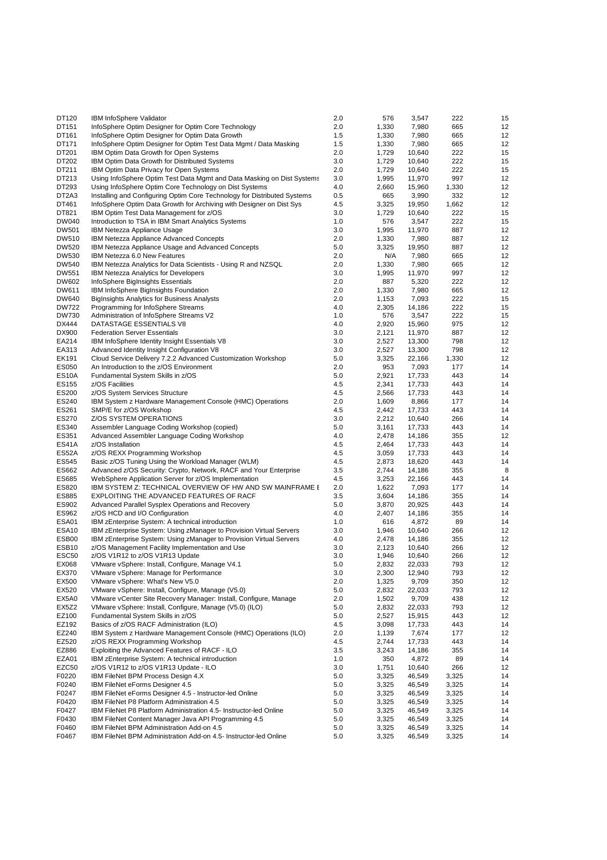| DT120              | IBM InfoSphere Validator                                                 | 2.0 | 576   | 3,547  | 222   | 15 |
|--------------------|--------------------------------------------------------------------------|-----|-------|--------|-------|----|
| DT151              | InfoSphere Optim Designer for Optim Core Technology                      | 2.0 | 1,330 | 7,980  | 665   | 12 |
| DT161              | InfoSphere Optim Designer for Optim Data Growth                          | 1.5 | 1,330 | 7,980  | 665   | 12 |
| DT171              | InfoSphere Optim Designer for Optim Test Data Mgmt / Data Masking        | 1.5 | 1,330 | 7,980  | 665   | 12 |
| DT201              | IBM Optim Data Growth for Open Systems                                   | 2.0 | 1,729 | 10,640 | 222   | 15 |
| DT202              | IBM Optim Data Growth for Distributed Systems                            | 3.0 | 1,729 | 10,640 | 222   | 15 |
| DT211              | IBM Optim Data Privacy for Open Systems                                  | 2.0 | 1,729 | 10,640 | 222   | 15 |
| DT213              | Using InfoSphere Optim Test Data Mgmt and Data Masking on Dist Systems   | 3.0 | 1,995 | 11,970 | 997   | 12 |
| DT293              | Using InfoSphere Optim Core Technology on Dist Systems                   | 4.0 | 2,660 | 15,960 | 1,330 | 12 |
| DT2A3              | Installing and Configuring Optim Core Technology for Distributed Systems | 0.5 | 665   | 3,990  | 332   | 12 |
| DT461              |                                                                          | 4.5 |       |        |       | 12 |
| DT821              | InfoSphere Optim Data Growth for Archiving with Designer on Dist Sys     |     | 3,325 | 19,950 | 1,662 |    |
|                    | IBM Optim Test Data Management for z/OS                                  | 3.0 | 1,729 | 10,640 | 222   | 15 |
| DW040              | Introduction to TSA in IBM Smart Analytics Systems                       | 1.0 | 576   | 3,547  | 222   | 15 |
| <b>DW501</b>       | IBM Netezza Appliance Usage                                              | 3.0 | 1,995 | 11,970 | 887   | 12 |
| DW510              | IBM Netezza Appliance Advanced Concepts                                  | 2.0 | 1,330 | 7,980  | 887   | 12 |
| <b>DW520</b>       | IBM Netezza Appliance Usage and Advanced Concepts                        | 5.0 | 3,325 | 19,950 | 887   | 12 |
| DW530              | IBM Netezza 6.0 New Features                                             | 2.0 | N/A   | 7,980  | 665   | 12 |
| <b>DW540</b>       | IBM Netezza Analytics for Data Scientists - Using R and NZSQL            | 2.0 | 1,330 | 7,980  | 665   | 12 |
| DW551              | <b>IBM Netezza Analytics for Developers</b>                              | 3.0 | 1,995 | 11,970 | 997   | 12 |
| DW602              | InfoSphere BigInsights Essentials                                        | 2.0 | 887   | 5,320  | 222   | 12 |
| DW611              | IBM InfoSphere BigInsights Foundation                                    | 2.0 | 1,330 | 7,980  | 665   | 12 |
| DW640              | BigInsights Analytics for Business Analysts                              | 2.0 | 1,153 | 7,093  | 222   | 15 |
| <b>DW722</b>       | Programming for InfoSphere Streams                                       | 4.0 | 2,305 | 14,186 | 222   | 15 |
| <b>DW730</b>       | Administration of InfoSphere Streams V2                                  | 1.0 | 576   | 3,547  | 222   | 15 |
| DX444              | DATASTAGE ESSENTIALS V8                                                  | 4.0 | 2,920 | 15,960 | 975   | 12 |
| DX900              | <b>Federation Server Essentials</b>                                      | 3.0 | 2,121 | 11,970 | 887   | 12 |
| EA214              | IBM InfoSphere Identity Insight Essentials V8                            | 3.0 | 2,527 | 13,300 | 798   | 12 |
| EA313              | Advanced Identity Insight Configuration V8                               | 3.0 | 2,527 | 13,300 | 798   | 12 |
| EK191              | Cloud Service Delivery 7.2.2 Advanced Customization Workshop             | 5.0 | 3,325 | 22,166 | 1,330 | 12 |
| ES050              | An Introduction to the z/OS Environment                                  | 2.0 | 953   | 7,093  | 177   | 14 |
| ES <sub>10</sub> A | Fundamental System Skills in z/OS                                        | 5.0 | 2,921 | 17,733 | 443   | 14 |
| ES155              | z/OS Facilities                                                          | 4.5 | 2,341 | 17,733 | 443   | 14 |
|                    |                                                                          |     |       |        |       |    |
| ES200              | z/OS System Services Structure                                           | 4.5 | 2,566 | 17,733 | 443   | 14 |
| ES240              | IBM System z Hardware Management Console (HMC) Operations                | 2.0 | 1,609 | 8,866  | 177   | 14 |
| ES261              | SMP/E for z/OS Workshop                                                  | 4.5 | 2,442 | 17,733 | 443   | 14 |
| ES270              | Z/OS SYSTEM OPERATIONS                                                   | 3.0 | 2,212 | 10,640 | 266   | 14 |
| ES340              | Assembler Language Coding Workshop (copied)                              | 5.0 | 3,161 | 17,733 | 443   | 14 |
| ES351              | Advanced Assembler Language Coding Workshop                              | 4.0 | 2,478 | 14,186 | 355   | 12 |
| ES41A              | z/OS Installation                                                        | 4.5 | 2,464 | 17,733 | 443   | 14 |
| ES52A              | z/OS REXX Programming Workshop                                           | 4.5 | 3,059 | 17,733 | 443   | 14 |
| ES545              | Basic z/OS Tuning Using the Workload Manager (WLM)                       | 4.5 | 2,873 | 18,620 | 443   | 14 |
| ES662              | Advanced z/OS Security: Crypto, Network, RACF and Your Enterprise        | 3.5 | 2,744 | 14,186 | 355   | 8  |
| ES685              | WebSphere Application Server for z/OS Implementation                     | 4.5 | 3,253 | 22,166 | 443   | 14 |
| ES820              | IBM SYSTEM Z: TECHNICAL OVERVIEW OF HW AND SW MAINFRAME I                | 2.0 | 1,622 | 7,093  | 177   | 14 |
| ES885              | EXPLOITING THE ADVANCED FEATURES OF RACF                                 | 3.5 | 3,604 | 14,186 | 355   | 14 |
| ES902              | Advanced Parallel Sysplex Operations and Recovery                        | 5.0 | 3,870 | 20,925 | 443   | 14 |
| ES962              | z/OS HCD and I/O Configuration                                           | 4.0 | 2,407 | 14,186 | 355   | 14 |
| ESA01              | IBM zEnterprise System: A technical introduction                         | 1.0 | 616   | 4,872  | 89    | 14 |
| ESA <sub>10</sub>  | IBM zEnterprise System: Using zManager to Provision Virtual Servers      | 3.0 | 1,946 | 10,640 | 266   | 12 |
| ESB00              | IBM zEnterprise System: Using zManager to Provision Virtual Servers      | 4.0 | 2,478 | 14,186 | 355   | 12 |
| ESB <sub>10</sub>  | z/OS Management Facility Implementation and Use                          | 3.0 | 2,123 | 10,640 | 266   | 12 |
| ESC <sub>50</sub>  | z/OS V1R12 to z/OS V1R13 Update                                          | 3.0 | 1,946 | 10,640 | 266   | 12 |
| EX068              | VMware vSphere: Install, Configure, Manage V4.1                          | 5.0 | 2,832 | 22,033 | 793   | 12 |
| EX370              | VMware vSphere: Manage for Performance                                   | 3.0 | 2,300 | 12,940 | 793   | 12 |
| EX500              | VMware vSphere: What's New V5.0                                          |     | 1,325 |        |       | 12 |
|                    |                                                                          | 2.0 |       | 9,709  | 350   |    |
| EX520              | VMware vSphere: Install, Configure, Manage (V5.0)                        | 5.0 | 2,832 | 22,033 | 793   | 12 |
| EX5A0              | VMware vCenter Site Recovery Manager: Install, Configure, Manage         | 2.0 | 1,502 | 9,709  | 438   | 12 |
| EX5Z2              | VMware vSphere: Install, Configure, Manage (V5.0) (ILO)                  | 5.0 | 2,832 | 22,033 | 793   | 12 |
| EZ100              | Fundamental System Skills in z/OS                                        | 5.0 | 2,527 | 15,915 | 443   | 12 |
| EZ192              | Basics of z/OS RACF Administration (ILO)                                 | 4.5 | 3,098 | 17,733 | 443   | 14 |
| EZ240              | IBM System z Hardware Management Console (HMC) Operations (ILO)          | 2.0 | 1,139 | 7,674  | 177   | 12 |
| EZ520              | z/OS REXX Programming Workshop                                           | 4.5 | 2,744 | 17,733 | 443   | 14 |
| EZ886              | Exploiting the Advanced Features of RACF - ILO                           | 3.5 | 3,243 | 14,186 | 355   | 14 |
| EZA01              | IBM zEnterprise System: A technical introduction                         | 1.0 | 350   | 4,872  | 89    | 14 |
| EZC50              | z/OS V1R12 to z/OS V1R13 Update - ILO                                    | 3.0 | 1,751 | 10,640 | 266   | 12 |
| F0220              | IBM FileNet BPM Process Design 4.X                                       | 5.0 | 3,325 | 46,549 | 3,325 | 14 |
| F0240              | IBM FileNet eForms Designer 4.5                                          | 5.0 | 3,325 | 46,549 | 3,325 | 14 |
| F0247              | IBM FileNet eForms Designer 4.5 - Instructor-led Online                  | 5.0 | 3,325 | 46,549 | 3,325 | 14 |
| F0420              | IBM FileNet P8 Platform Administration 4.5                               | 5.0 | 3,325 | 46,549 | 3,325 | 14 |
| F0427              | IBM FileNet P8 Platform Administration 4.5- Instructor-led Online        | 5.0 | 3,325 | 46,549 | 3,325 | 14 |
| F0430              | IBM FileNet Content Manager Java API Programming 4.5                     | 5.0 | 3,325 | 46,549 | 3,325 | 14 |
| F0460              | IBM FileNet BPM Administration Add-on 4.5                                | 5.0 | 3,325 | 46,549 | 3,325 | 14 |
| F0467              | IBM FileNet BPM Administration Add-on 4.5- Instructor-led Online         | 5.0 | 3,325 | 46,549 | 3,325 | 14 |
|                    |                                                                          |     |       |        |       |    |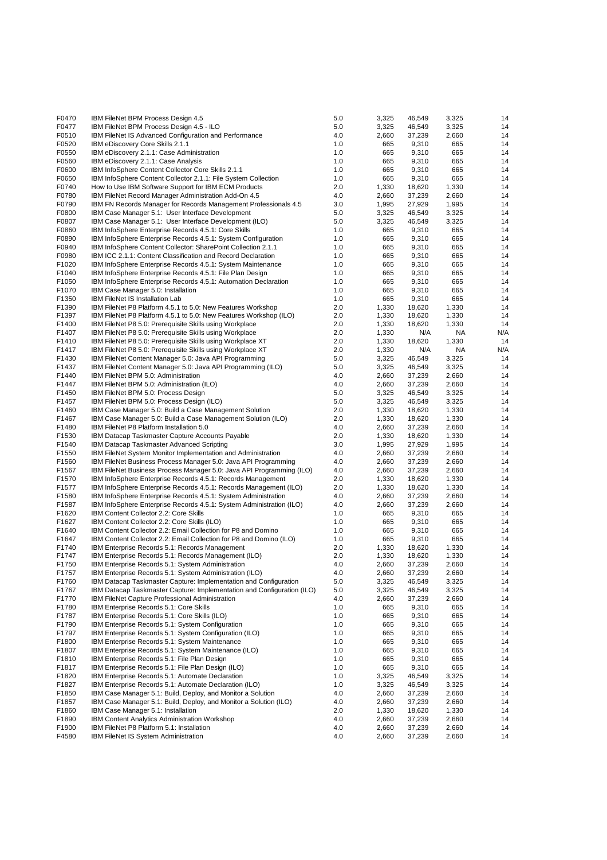| F0470 | IBM FileNet BPM Process Design 4.5                                     | 5.0     | 3,325 | 46,549 | 3,325 | 14  |
|-------|------------------------------------------------------------------------|---------|-------|--------|-------|-----|
| F0477 | IBM FileNet BPM Process Design 4.5 - ILO                               | 5.0     | 3,325 | 46,549 | 3,325 | 14  |
| F0510 | IBM FileNet IS Advanced Configuration and Performance                  | 4.0     | 2,660 | 37,239 | 2,660 | 14  |
| F0520 | IBM eDiscovery Core Skills 2.1.1                                       | 1.0     | 665   | 9,310  | 665   | 14  |
| F0550 | IBM eDiscovery 2.1.1: Case Administration                              | 1.0     | 665   | 9,310  | 665   | 14  |
| F0560 | IBM eDiscovery 2.1.1: Case Analysis                                    | 1.0     | 665   | 9,310  | 665   | 14  |
| F0600 | IBM InfoSphere Content Collector Core Skills 2.1.1                     | 1.0     | 665   | 9,310  | 665   | 14  |
| F0650 | IBM InfoSphere Content Collector 2.1.1: File System Collection         | 1.0     | 665   | 9,310  | 665   | 14  |
| F0740 | How to Use IBM Software Support for IBM ECM Products                   | 2.0     | 1,330 | 18,620 | 1,330 | 14  |
| F0780 | IBM FileNet Record Manager Administration Add-On 4.5                   | 4.0     | 2,660 | 37,239 | 2,660 | 14  |
|       |                                                                        |         |       |        |       |     |
| F0790 | IBM FN Records Manager for Records Management Professionals 4.5        | 3.0     | 1,995 | 27,929 | 1,995 | 14  |
| F0800 | IBM Case Manager 5.1: User Interface Development                       | 5.0     | 3,325 | 46.549 | 3,325 | 14  |
| F0807 | IBM Case Manager 5.1: User Interface Development (ILO)                 | 5.0     | 3,325 | 46,549 | 3,325 | 14  |
| F0860 | IBM InfoSphere Enterprise Records 4.5.1: Core Skills                   | 1.0     | 665   | 9,310  | 665   | 14  |
| F0890 | IBM InfoSphere Enterprise Records 4.5.1: System Configuration          | 1.0     | 665   | 9,310  | 665   | 14  |
| F0940 | IBM InfoSphere Content Collector: SharePoint Collection 2.1.1          | 1.0     | 665   | 9,310  | 665   | 14  |
| F0980 | IBM ICC 2.1.1: Content Classification and Record Declaration           | 1.0     | 665   | 9,310  | 665   | 14  |
| F1020 | IBM InfoSphere Enterprise Records 4.5.1: System Maintenance            | 1.0     | 665   | 9,310  | 665   | 14  |
| F1040 | IBM InfoSphere Enterprise Records 4.5.1: File Plan Design              | 1.0     | 665   | 9,310  | 665   | 14  |
| F1050 | IBM InfoSphere Enterprise Records 4.5.1: Automation Declaration        | 1.0     | 665   | 9,310  | 665   | 14  |
| F1070 | IBM Case Manager 5.0: Installation                                     | 1.0     | 665   | 9,310  | 665   | 14  |
| F1350 | <b>IBM FileNet IS Installation Lab</b>                                 | 1.0     | 665   | 9,310  | 665   | 14  |
| F1390 | IBM FileNet P8 Platform 4.5.1 to 5.0: New Features Workshop            | 2.0     | 1,330 | 18,620 | 1,330 | 14  |
| F1397 | IBM FileNet P8 Platform 4.5.1 to 5.0: New Features Workshop (ILO)      | 2.0     | 1,330 | 18,620 | 1,330 | 14  |
| F1400 |                                                                        |         |       |        |       | 14  |
|       | IBM FileNet P8 5.0: Prerequisite Skills using Workplace                | 2.0     | 1,330 | 18,620 | 1,330 |     |
| F1407 | IBM FileNet P8 5.0: Prerequisite Skills using Workplace                | 2.0     | 1,330 | N/A    | NA    | N/A |
| F1410 | IBM FileNet P8 5.0: Prerequisite Skills using Workplace XT             | 2.0     | 1,330 | 18,620 | 1,330 | 14  |
| F1417 | IBM FileNet P8 5.0: Prerequisite Skills using Workplace XT             | 2.0     | 1,330 | N/A    | NA    | N/A |
| F1430 | IBM FileNet Content Manager 5.0: Java API Programming                  | 5.0     | 3,325 | 46,549 | 3,325 | 14  |
| F1437 | IBM FileNet Content Manager 5.0: Java API Programming (ILO)            | 5.0     | 3,325 | 46,549 | 3,325 | 14  |
| F1440 | IBM FileNet BPM 5.0: Administration                                    | 4.0     | 2,660 | 37,239 | 2,660 | 14  |
| F1447 | IBM FileNet BPM 5.0: Administration (ILO)                              | 4.0     | 2,660 | 37,239 | 2,660 | 14  |
| F1450 | IBM FileNet BPM 5.0: Process Design                                    | 5.0     | 3,325 | 46,549 | 3,325 | 14  |
| F1457 | IBM FileNet BPM 5.0: Process Design (ILO)                              | 5.0     | 3,325 | 46,549 | 3,325 | 14  |
| F1460 | IBM Case Manager 5.0: Build a Case Management Solution                 | 2.0     | 1,330 | 18,620 | 1,330 | 14  |
| F1467 | IBM Case Manager 5.0: Build a Case Management Solution (ILO)           | 2.0     | 1,330 | 18,620 | 1,330 | 14  |
| F1480 | IBM FileNet P8 Platform Installation 5.0                               | 4.0     | 2,660 | 37,239 | 2,660 | 14  |
| F1530 | IBM Datacap Taskmaster Capture Accounts Payable                        | 2.0     | 1,330 | 18,620 | 1,330 | 14  |
|       | IBM Datacap Taskmaster Advanced Scripting                              | 3.0     |       |        |       | 14  |
| F1540 |                                                                        |         | 1,995 | 27,929 | 1,995 |     |
| F1550 | <b>IBM FileNet System Monitor Implementation and Administration</b>    | 4.0     | 2,660 | 37,239 | 2,660 | 14  |
| F1560 | IBM FileNet Business Process Manager 5.0: Java API Programming         | 4.0     | 2,660 | 37,239 | 2,660 | 14  |
| F1567 | IBM FileNet Business Process Manager 5.0: Java API Programming (ILO)   | 4.0     | 2,660 | 37,239 | 2,660 | 14  |
| F1570 | IBM InfoSphere Enterprise Records 4.5.1: Records Management            | 2.0     | 1,330 | 18,620 | 1,330 | 14  |
| F1577 | IBM InfoSphere Enterprise Records 4.5.1: Records Management (ILO)      | 2.0     | 1,330 | 18,620 | 1,330 | 14  |
| F1580 | IBM InfoSphere Enterprise Records 4.5.1: System Administration         | 4.0     | 2,660 | 37,239 | 2,660 | 14  |
| F1587 | IBM InfoSphere Enterprise Records 4.5.1: System Administration (ILO)   | 4.0     | 2,660 | 37,239 | 2,660 | 14  |
| F1620 | IBM Content Collector 2.2: Core Skills                                 | 1.0     | 665   | 9,310  | 665   | 14  |
| F1627 | IBM Content Collector 2.2: Core Skills (ILO)                           | 1.0     | 665   | 9,310  | 665   | 14  |
| F1640 | IBM Content Collector 2.2: Email Collection for P8 and Domino          | 1.0     | 665   | 9,310  | 665   | 14  |
| F1647 | IBM Content Collector 2.2: Email Collection for P8 and Domino (ILO)    | 1.0     | 665   | 9,310  | 665   | 14  |
| F1740 | IBM Enterprise Records 5.1: Records Management                         | 2.0     | 1,330 | 18,620 | 1,330 | 14  |
| F1747 | IBM Enterprise Records 5.1: Records Management (ILO)                   | 2.0     | 1,330 | 18,620 | 1,330 | 14  |
| F1750 | IBM Enterprise Records 5.1: System Administration                      |         |       |        |       |     |
|       |                                                                        | 4.0     | 2,660 | 37,239 | 2,660 | 14  |
| F1757 | IBM Enterprise Records 5.1: System Administration (ILO)                | 4.0     | 2,660 | 37,239 | 2,660 | 14  |
| F1760 | IBM Datacap Taskmaster Capture: Implementation and Configuration       | $5.0\,$ | 3,325 | 46,549 | 3,325 | 14  |
| F1767 | IBM Datacap Taskmaster Capture: Implementation and Configuration (ILO) | 5.0     | 3,325 | 46,549 | 3,325 | 14  |
| F1770 | IBM FileNet Capture Professional Administration                        | 4.0     | 2,660 | 37,239 | 2,660 | 14  |
| F1780 | IBM Enterprise Records 5.1: Core Skills                                | 1.0     | 665   | 9,310  | 665   | 14  |
| F1787 | IBM Enterprise Records 5.1: Core Skills (ILO)                          | 1.0     | 665   | 9,310  | 665   | 14  |
| F1790 | IBM Enterprise Records 5.1: System Configuration                       | 1.0     | 665   | 9,310  | 665   | 14  |
| F1797 | IBM Enterprise Records 5.1: System Configuration (ILO)                 | 1.0     | 665   | 9,310  | 665   | 14  |
| F1800 | IBM Enterprise Records 5.1: System Maintenance                         | 1.0     | 665   | 9,310  | 665   | 14  |
| F1807 | IBM Enterprise Records 5.1: System Maintenance (ILO)                   | 1.0     | 665   | 9,310  | 665   | 14  |
| F1810 | IBM Enterprise Records 5.1: File Plan Design                           | 1.0     | 665   | 9,310  | 665   | 14  |
| F1817 | IBM Enterprise Records 5.1: File Plan Design (ILO)                     | 1.0     | 665   | 9,310  | 665   | 14  |
| F1820 |                                                                        |         |       |        |       | 14  |
|       | IBM Enterprise Records 5.1: Automate Declaration                       | 1.0     | 3,325 | 46,549 | 3,325 |     |
| F1827 | IBM Enterprise Records 5.1: Automate Declaration (ILO)                 | 1.0     | 3,325 | 46,549 | 3,325 | 14  |
| F1850 | IBM Case Manager 5.1: Build, Deploy, and Monitor a Solution            | 4.0     | 2,660 | 37,239 | 2,660 | 14  |
| F1857 | IBM Case Manager 5.1: Build, Deploy, and Monitor a Solution (ILO)      | 4.0     | 2,660 | 37,239 | 2,660 | 14  |
| F1860 | IBM Case Manager 5.1: Installation                                     | 2.0     | 1,330 | 18,620 | 1,330 | 14  |
| F1890 | <b>IBM Content Analytics Administration Workshop</b>                   | 4.0     | 2,660 | 37,239 | 2,660 | 14  |
| F1900 | IBM FileNet P8 Platform 5.1: Installation                              | 4.0     | 2,660 | 37,239 | 2,660 | 14  |
| F4580 | IBM FileNet IS System Administration                                   | 4.0     | 2,660 | 37,239 | 2,660 | 14  |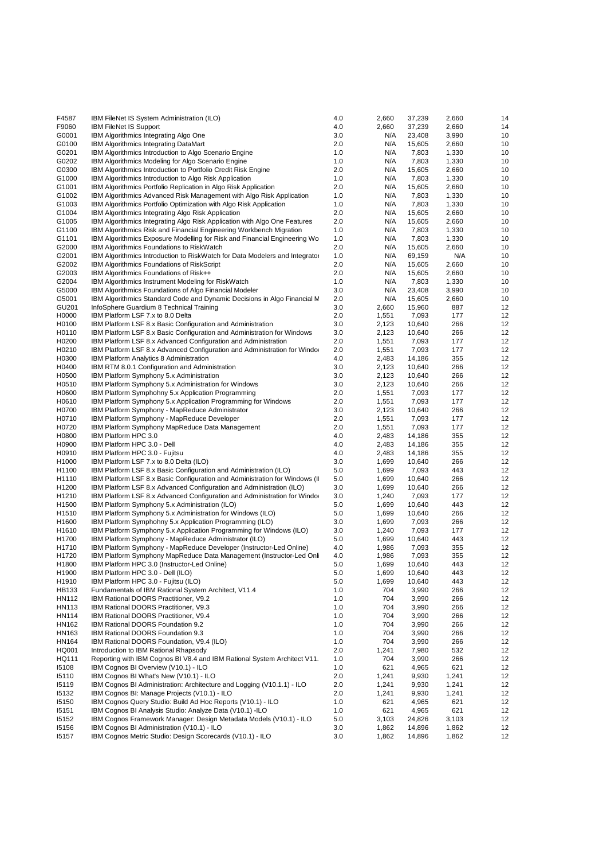| F4587             | IBM FileNet IS System Administration (ILO)                                   | 4.0 | 2,660 | 37,239 | 2,660 | 14 |
|-------------------|------------------------------------------------------------------------------|-----|-------|--------|-------|----|
| F9060             | <b>IBM FileNet IS Support</b>                                                | 4.0 | 2,660 | 37,239 | 2,660 | 14 |
| G0001             | IBM Algorithmics Integrating Algo One                                        | 3.0 | N/A   | 23,408 | 3,990 | 10 |
| G0100             | <b>IBM Algorithmics Integrating DataMart</b>                                 | 2.0 | N/A   | 15,605 | 2,660 | 10 |
| G0201             | IBM Algorithmics Introduction to Algo Scenario Engine                        | 1.0 | N/A   | 7,803  | 1,330 | 10 |
| G0202             | IBM Algorithmics Modeling for Algo Scenario Engine                           | 1.0 | N/A   | 7,803  | 1,330 | 10 |
| G0300             | IBM Algorithmics Introduction to Portfolio Credit Risk Engine                | 2.0 | N/A   | 15,605 | 2,660 | 10 |
| G1000             | IBM Algorithmics Introduction to Algo Risk Application                       | 1.0 | N/A   | 7,803  | 1,330 | 10 |
| G1001             | IBM Algorithmics Portfolio Replication in Algo Risk Application              | 2.0 | N/A   | 15,605 | 2,660 | 10 |
| G1002             | IBM Algorithmics Advanced Risk Management with Algo Risk Application         | 1.0 | N/A   | 7,803  | 1,330 | 10 |
| G1003             | IBM Algorithmics Portfolio Optimization with Algo Risk Application           | 1.0 | N/A   | 7,803  | 1,330 | 10 |
| G1004             | IBM Algorithmics Integrating Algo Risk Application                           | 2.0 | N/A   | 15,605 | 2,660 | 10 |
| G1005             | IBM Algorithmics Integrating Algo Risk Application with Algo One Features    | 2.0 | N/A   | 15,605 | 2,660 | 10 |
| G1100             | IBM Algorithmics Risk and Financial Engineering Workbench Migration          | 1.0 | N/A   | 7,803  | 1,330 | 10 |
| G1101             | IBM Algorithmics Exposure Modelling for Risk and Financial Engineering Wo    | 1.0 | N/A   | 7,803  | 1,330 | 10 |
| G2000             | IBM Algorithmics Foundations to RiskWatch                                    | 2.0 | N/A   | 15,605 | 2,660 | 10 |
| G2001             | IBM Algorithmics Introduction to RiskWatch for Data Modelers and Integrator  | 1.0 | N/A   | 69,159 | N/A   | 10 |
| G2002             | IBM Algorithmics Foundations of RiskScript                                   | 2.0 | N/A   | 15,605 | 2,660 | 10 |
| G2003             | IBM Algorithmics Foundations of Risk++                                       | 2.0 | N/A   | 15,605 | 2,660 | 10 |
| G2004             | IBM Algorithmics Instrument Modeling for RiskWatch                           | 1.0 | N/A   | 7,803  | 1,330 | 10 |
| G5000             | IBM Algorithmics Foundations of Algo Financial Modeler                       | 3.0 | N/A   | 23,408 | 3,990 | 10 |
| G5001             | IBM Algorithmics Standard Code and Dynamic Decisions in Algo Financial N     | 2.0 | N/A   | 15,605 | 2,660 | 10 |
| GU201             | InfoSphere Guardium 8 Technical Training                                     | 3.0 | 2,660 | 15,960 | 887   | 12 |
| H0000             | IBM Platform LSF 7.x to 8.0 Delta                                            | 2.0 | 1,551 | 7,093  | 177   | 12 |
| H0100             | IBM Platform LSF 8.x Basic Configuration and Administration                  | 3.0 | 2,123 | 10,640 | 266   | 12 |
| H0110             | IBM Platform LSF 8.x Basic Configuration and Administration for Windows      | 3.0 | 2,123 | 10,640 | 266   | 12 |
| H0200             |                                                                              | 2.0 | 1,551 |        | 177   | 12 |
|                   | IBM Platform LSF 8.x Advanced Configuration and Administration               |     |       | 7,093  |       |    |
| H0210             | IBM Platform LSF 8.x Advanced Configuration and Administration for Windo     | 2.0 | 1,551 | 7,093  | 177   | 12 |
| H0300             | <b>IBM Platform Analytics 8 Administration</b>                               | 4.0 | 2,483 | 14,186 | 355   | 12 |
| H0400             | IBM RTM 8.0.1 Configuration and Administration                               | 3.0 | 2,123 | 10,640 | 266   | 12 |
| H0500             | IBM Platform Symphony 5.x Administration                                     | 3.0 | 2,123 | 10,640 | 266   | 12 |
| H0510             | IBM Platform Symphony 5.x Administration for Windows                         | 3.0 | 2,123 | 10,640 | 266   | 12 |
| H0600             | IBM Platform Symphohny 5.x Application Programming                           | 2.0 | 1,551 | 7,093  | 177   | 12 |
| H0610             | IBM Platform Symphony 5.x Application Programming for Windows                | 2.0 | 1,551 | 7,093  | 177   | 12 |
| H0700             | IBM Platform Symphony - MapReduce Administrator                              | 3.0 | 2,123 | 10,640 | 266   | 12 |
| H0710             | IBM Platform Symphony - MapReduce Developer                                  | 2.0 | 1,551 | 7,093  | 177   | 12 |
| H0720             | IBM Platform Symphony MapReduce Data Management                              | 2.0 | 1,551 | 7,093  | 177   | 12 |
| H0800             | IBM Platform HPC 3.0                                                         | 4.0 | 2,483 | 14,186 | 355   | 12 |
| H0900             | IBM Platform HPC 3.0 - Dell                                                  | 4.0 | 2,483 | 14,186 | 355   | 12 |
| H0910             | IBM Platform HPC 3.0 - Fujitsu                                               | 4.0 | 2,483 | 14,186 | 355   | 12 |
| H1000             | IBM Platform LSF 7.x to 8.0 Delta (ILO)                                      | 3.0 | 1,699 | 10,640 | 266   | 12 |
| H1100             | IBM Platform LSF 8.x Basic Configuration and Administration (ILO)            | 5.0 | 1,699 | 7,093  | 443   | 12 |
| H1110             | IBM Platform LSF 8.x Basic Configuration and Administration for Windows (II) | 5.0 | 1,699 | 10,640 | 266   | 12 |
| H1200             | IBM Platform LSF 8.x Advanced Configuration and Administration (ILO)         | 3.0 | 1,699 | 10,640 | 266   | 12 |
| H1210             | IBM Platform LSF 8.x Advanced Configuration and Administration for Windo     | 3.0 | 1,240 | 7,093  | 177   | 12 |
| H <sub>1500</sub> | IBM Platform Symphony 5.x Administration (ILO)                               | 5.0 | 1,699 | 10,640 | 443   | 12 |
| H1510             | IBM Platform Symphony 5.x Administration for Windows (ILO)                   | 5.0 | 1,699 | 10,640 | 266   | 12 |
| H1600             | IBM Platform Symphohny 5.x Application Programming (ILO)                     | 3.0 | 1,699 | 7,093  | 266   | 12 |
| H1610             | IBM Platform Symphony 5.x Application Programming for Windows (ILO)          | 3.0 | 1,240 | 7,093  | 177   | 12 |
| H1700             | IBM Platform Symphony - MapReduce Administrator (ILO)                        | 5.0 | 1,699 | 10,640 | 443   | 12 |
| H1710             | IBM Platform Symphony - MapReduce Developer (Instructor-Led Online)          | 4.0 | 1,986 | 7,093  | 355   | 12 |
| H1720             | IBM Platform Symphony MapReduce Data Management (Instructor-Led Onl          | 4.0 | 1,986 | 7,093  | 355   | 12 |
| H1800             | IBM Platform HPC 3.0 (Instructor-Led Online)                                 | 5.0 | 1,699 | 10,640 | 443   | 12 |
| H1900             | IBM Platform HPC 3.0 - Dell (ILO)                                            | 5.0 | 1,699 | 10,640 | 443   | 12 |
| H1910             | IBM Platform HPC 3.0 - Fujitsu (ILO)                                         | 5.0 | 1,699 | 10,640 | 443   | 12 |
| HB133             | Fundamentals of IBM Rational System Architect, V11.4                         | 1.0 | 704   | 3,990  | 266   | 12 |
| HN112             | IBM Rational DOORS Practitioner, V9.2                                        | 1.0 | 704   | 3,990  | 266   | 12 |
| HN113             | IBM Rational DOORS Practitioner, V9.3                                        | 1.0 | 704   | 3,990  | 266   | 12 |
| <b>HN114</b>      | IBM Rational DOORS Practitioner, V9.4                                        | 1.0 | 704   | 3,990  | 266   | 12 |
| HN162             | IBM Rational DOORS Foundation 9.2                                            | 1.0 | 704   | 3,990  | 266   | 12 |
| HN163             | IBM Rational DOORS Foundation 9.3                                            | 1.0 | 704   | 3,990  | 266   | 12 |
| HN164             | IBM Rational DOORS Foundation, V9.4 (ILO)                                    | 1.0 | 704   | 3,990  | 266   | 12 |
| HQ001             | Introduction to IBM Rational Rhapsody                                        | 2.0 | 1,241 | 7,980  | 532   | 12 |
| HQ111             | Reporting with IBM Cognos BI V8.4 and IBM Rational System Architect V11.     | 1.0 | 704   | 3,990  | 266   | 12 |
| 15108             | IBM Cognos BI Overview (V10.1) - ILO                                         | 1.0 | 621   | 4,965  | 621   | 12 |
| 15110             | IBM Cognos BI What's New (V10.1) - ILO                                       | 2.0 | 1,241 | 9,930  | 1,241 | 12 |
| 15119             | IBM Cognos BI Administration: Architecture and Logging (V10.1.1) - ILO       | 2.0 | 1,241 | 9,930  | 1,241 | 12 |
| 15132             | IBM Cognos BI: Manage Projects (V10.1) - ILO                                 | 2.0 | 1,241 | 9,930  | 1,241 | 12 |
| 15150             | IBM Cognos Query Studio: Build Ad Hoc Reports (V10.1) - ILO                  | 1.0 | 621   | 4,965  | 621   | 12 |
| 15151             | IBM Cognos BI Analysis Studio: Analyze Data (V10.1) -ILO                     | 1.0 | 621   | 4,965  | 621   | 12 |
| 15152             | IBM Cognos Framework Manager: Design Metadata Models (V10.1) - ILO           | 5.0 | 3,103 | 24,826 | 3,103 | 12 |
| 15156             | IBM Cognos BI Administration (V10.1) - ILO                                   | 3.0 | 1,862 | 14,896 | 1,862 | 12 |
| 15157             | IBM Cognos Metric Studio: Design Scorecards (V10.1) - ILO                    | 3.0 | 1,862 | 14,896 | 1,862 | 12 |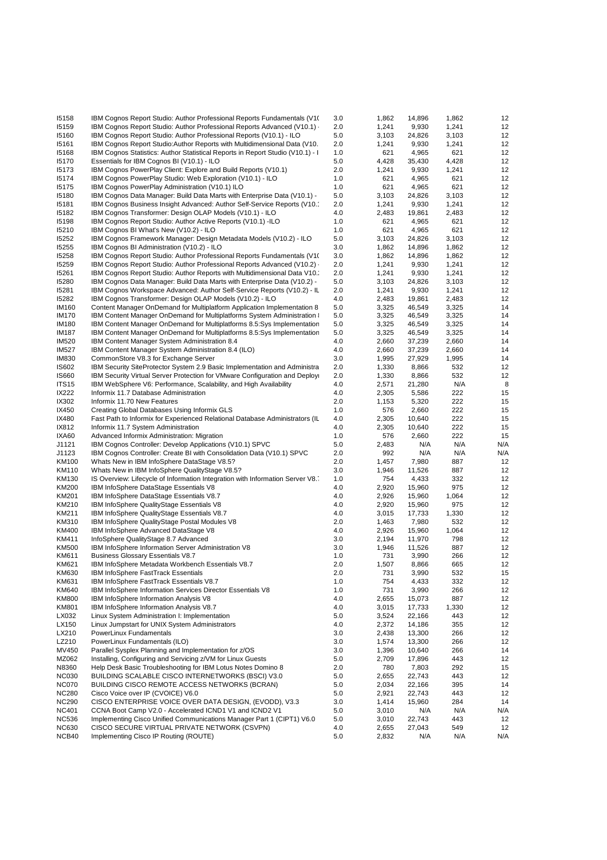| 15158                 | IBM Cognos Report Studio: Author Professional Reports Fundamentals (V10)              | 3.0 | 1,862 | 14,896 | 1,862 | 12  |
|-----------------------|---------------------------------------------------------------------------------------|-----|-------|--------|-------|-----|
| 15159                 | IBM Cognos Report Studio: Author Professional Reports Advanced (V10.1) ·              | 2.0 | 1,241 | 9,930  | 1,241 | 12  |
| 15160                 | IBM Cognos Report Studio: Author Professional Reports (V10.1) - ILO                   | 5.0 | 3,103 | 24,826 | 3,103 | 12  |
| 15161                 | IBM Cognos Report Studio: Author Reports with Multidimensional Data (V10.             | 2.0 | 1,241 | 9,930  | 1,241 | 12  |
| 15168                 | IBM Cognos Statistics: Author Statistical Reports in Report Studio (V10.1) - I        | 1.0 | 621   | 4,965  | 621   | 12  |
| 15170                 | Essentials for IBM Cognos BI (V10.1) - ILO                                            | 5.0 | 4,428 | 35,430 | 4,428 | 12  |
| 15173                 | IBM Cognos PowerPlay Client: Explore and Build Reports (V10.1)                        | 2.0 | 1,241 | 9,930  | 1,241 | 12  |
| 15174                 | IBM Cognos PowerPlay Studio: Web Exploration (V10.1) - ILO                            | 1.0 | 621   | 4,965  | 621   | 12  |
| 15175                 | IBM Cognos PowerPlay Administration (V10.1) ILO                                       | 1.0 | 621   | 4,965  | 621   | 12  |
| 15180                 | IBM Cognos Data Manager: Build Data Marts with Enterprise Data (V10.1) -              | 5.0 | 3,103 | 24,826 | 3,103 | 12  |
| 15181                 | IBM Cognos Business Insight Advanced: Author Self-Service Reports (V10.               | 2.0 | 1,241 | 9,930  | 1,241 | 12  |
| 15182                 |                                                                                       | 4.0 | 2,483 | 19,861 | 2,483 | 12  |
|                       | IBM Cognos Transformer: Design OLAP Models (V10.1) - ILO                              |     |       |        |       | 12  |
| 15198                 | IBM Cognos Report Studio: Author Active Reports (V10.1) -ILO                          | 1.0 | 621   | 4,965  | 621   |     |
| 15210                 | IBM Cognos BI What's New (V10.2) - ILO                                                | 1.0 | 621   | 4,965  | 621   | 12  |
| 15252                 | IBM Cognos Framework Manager: Design Metadata Models (V10.2) - ILO                    | 5.0 | 3,103 | 24,826 | 3,103 | 12  |
| 15255                 | IBM Cognos BI Administration (V10.2) - ILO                                            | 3.0 | 1,862 | 14,896 | 1,862 | 12  |
| 15258                 | IBM Cognos Report Studio: Author Professional Reports Fundamentals (V10)              | 3.0 | 1,862 | 14,896 | 1,862 | 12  |
| 15259                 | IBM Cognos Report Studio: Author Professional Reports Advanced (V10.2) ·              | 2.0 | 1,241 | 9,930  | 1,241 | 12  |
| 15261                 | IBM Cognos Report Studio: Author Reports with Multidimensional Data V10.              | 2.0 | 1,241 | 9,930  | 1,241 | 12  |
| 15280                 | IBM Cognos Data Manager: Build Data Marts with Enterprise Data (V10.2) -              | 5.0 | 3,103 | 24,826 | 3,103 | 12  |
| 15281                 | IBM Cognos Workspace Advanced: Author Self-Service Reports (V10.2) - IL               | 2.0 | 1,241 | 9,930  | 1,241 | 12  |
| 15282                 | IBM Cognos Transformer: Design OLAP Models (V10.2) - ILO                              | 4.0 | 2,483 | 19,861 | 2,483 | 12  |
| <b>IM160</b>          | Content Manager OnDemand for Multiplatform Application Implementation 8               | 5.0 | 3,325 | 46,549 | 3,325 | 14  |
| <b>IM170</b>          | <b>IBM Content Manager OnDemand for Multiplatforms System Administration is</b>       | 5.0 | 3,325 | 46,549 | 3,325 | 14  |
| <b>IM180</b>          | IBM Content Manager OnDemand for Multiplatforms 8.5: Sys Implementation               | 5.0 | 3,325 | 46,549 | 3,325 | 14  |
| <b>IM187</b>          | IBM Content Manager OnDemand for Multiplatforms 8.5:Sys Implementation                | 5.0 | 3,325 | 46,549 | 3,325 | 14  |
| <b>IM520</b>          | IBM Content Manager System Administration 8.4                                         | 4.0 | 2,660 | 37,239 | 2,660 | 14  |
| <b>IM527</b>          | IBM Content Manager System Administration 8.4 (ILO)                                   | 4.0 | 2,660 | 37,239 | 2,660 | 14  |
| <b>IM830</b>          | CommonStore V8.3 for Exchange Server                                                  | 3.0 | 1,995 | 27,929 | 1,995 | 14  |
| IS602                 | IBM Security SiteProtector System 2.9 Basic Implementation and Administra             | 2.0 | 1,330 | 8,866  | 532   | 12  |
| IS660                 | <b>IBM Security Virtual Server Protection for VMware Configuration and Deploy</b>     | 2.0 | 1,330 | 8,866  | 532   | 12  |
| ITS <sub>15</sub>     | IBM WebSphere V6: Performance, Scalability, and High Availability                     | 4.0 | 2,571 | 21,280 | N/A   | 8   |
| IX222                 | Informix 11.7 Database Administration                                                 | 4.0 | 2,305 | 5,586  | 222   | 15  |
| IX302                 | Informix 11.70 New Features                                                           | 2.0 | 1,153 | 5,320  | 222   | 15  |
| IX450                 |                                                                                       | 1.0 | 576   | 2,660  | 222   | 15  |
|                       | Creating Global Databases Using Informix GLS                                          |     |       |        |       | 15  |
| IX480                 | Fast Path to Informix for Experienced Relational Database Administrators (IL          | 4.0 | 2,305 | 10,640 | 222   |     |
| IX812                 | Informix 11.7 System Administration                                                   | 4.0 | 2,305 | 10,640 | 222   | 15  |
| IXA60                 | Advanced Informix Administration: Migration                                           | 1.0 | 576   | 2,660  | 222   | 15  |
| J1121                 | IBM Cognos Controller: Develop Applications (V10.1) SPVC                              | 5.0 | 2,483 | N/A    | N/A   | N/A |
| J1123                 | IBM Cognos Controller: Create BI with Consolidation Data (V10.1) SPVC                 | 2.0 | 992   | N/A    | N/A   | N/A |
| KM100                 | Whats New in IBM InfoSphere DataStage V8.5?                                           | 2.0 | 1,457 | 7,980  | 887   | 12  |
| KM110                 | Whats New in IBM InfoSphere QualityStage V8.5?                                        | 3.0 | 1,946 | 11,526 | 887   | 12  |
| KM130                 | IS Overview: Lifecycle of Information Integration with Information Server V8.         | 1.0 | 754   | 4,433  | 332   | 12  |
| <b>KM200</b>          | IBM InfoSphere DataStage Essentials V8                                                | 4.0 | 2,920 | 15,960 | 975   | 12  |
| KM201                 | IBM InfoSphere DataStage Essentials V8.7                                              | 4.0 | 2,926 | 15,960 | 1,064 | 12  |
| KM210                 | IBM InfoSphere QualityStage Essentials V8                                             | 4.0 | 2,920 | 15,960 | 975   | 12  |
| KM211                 | IBM InfoSphere QualityStage Essentials V8.7                                           | 4.0 | 3,015 | 17,733 | 1,330 | 12  |
| KM310                 | IBM InfoSphere QualityStage Postal Modules V8                                         | 2.0 | 1,463 | 7,980  | 532   | 12  |
| KM400                 | IBM InfoSphere Advanced DataStage V8                                                  | 4.0 | 2,926 | 15,960 | 1,064 | 12  |
| KM411                 | InfoSphere QualityStage 8.7 Advanced                                                  | 3.0 | 2,194 | 11,970 | 798   | 12  |
| <b>KM500</b>          | IBM InfoSphere Information Server Administration V8                                   | 3.0 | 1,946 | 11,526 | 887   | 12  |
| KM611                 | <b>Business Glossary Essentials V8.7</b>                                              | 1.0 | 731   | 3,990  | 266   | 12  |
| KM621                 | IBM InfoSphere Metadata Workbench Essentials V8.7                                     | 2.0 | 1,507 | 8,866  | 665   | 12  |
| KM630                 | <b>IBM InfoSphere FastTrack Essentials</b>                                            | 2.0 | 731   | 3,990  | 532   | 15  |
| KM631                 | IBM InfoSphere FastTrack Essentials V8.7                                              | 1.0 | 754   | 4,433  | 332   | 12  |
| KM640                 | IBM InfoSphere Information Services Director Essentials V8                            | 1.0 | 731   | 3,990  | 266   | 12  |
| <b>KM800</b>          | IBM InfoSphere Information Analysis V8                                                | 4.0 | 2,655 | 15,073 | 887   | 12  |
| <b>KM801</b>          | IBM InfoSphere Information Analysis V8.7                                              | 4.0 | 3,015 | 17,733 | 1,330 | 12  |
| LX032                 | Linux System Administration I: Implementation                                         | 5.0 | 3,524 | 22,166 | 443   | 12  |
| LX150                 | Linux Jumpstart for UNIX System Administrators                                        | 4.0 | 2,372 | 14,186 | 355   | 12  |
| LX210                 | PowerLinux Fundamentals                                                               | 3.0 | 2,438 | 13,300 | 266   | 12  |
| LZ210                 | PowerLinux Fundamentals (ILO)                                                         | 3.0 | 1,574 | 13,300 | 266   | 12  |
| MV450                 | Parallel Sysplex Planning and Implementation for z/OS                                 | 3.0 | 1,396 | 10,640 | 266   | 14  |
| MZ062                 | Installing, Configuring and Servicing z/VM for Linux Guests                           | 5.0 | 2,709 | 17,896 | 443   | 12  |
|                       |                                                                                       |     |       |        |       |     |
| N8360                 | Help Desk Basic Troubleshooting for IBM Lotus Notes Domino 8                          | 2.0 | 780   | 7,803  | 292   | 15  |
| <b>NC030</b>          | BUILDING SCALABLE CISCO INTERNETWORKS (BSCI) V3.0                                     | 5.0 | 2,655 | 22,743 | 443   | 12  |
| <b>NC070</b>          | BUILDING CISCO REMOTE ACCESS NETWORKS (BCRAN)                                         | 5.0 | 2,034 | 22,166 | 395   | 14  |
| <b>NC280</b>          | Cisco Voice over IP (CVOICE) V6.0                                                     | 5.0 | 2,921 | 22,743 | 443   | 12  |
| <b>NC290</b>          | CISCO ENTERPRISE VOICE OVER DATA DESIGN, (EVODD), V3.3                                | 3.0 | 1,414 | 15,960 | 284   | 14  |
| <b>NC401</b>          | CCNA Boot Camp V2.0 - Accelerated ICND1 V1 and ICND2 V1                               | 5.0 | 3,010 | N/A    | N/A   | N/A |
| <b>NC536</b>          | Implementing Cisco Unified Communications Manager Part 1 (CIPT1) V6.0                 | 5.0 | 3,010 | 22,743 | 443   | 12  |
|                       |                                                                                       | 4.0 | 2,655 | 27,043 | 549   | 12  |
| <b>NC630</b><br>NCB40 | CISCO SECURE VIRTUAL PRIVATE NETWORK (CSVPN)<br>Implementing Cisco IP Routing (ROUTE) | 5.0 | 2,832 | N/A    | N/A   | N/A |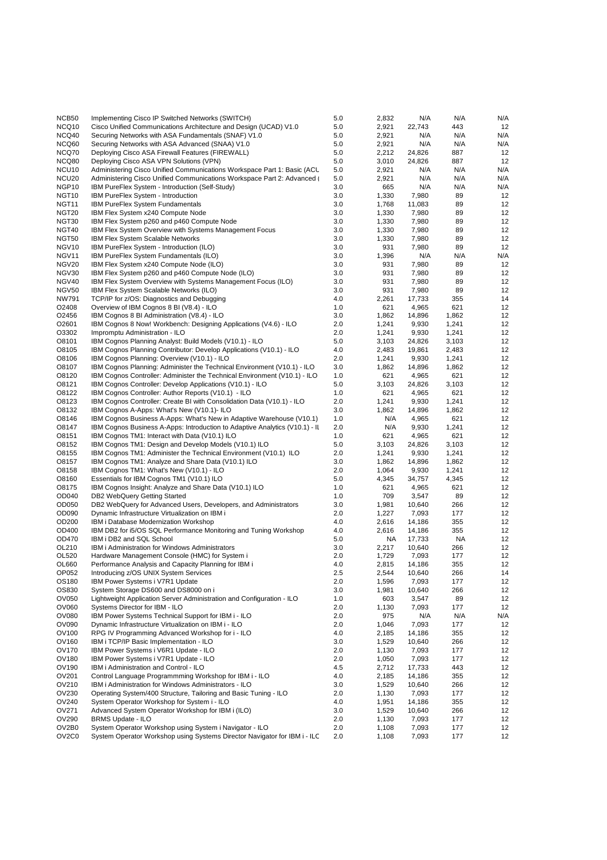| NCB50                                  | Implementing Cisco IP Switched Networks (SWITCH)                                                                                                 | 5.0        | 2,832          | N/A             | N/A          | N/A        |
|----------------------------------------|--------------------------------------------------------------------------------------------------------------------------------------------------|------------|----------------|-----------------|--------------|------------|
| NCQ10                                  | Cisco Unified Communications Architecture and Design (UCAD) V1.0                                                                                 | 5.0        | 2,921          | 22,743          | 443          | 12         |
| NCQ40                                  | Securing Networks with ASA Fundamentals (SNAF) V1.0                                                                                              | 5.0        | 2,921          | N/A             | N/A          | N/A        |
| NCQ60                                  | Securing Networks with ASA Advanced (SNAA) V1.0                                                                                                  | 5.0        | 2,921          | N/A             | N/A          | N/A        |
| NCQ70                                  | Deploying Cisco ASA Firewall Features (FIREWALL)                                                                                                 | 5.0        | 2,212          | 24,826          | 887          | 12         |
| NCQ80                                  | Deploying Cisco ASA VPN Solutions (VPN)                                                                                                          | 5.0        | 3,010          | 24,826          | 887          | 12         |
| NCU <sub>10</sub><br>NCU <sub>20</sub> | Administering Cisco Unified Communications Workspace Part 1: Basic (ACL<br>Administering Cisco Unified Communications Workspace Part 2: Advanced | 5.0<br>5.0 | 2,921<br>2,921 | N/A<br>N/A      | N/A<br>N/A   | N/A<br>N/A |
| NGP10                                  | IBM PureFlex System - Introduction (Self-Study)                                                                                                  | 3.0        | 665            | N/A             | N/A          | N/A        |
| NGT <sub>10</sub>                      | IBM PureFlex System - Introduction                                                                                                               | 3.0        | 1,330          | 7,980           | 89           | 12         |
| NGT <sub>11</sub>                      | <b>IBM PureFlex System Fundamentals</b>                                                                                                          | 3.0        | 1,768          | 11,083          | 89           | 12         |
| NGT <sub>20</sub>                      | IBM Flex System x240 Compute Node                                                                                                                | 3.0        | 1,330          | 7,980           | 89           | 12         |
| NGT30                                  | IBM Flex System p260 and p460 Compute Node                                                                                                       | 3.0        | 1,330          | 7,980           | 89           | 12         |
| NGT40                                  | <b>IBM Flex System Overview with Systems Management Focus</b>                                                                                    | 3.0        | 1,330          | 7,980           | 89           | 12         |
| <b>NGT50</b>                           | <b>IBM Flex System Scalable Networks</b>                                                                                                         | 3.0        | 1,330          | 7,980           | 89           | 12         |
| NGV <sub>10</sub>                      | IBM PureFlex System - Introduction (ILO)                                                                                                         | 3.0        | 931            | 7,980           | 89           | 12         |
| NGV11                                  | IBM PureFlex System Fundamentals (ILO)                                                                                                           | 3.0        | 1,396          | N/A             | N/A          | N/A        |
| NGV20<br><b>NGV30</b>                  | IBM Flex System x240 Compute Node (ILO)                                                                                                          | 3.0<br>3.0 | 931<br>931     | 7,980<br>7,980  | 89<br>89     | 12<br>12   |
| <b>NGV40</b>                           | IBM Flex System p260 and p460 Compute Node (ILO)<br>IBM Flex System Overview with Systems Management Focus (ILO)                                 | 3.0        | 931            | 7,980           | 89           | 12         |
| NGV50                                  | IBM Flex System Scalable Networks (ILO)                                                                                                          | 3.0        | 931            | 7,980           | 89           | 12         |
| <b>NW791</b>                           | TCP/IP for z/OS: Diagnostics and Debugging                                                                                                       | 4.0        | 2,261          | 17,733          | 355          | 14         |
| O2408                                  | Overview of IBM Cognos 8 BI (V8.4) - ILO                                                                                                         | 1.0        | 621            | 4,965           | 621          | 12         |
| O2456                                  | IBM Cognos 8 BI Administration (V8.4) - ILO                                                                                                      | 3.0        | 1,862          | 14,896          | 1,862        | 12         |
| O <sub>2601</sub>                      | IBM Cognos 8 Now! Workbench: Designing Applications (V4.6) - ILO                                                                                 | 2.0        | 1,241          | 9,930           | 1,241        | 12         |
| O3302                                  | Impromptu Administration - ILO                                                                                                                   | 2.0        | 1,241          | 9,930           | 1,241        | 12         |
| O8101                                  | IBM Cognos Planning Analyst: Build Models (V10.1) - ILO                                                                                          | 5.0        | 3,103          | 24,826          | 3,103        | 12         |
| O8105                                  | IBM Cognos Planning Contributor: Develop Applications (V10.1) - ILO                                                                              | 4.0        | 2,483          | 19,861          | 2,483        | 12         |
| O8106                                  | IBM Cognos Planning: Overview (V10.1) - ILO                                                                                                      | 2.0        | 1,241          | 9,930           | 1,241        | 12         |
| O8107                                  | IBM Cognos Planning: Administer the Technical Environment (V10.1) - ILO                                                                          | 3.0        | 1,862          | 14,896          | 1,862        | 12         |
| O8120<br>O8121                         | IBM Cognos Controller: Administer the Technical Environment (V10.1) - ILO<br>IBM Cognos Controller: Develop Applications (V10.1) - ILO           | 1.0<br>5.0 | 621<br>3,103   | 4,965<br>24,826 | 621<br>3,103 | 12<br>12   |
| O8122                                  | IBM Cognos Controller: Author Reports (V10.1) - ILO                                                                                              | 1.0        | 621            | 4,965           | 621          | 12         |
| O8123                                  | IBM Cognos Controller: Create BI with Consolidation Data (V10.1) - ILO                                                                           | 2.0        | 1,241          | 9,930           | 1,241        | 12         |
| O8132                                  | IBM Cognos A-Apps: What's New (V10.1)- ILO                                                                                                       | 3.0        | 1,862          | 14,896          | 1,862        | 12         |
| O8146                                  | IBM Cognos Business A-Apps: What's New in Adaptive Warehouse (V10.1)                                                                             | 1.0        | N/A            | 4,965           | 621          | 12         |
| O8147                                  | IBM Cognos Business A-Apps: Introduction to Adaptive Analytics (V10.1) - Il                                                                      | 2.0        | N/A            | 9,930           | 1,241        | 12         |
| O8151                                  | IBM Cognos TM1: Interact with Data (V10.1) ILO                                                                                                   | 1.0        | 621            | 4,965           | 621          | 12         |
| O8152                                  | IBM Cognos TM1: Design and Develop Models (V10.1) ILO                                                                                            | 5.0        | 3,103          | 24,826          | 3,103        | 12         |
| O8155                                  | IBM Cognos TM1: Administer the Technical Environment (V10.1) ILO                                                                                 | 2.0        | 1,241          | 9,930           | 1,241        | 12         |
| O8157                                  | IBM Cognos TM1: Analyze and Share Data (V10.1) ILO                                                                                               | 3.0        | 1,862          | 14,896          | 1,862        | 12         |
| O8158                                  | IBM Cognos TM1: What's New (V10.1) - ILO                                                                                                         | 2.0<br>5.0 | 1,064          | 9,930<br>34,757 | 1,241        | 12<br>12   |
| O8160<br>O8175                         | Essentials for IBM Cognos TM1 (V10.1) ILO<br>IBM Cognos Insight: Analyze and Share Data (V10.1) ILO                                              | 1.0        | 4,345<br>621   | 4,965           | 4,345<br>621 | 12         |
| OD040                                  | DB2 WebQuery Getting Started                                                                                                                     | 1.0        | 709            | 3,547           | 89           | 12         |
| OD050                                  | DB2 WebQuery for Advanced Users, Developers, and Administrators                                                                                  | 3.0        | 1,981          | 10,640          | 266          | 12         |
| OD090                                  | Dynamic Infrastructure Virtualization on IBM i                                                                                                   | 2.0        | 1,227          | 7,093           | 177          | 12         |
| OD200                                  | IBM i Database Modernization Workshop                                                                                                            | 4.0        | 2,616          | 14,186          | 355          | 12         |
| OD400                                  | IBM DB2 for i5/OS SQL Performance Monitoring and Tuning Workshop                                                                                 | 4.0        | 2,616          | 14,186          | 355          | 12         |
| OD470                                  | IBM i DB2 and SQL School                                                                                                                         | 5.0        | NA             | 17,733          | NA           | 12         |
| OL210                                  | <b>IBM i Administration for Windows Administrators</b>                                                                                           | 3.0        | 2,217          | 10,640          | 266          | 12         |
| OL520                                  | Hardware Management Console (HMC) for System i                                                                                                   | 2.0        | 1,729          | 7,093           | 177          | 12         |
| OL660                                  | Performance Analysis and Capacity Planning for IBM i                                                                                             | 4.0        | 2,815          | 14,186          | 355          | 12         |
| OP052                                  | Introducing z/OS UNIX System Services                                                                                                            | 2.5        | 2,544          | 10,640          | 266          | 14         |
| OS180<br>OS830                         | IBM Power Systems i V7R1 Update                                                                                                                  | 2.0        | 1,596          | 7,093           | 177          | 12         |
| OV050                                  | System Storage DS600 and DS8000 on i<br>Lightweight Application Server Administration and Configuration - ILO                                    | 3.0<br>1.0 | 1,981<br>603   | 10,640<br>3,547 | 266<br>89    | 12<br>12   |
| OV060                                  | Systems Director for IBM - ILO                                                                                                                   | 2.0        | 1,130          | 7,093           | 177          | 12         |
| <b>OV080</b>                           | IBM Power Systems Technical Support for IBM i - ILO                                                                                              | 2.0        | 975            | N/A             | N/A          | N/A        |
| OV090                                  | Dynamic Infrastructure Virtualization on IBM i - ILO                                                                                             | 2.0        | 1,046          | 7,093           | 177          | 12         |
| OV100                                  | RPG IV Programming Advanced Workshop for i - ILO                                                                                                 | 4.0        | 2,185          | 14,186          | 355          | 12         |
| OV160                                  | IBM i TCP/IP Basic Implementation - ILO                                                                                                          | 3.0        | 1,529          | 10,640          | 266          | 12         |
| <b>OV170</b>                           | IBM Power Systems i V6R1 Update - ILO                                                                                                            | 2.0        | 1,130          | 7,093           | 177          | 12         |
| <b>OV180</b>                           | IBM Power Systems i V7R1 Update - ILO                                                                                                            | 2.0        | 1,050          | 7,093           | 177          | 12         |
| OV190                                  | IBM i Administration and Control - ILO                                                                                                           | 4.5        | 2,712          | 17,733          | 443          | 12         |
| OV201                                  | Control Language Programmming Workshop for IBM i - ILO                                                                                           | 4.0        | 2,185          | 14,186          | 355          | 12         |
| OV210<br>OV230                         | IBM i Administration for Windows Administrators - ILO<br>Operating System/400 Structure, Tailoring and Basic Tuning - ILO                        | 3.0<br>2.0 | 1,529<br>1,130 | 10,640<br>7,093 | 266<br>177   | 12<br>12   |
| OV240                                  | System Operator Workshop for System i - ILO                                                                                                      | 4.0        | 1,951          | 14,186          | 355          | 12         |
| OV271                                  | Advanced System Operator Workshop for IBM i (ILO)                                                                                                | 3.0        | 1,529          | 10,640          | 266          | 12         |
| OV290                                  | <b>BRMS Update - ILO</b>                                                                                                                         | 2.0        | 1,130          | 7,093           | 177          | 12         |
| OV2B0                                  | System Operator Workshop using System i Navigator - ILO                                                                                          | 2.0        | 1,108          | 7,093           | 177          | 12         |
| OV <sub>2</sub> C <sub>0</sub>         | System Operator Workshop using Systems Director Navigator for IBM i - ILC                                                                        | 2.0        | 1,108          | 7,093           | 177          | 12         |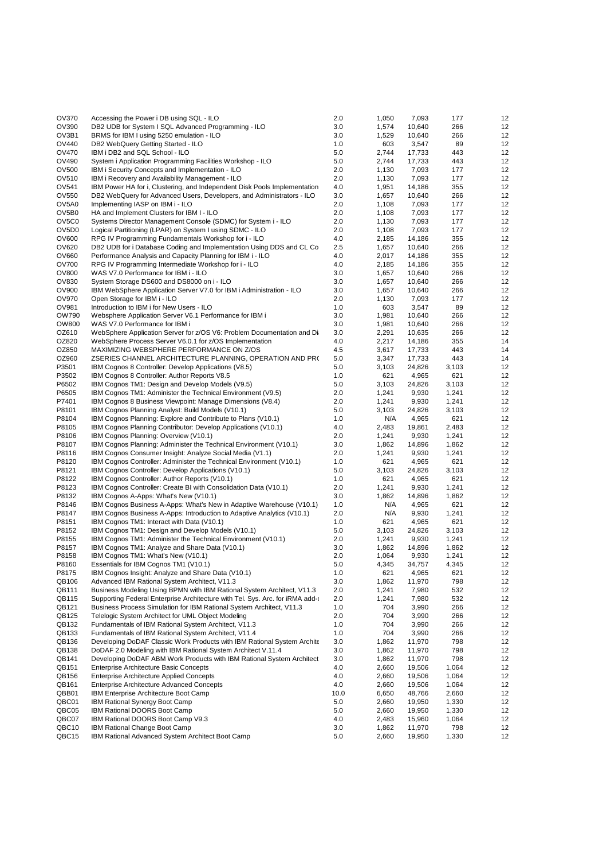| <b>OV370</b>          | Accessing the Power i DB using SQL - ILO                                                                             | 2.0        | 1,050          | 7,093            | 177          | 12       |
|-----------------------|----------------------------------------------------------------------------------------------------------------------|------------|----------------|------------------|--------------|----------|
| OV390                 | DB2 UDB for System I SQL Advanced Programming - ILO                                                                  | 3.0        | 1,574          | 10,640           | 266          | 12       |
| OV3B1                 | BRMS for IBM I using 5250 emulation - ILO                                                                            | 3.0        | 1,529          | 10,640           | 266          | 12       |
| OV440                 | DB2 WebQuery Getting Started - ILO                                                                                   | 1.0        | 603            | 3,547            | 89           | 12       |
| OV470                 | IBM i DB2 and SQL School - ILO                                                                                       | 5.0        | 2,744          | 17,733           | 443          | 12       |
| OV490                 | System i Application Programming Facilities Workshop - ILO                                                           | 5.0        | 2,744          | 17,733           | 443          | 12       |
| OV500                 | IBM i Security Concepts and Implementation - ILO                                                                     | 2.0        | 1,130          | 7,093            | 177          | 12       |
| OV510                 | IBM i Recovery and Availability Management - ILO                                                                     | 2.0        | 1,130          | 7,093            | 177          | 12       |
| OV541                 | IBM Power HA for i. Clustering, and Independent Disk Pools Implementation                                            | 4.0        | 1,951          | 14,186           | 355          | 12       |
| OV550                 | DB2 WebQuery for Advanced Users, Developers, and Administrators - ILO                                                | 3.0        | 1,657          | 10,640           | 266          | 12       |
| OV5A0                 | Implementing IASP on IBM i - ILO                                                                                     | 2.0        | 1,108          | 7,093            | 177          | 12       |
| OV5B0                 | HA and Implement Clusters for IBM I - ILO                                                                            | 2.0        | 1,108          | 7,093            | 177          | 12       |
| OV5C0                 | Systems Director Management Console (SDMC) for System i - ILO                                                        | 2.0        | 1,130          | 7,093            | 177          | 12       |
| OV5D <sub>0</sub>     | Logical Partitioning (LPAR) on System I using SDMC - ILO                                                             | 2.0        | 1,108          | 7,093            | 177          | 12       |
| OV600                 | RPG IV Programming Fundamentals Workshop for i - ILO                                                                 | 4.0        | 2,185          | 14,186           | 355          | 12       |
| OV620                 | DB2 UDB for i Database Coding and Implementation Using DDS and CL Co                                                 | 2.5        | 1,657          | 10,640           | 266          | 12       |
| OV660<br><b>OV700</b> | Performance Analysis and Capacity Planning for IBM i - ILO                                                           | 4.0        | 2,017          | 14,186           | 355          | 12       |
| OV800                 | RPG IV Programming Intermediate Workshop for i - ILO<br>WAS V7.0 Performance for IBM i - ILO                         | 4.0<br>3.0 | 2,185          | 14,186<br>10,640 | 355<br>266   | 12<br>12 |
| OV830                 | System Storage DS600 and DS8000 on i - ILO                                                                           | 3.0        | 1,657<br>1,657 | 10,640           | 266          | 12       |
| OV900                 | IBM WebSphere Application Server V7.0 for IBM i Administration - ILO                                                 | 3.0        | 1,657          | 10,640           | 266          | 12       |
| OV970                 | Open Storage for IBM i - ILO                                                                                         | 2.0        | 1,130          | 7,093            | 177          | 12       |
| OV981                 | Introduction to IBM i for New Users - ILO                                                                            | 1.0        | 603            | 3,547            | 89           | 12       |
| OW790                 | Websphere Application Server V6.1 Performance for IBM i                                                              | 3.0        | 1,981          | 10,640           | 266          | 12       |
| OW800                 | WAS V7.0 Performance for IBM i                                                                                       | 3.0        | 1,981          | 10,640           | 266          | 12       |
| OZ610                 | WebSphere Application Server for z/OS V6: Problem Documentation and Di                                               | 3.0        | 2,291          | 10,635           | 266          | 12       |
| OZ820                 | WebSphere Process Server V6.0.1 for z/OS Implementation                                                              | 4.0        | 2,217          | 14,186           | 355          | 14       |
| OZ850                 | MAXIMIZING WEBSPHERE PERFORMANCE ON Z/OS                                                                             | 4.5        | 3,617          | 17,733           | 443          | 14       |
| OZ960                 | ZSERIES CHANNEL ARCHITECTURE PLANNING, OPERATION AND PR(                                                             | 5.0        | 3,347          | 17,733           | 443          | 14       |
| P3501                 | IBM Cognos 8 Controller: Develop Applications (V8.5)                                                                 | 5.0        | 3,103          | 24,826           | 3,103        | 12       |
| P3502                 | IBM Cognos 8 Controller: Author Reports V8.5                                                                         | 1.0        | 621            | 4,965            | 621          | 12       |
| P6502                 | IBM Cognos TM1: Design and Develop Models (V9.5)                                                                     | 5.0        | 3,103          | 24,826           | 3,103        | 12       |
| P6505                 | IBM Cognos TM1: Administer the Technical Environment (V9.5)                                                          | 2.0        | 1,241          | 9,930            | 1,241        | 12       |
| P7401                 | IBM Cognos 8 Business Viewpoint: Manage Dimensions (V8.4)                                                            | 2.0        | 1,241          | 9,930            | 1,241        | 12       |
| P8101                 | IBM Cognos Planning Analyst: Build Models (V10.1)                                                                    | 5.0        | 3,103          | 24,826           | 3,103        | 12       |
| P8104                 | IBM Cognos Planning: Explore and Contribute to Plans (V10.1)                                                         | 1.0        | N/A            | 4,965            | 621          | 12       |
| P8105                 | IBM Cognos Planning Contributor: Develop Applications (V10.1)                                                        | 4.0        | 2,483          | 19,861           | 2,483        | 12       |
| P8106                 | IBM Cognos Planning: Overview (V10.1)                                                                                | 2.0        | 1,241          | 9,930            | 1,241        | 12       |
| P8107                 | IBM Cognos Planning: Administer the Technical Environment (V10.1)                                                    | 3.0        | 1,862          | 14,896           | 1,862        | 12       |
| P8116                 | IBM Cognos Consumer Insight: Analyze Social Media (V1.1)                                                             | 2.0        | 1,241          | 9,930            | 1,241        | 12       |
| P8120                 | IBM Cognos Controller: Administer the Technical Environment (V10.1)                                                  | 1.0        | 621            | 4,965            | 621          | 12       |
| P8121                 | IBM Cognos Controller: Develop Applications (V10.1)                                                                  | 5.0        | 3,103          | 24,826           | 3,103        | 12       |
| P8122                 | IBM Cognos Controller: Author Reports (V10.1)                                                                        | 1.0        | 621            | 4,965            | 621          | 12       |
| P8123                 | IBM Cognos Controller: Create BI with Consolidation Data (V10.1)                                                     | 2.0        | 1,241          | 9,930            | 1,241        | 12       |
| P8132                 | IBM Cognos A-Apps: What's New (V10.1)                                                                                | 3.0        | 1,862          | 14,896           | 1,862        | 12       |
| P8146                 | IBM Cognos Business A-Apps: What's New in Adaptive Warehouse (V10.1)                                                 | 1.0        | N/A            | 4,965            | 621          | 12       |
| P8147<br>P8151        | IBM Cognos Business A-Apps: Introduction to Adaptive Analytics (V10.1)<br>IBM Cognos TM1: Interact with Data (V10.1) | 2.0<br>1.0 | N/A<br>621     | 9,930            | 1,241        | 12<br>12 |
| P8152                 | IBM Cognos TM1: Design and Develop Models (V10.1)                                                                    | 5.0        | 3,103          | 4,965<br>24,826  | 621<br>3,103 | 12       |
| P8155                 | IBM Cognos TM1: Administer the Technical Environment (V10.1)                                                         | 2.0        | 1,241          | 9,930            | 1,241        | 12       |
| P8157                 | IBM Cognos TM1: Analyze and Share Data (V10.1)                                                                       | 3.0        | 1,862          | 14,896           | 1,862        | 12       |
| P8158                 | IBM Cognos TM1: What's New (V10.1)                                                                                   | 2.0        | 1,064          | 9,930            | 1,241        | 12       |
| P8160                 | Essentials for IBM Cognos TM1 (V10.1)                                                                                | 5.0        | 4,345          | 34,757           | 4,345        | 12       |
| P8175                 | IBM Cognos Insight: Analyze and Share Data (V10.1)                                                                   | 1.0        | 621            | 4,965            | 621          | 12       |
| QB106                 | Advanced IBM Rational System Architect, V11.3                                                                        | 3.0        | 1,862          | 11,970           | 798          | 12       |
| QB111                 | Business Modeling Using BPMN with IBM Rational System Architect, V11.3                                               | 2.0        | 1,241          | 7,980            | 532          | 12       |
| QB115                 | Supporting Federal Enterprise Architecture with Tel. Sys. Arc. for iRMA add-                                         | 2.0        | 1,241          | 7,980            | 532          | 12       |
| QB121                 | Business Process Simulation for IBM Rational System Architect, V11.3                                                 | 1.0        | 704            | 3,990            | 266          | 12       |
| QB125                 | Telelogic System Architect for UML Object Modeling                                                                   | 2.0        | 704            | 3,990            | 266          | 12       |
| QB132                 | Fundamentals of IBM Rational System Architect, V11.3                                                                 | 1.0        | 704            | 3,990            | 266          | 12       |
| QB133                 | Fundamentals of IBM Rational System Architect, V11.4                                                                 | 1.0        | 704            | 3,990            | 266          | 12       |
| QB136                 | Developing DoDAF Classic Work Products with IBM Rational System Archite                                              | 3.0        | 1,862          | 11,970           | 798          | 12       |
| QB138                 | DoDAF 2.0 Modeling with IBM Rational System Architect V.11.4                                                         | 3.0        | 1,862          | 11,970           | 798          | 12       |
| QB141                 | Developing DoDAF ABM Work Products with IBM Rational System Architect                                                | 3.0        | 1,862          | 11,970           | 798          | 12       |
| QB151                 | Enterprise Architecture Basic Concepts                                                                               | 4.0        | 2,660          | 19,506           | 1,064        | 12       |
| QB156                 | Enterprise Architecture Applied Concepts                                                                             | 4.0        | 2,660          | 19,506           | 1,064        | 12       |
| QB161                 | <b>Enterprise Architecture Advanced Concepts</b>                                                                     | 4.0        | 2,660          | 19,506           | 1,064        | 12       |
| QBB01                 | IBM Enterprise Architecture Boot Camp                                                                                | 10.0       | 6,650          | 48,766           | 2,660        | 12       |
| QBC01                 | IBM Rational Synergy Boot Camp                                                                                       | 5.0        | 2,660          | 19,950           | 1,330        | 12       |
| QBC05                 | IBM Rational DOORS Boot Camp                                                                                         | 5.0        | 2,660          | 19,950           | 1,330        | 12       |
| QBC07<br>QBC10        | IBM Rational DOORS Boot Camp V9.3<br>IBM Rational Change Boot Camp                                                   | 4.0<br>3.0 | 2,483<br>1,862 | 15,960<br>11,970 | 1,064<br>798 | 12<br>12 |
| QBC15                 | IBM Rational Advanced System Architect Boot Camp                                                                     | 5.0        | 2,660          | 19,950           | 1,330        | 12       |
|                       |                                                                                                                      |            |                |                  |              |          |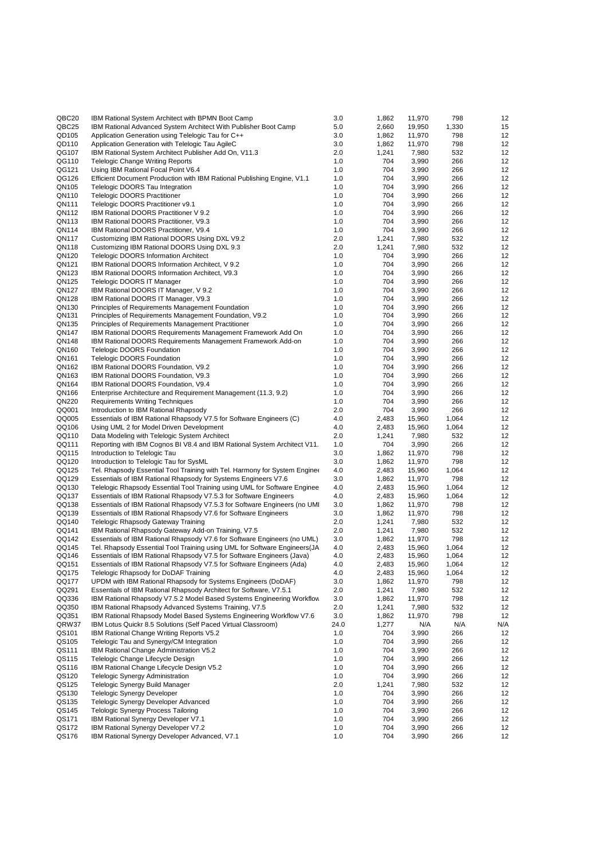| QBC20          | IBM Rational System Architect with BPMN Boot Camp                                                      | 3.0        | 1,862          | 11,970           | 798          | 12       |
|----------------|--------------------------------------------------------------------------------------------------------|------------|----------------|------------------|--------------|----------|
| QBC25          | IBM Rational Advanced System Architect With Publisher Boot Camp                                        | 5.0        | 2,660          | 19,950           | 1,330        | 15       |
| QD105          | Application Generation using Telelogic Tau for C++                                                     | 3.0        | 1,862          | 11,970           | 798          | 12       |
| QD110          | Application Generation with Telelogic Tau AgileC                                                       | 3.0        | 1,862          | 11,970           | 798          | 12       |
| QG107          | IBM Rational System Architect Publisher Add On, V11.3                                                  | 2.0        | 1,241          | 7,980            | 532          | 12       |
| QG110          | <b>Telelogic Change Writing Reports</b>                                                                | 1.0        | 704            | 3,990            | 266          | 12       |
| QG121          | Using IBM Rational Focal Point V6.4                                                                    | 1.0        | 704            | 3,990            | 266          | 12       |
| QG126          | Efficient Document Production with IBM Rational Publishing Engine, V1.1                                | 1.0        | 704            | 3,990            | 266          | 12       |
| QN105<br>QN110 | Telelogic DOORS Tau Integration                                                                        | 1.0<br>1.0 | 704<br>704     | 3,990            | 266          | 12<br>12 |
|                | <b>Telelogic DOORS Practitioner</b>                                                                    |            | 704            | 3,990            | 266          |          |
| QN111<br>QN112 | Telelogic DOORS Practitioner v9.1<br>IBM Rational DOORS Practitioner V 9.2                             | 1.0<br>1.0 | 704            | 3,990<br>3,990   | 266<br>266   | 12<br>12 |
| QN113          | <b>IBM Rational DOORS Practitioner, V9.3</b>                                                           | 1.0        | 704            | 3,990            | 266          | 12       |
| QN114          | IBM Rational DOORS Practitioner, V9.4                                                                  | 1.0        | 704            | 3,990            | 266          | 12       |
| QN117          | Customizing IBM Rational DOORS Using DXL V9.2                                                          | 2.0        | 1,241          | 7,980            | 532          | 12       |
| QN118          | Customizing IBM Rational DOORS Using DXL 9.3                                                           | 2.0        | 1,241          | 7,980            | 532          | 12       |
| QN120          | <b>Telelogic DOORS Information Architect</b>                                                           | 1.0        | 704            | 3,990            | 266          | 12       |
| QN121          | IBM Rational DOORS Information Architect, V 9.2                                                        | 1.0        | 704            | 3,990            | 266          | 12       |
| QN123          | IBM Rational DOORS Information Architect, V9.3                                                         | 1.0        | 704            | 3,990            | 266          | 12       |
| QN125          | Telelogic DOORS IT Manager                                                                             | 1.0        | 704            | 3,990            | 266          | 12       |
| QN127          | IBM Rational DOORS IT Manager, V 9.2                                                                   | 1.0        | 704            | 3,990            | 266          | 12       |
| QN128          | IBM Rational DOORS IT Manager, V9.3                                                                    | 1.0        | 704            | 3,990            | 266          | 12       |
| QN130          | Principles of Requirements Management Foundation                                                       | 1.0        | 704            | 3,990            | 266          | 12       |
| QN131          | Principles of Requirements Management Foundation, V9.2                                                 | 1.0        | 704            | 3,990            | 266          | 12       |
| QN135          | Principles of Requirements Management Practitioner                                                     | 1.0        | 704            | 3,990            | 266          | 12       |
| QN147          | IBM Rational DOORS Requirements Management Framework Add On                                            | 1.0        | 704            | 3,990            | 266          | 12       |
| QN148          | IBM Rational DOORS Requirements Management Framework Add-on                                            | 1.0        | 704            | 3,990            | 266          | 12       |
| QN160          | <b>Telelogic DOORS Foundation</b>                                                                      | 1.0        | 704            | 3,990            | 266          | 12       |
| QN161          | <b>Telelogic DOORS Foundation</b>                                                                      | 1.0        | 704            | 3,990            | 266          | 12       |
| QN162          | IBM Rational DOORS Foundation, V9.2                                                                    | 1.0        | 704            | 3,990            | 266          | 12       |
| QN163          | IBM Rational DOORS Foundation, V9.3                                                                    | 1.0        | 704            | 3,990            | 266          | 12       |
| QN164          | IBM Rational DOORS Foundation, V9.4                                                                    | 1.0        | 704            | 3,990            | 266          | 12       |
| QN166          | Enterprise Architecture and Requirement Management (11.3, 9.2)                                         | 1.0<br>1.0 | 704<br>704     | 3,990<br>3,990   | 266          | 12       |
| QN220<br>QQ001 | <b>Requirements Writing Techniques</b><br>Introduction to IBM Rational Rhapsody                        | 2.0        | 704            | 3,990            | 266<br>266   | 12<br>12 |
| QQ005          | Essentials of IBM Rational Rhapsody V7.5 for Software Engineers (C)                                    | 4.0        | 2,483          | 15,960           | 1,064        | 12       |
| QQ106          | Using UML 2 for Model Driven Development                                                               | 4.0        | 2,483          | 15,960           | 1,064        | 12       |
| QQ110          | Data Modeling with Telelogic System Architect                                                          | 2.0        | 1,241          | 7,980            | 532          | 12       |
| QQ111          | Reporting with IBM Cognos BI V8.4 and IBM Rational System Architect V11.                               | 1.0        | 704            | 3,990            | 266          | 12       |
| QQ115          | Introduction to Telelogic Tau                                                                          | 3.0        | 1,862          | 11,970           | 798          | 12       |
| QQ120          | Introduction to Telelogic Tau for SysML                                                                | 3.0        | 1,862          | 11,970           | 798          | 12       |
| QQ125          | Tel. Rhapsody Essential Tool Training with Tel. Harmony for System Enginee                             | 4.0        | 2,483          | 15,960           | 1,064        | 12       |
| QQ129          | Essentials of IBM Rational Rhapsody for Systems Engineers V7.6                                         | 3.0        | 1,862          | 11,970           | 798          | 12       |
| QQ130          | Telelogic Rhapsody Essential Tool Training using UML for Software Enginee                              | 4.0        | 2,483          | 15,960           | 1,064        | 12       |
| QQ137          | Essentials of IBM Rational Rhapsody V7.5.3 for Software Engineers                                      | 4.0        | 2,483          | 15,960           | 1,064        | 12       |
| QQ138          | Essentials of IBM Rational Rhapsody V7.5.3 for Software Engineers (no UMI)                             | 3.0        | 1,862          | 11,970           | 798          | 12       |
| QQ139          | Essentials of IBM Rational Rhapsody V7.6 for Software Engineers                                        | 3.0        | 1,862          | 11,970           | 798          | 12       |
| QQ140          | Telelogic Rhapsody Gateway Training                                                                    | 2.0        | 1,241          | 7,980            | 532          | 12       |
| QQ141          | IBM Rational Rhapsody Gateway Add-on Training, V7.5                                                    | 2.0        | 1,241          | 7,980            | 532          | 12       |
| QQ142          | Essentials of IBM Rational Rhapsody V7.6 for Software Engineers (no UML)                               | 3.0        | 1,862          | 11,970           | 798          | 12       |
| QQ145          | Tel. Rhapsody Essential Tool Training using UML for Software Engineers (JA                             | 4.0        | 2,483          | 15,960           | 1,064        | 12       |
| QQ146          | Essentials of IBM Rational Rhapsody V7.5 for Software Engineers (Java)                                 | 4.0        | 2,483          | 15,960           | 1,064        | 12       |
| QQ151          | Essentials of IBM Rational Rhapsody V7.5 for Software Engineers (Ada)                                  | 4.0        | 2,483          | 15,960           | 1,064        | 12       |
| QQ175<br>QQ177 | Telelogic Rhapsody for DoDAF Training<br>UPDM with IBM Rational Rhapsody for Systems Engineers (DoDAF) | 4.0<br>3.0 | 2,483<br>1,862 | 15,960<br>11,970 | 1,064<br>798 | 12<br>12 |
| QQ291          | Essentials of IBM Rational Rhapsody Architect for Software, V7.5.1                                     | 2.0        | 1,241          | 7,980            | 532          | 12       |
| QQ336          | IBM Rational Rhapsody V7.5.2 Model Based Systems Engineering Workflow                                  | 3.0        | 1,862          | 11,970           | 798          | 12       |
| QQ350          | IBM Rational Rhapsody Advanced Systems Training, V7.5                                                  | 2.0        | 1,241          | 7,980            | 532          | 12       |
| QQ351          | IBM Rational Rhapsody Model Based Systems Engineering Workflow V7.6                                    | 3.0        | 1,862          | 11,970           | 798          | 12       |
| QRW37          | IBM Lotus Quickr 8.5 Solutions (Self Paced Virtual Classroom)                                          | 24.0       | 1,277          | N/A              | N/A          | N/A      |
| QS101          | IBM Rational Change Writing Reports V5.2                                                               | 1.0        | 704            | 3,990            | 266          | 12       |
| QS105          | Telelogic Tau and Synergy/CM Integration                                                               | 1.0        | 704            | 3,990            | 266          | 12       |
| QS111          | IBM Rational Change Administration V5.2                                                                | 1.0        | 704            | 3,990            | 266          | 12       |
| QS115          | Telelogic Change Lifecycle Design                                                                      | 1.0        | 704            | 3,990            | 266          | 12       |
| QS116          | IBM Rational Change Lifecycle Design V5.2                                                              | 1.0        | 704            | 3,990            | 266          | 12       |
| QS120          | <b>Telelogic Synergy Administration</b>                                                                | 1.0        | 704            | 3,990            | 266          | 12       |
| QS125          | Telelogic Synergy Build Manager                                                                        | 2.0        | 1,241          | 7,980            | 532          | 12       |
| QS130          | <b>Telelogic Synergy Developer</b>                                                                     | 1.0        | 704            | 3,990            | 266          | 12       |
| QS135          | Telelogic Synergy Developer Advanced                                                                   | 1.0        | 704            | 3,990            | 266          | 12       |
| QS145          | <b>Telologic Synergy Process Tailoring</b>                                                             | 1.0        | 704            | 3,990            | 266          | 12       |
| QS171          | IBM Rational Synergy Developer V7.1                                                                    | 1.0        | 704            | 3,990            | 266          | 12       |
| QS172          | IBM Rational Synergy Developer V7.2                                                                    | 1.0        | 704            | 3,990            | 266          | 12       |
| QS176          | IBM Rational Synergy Developer Advanced, V7.1                                                          | 1.0        | 704            | 3,990            | 266          | 12       |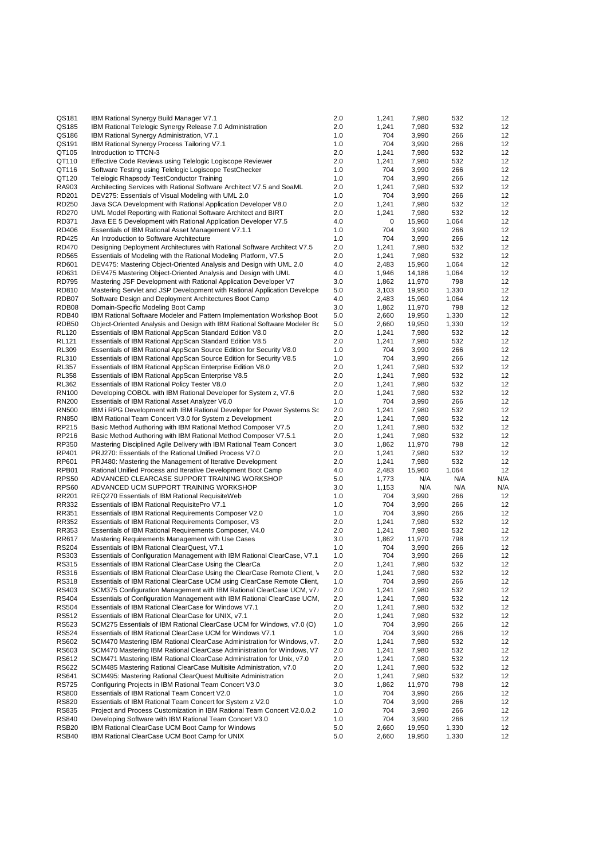| QS181             | IBM Rational Synergy Build Manager V7.1                                   | 2.0 | 1,241 | 7,980  | 532   | 12  |
|-------------------|---------------------------------------------------------------------------|-----|-------|--------|-------|-----|
| QS185             | IBM Rational Telelogic Synergy Release 7.0 Administration                 | 2.0 | 1,241 | 7,980  | 532   | 12  |
| QS186             | IBM Rational Synergy Administration, V7.1                                 | 1.0 | 704   | 3,990  | 266   | 12  |
| QS191             | IBM Rational Synergy Process Tailoring V7.1                               | 1.0 | 704   | 3,990  | 266   | 12  |
| QT105             | Introduction to TTCN-3                                                    | 2.0 | 1,241 | 7,980  | 532   | 12  |
| QT110             | Effective Code Reviews using Telelogic Logiscope Reviewer                 | 2.0 | 1,241 | 7,980  | 532   | 12  |
| QT116             | Software Testing using Telelogic Logiscope TestChecker                    | 1.0 | 704   | 3,990  | 266   | 12  |
| QT120             | Telelogic Rhapsody TestConductor Training                                 | 1.0 | 704   | 3,990  | 266   | 12  |
| RA903             | Architecting Services with Rational Software Architect V7.5 and SoaML     | 2.0 | 1,241 | 7,980  | 532   | 12  |
| RD201             | DEV275: Essentials of Visual Modeling with UML 2.0                        | 1.0 | 704   | 3,990  | 266   | 12  |
| RD250             | Java SCA Development with Rational Application Developer V8.0             | 2.0 | 1,241 | 7,980  | 532   | 12  |
| RD270             | UML Model Reporting with Rational Software Architect and BIRT             | 2.0 | 1,241 | 7,980  | 532   | 12  |
| RD371             | Java EE 5 Development with Rational Application Developer V7.5            | 4.0 | 0     | 15,960 | 1,064 | 12  |
| <b>RD406</b>      | Essentials of IBM Rational Asset Management V7.1.1                        | 1.0 | 704   | 3,990  | 266   | 12  |
| <b>RD425</b>      | An Introduction to Software Architecture                                  | 1.0 | 704   | 3,990  | 266   | 12  |
| <b>RD470</b>      | Designing Deployment Architectures with Rational Software Architect V7.5  | 2.0 | 1,241 | 7,980  | 532   | 12  |
| <b>RD565</b>      | Essentials of Modeling with the Rational Modeling Platform, V7.5          | 2.0 | 1,241 | 7,980  | 532   | 12  |
| RD601             | DEV475: Mastering Object-Oriented Analysis and Design with UML 2.0        | 4.0 | 2,483 | 15,960 | 1,064 | 12  |
| RD631             | DEV475 Mastering Object-Oriented Analysis and Design with UML             | 4.0 | 1,946 | 14,186 | 1,064 | 12  |
| <b>RD795</b>      | Mastering JSF Development with Rational Application Developer V7          | 3.0 | 1,862 | 11,970 | 798   | 12  |
| RD810             | Mastering Servlet and JSP Development with Rational Application Develope  | 5.0 | 3,103 | 19,950 | 1,330 | 12  |
| RDB07             | Software Design and Deployment Architectures Boot Camp                    | 4.0 | 2,483 | 15,960 | 1,064 | 12  |
| RDB08             | Domain-Specific Modeling Boot Camp                                        | 3.0 | 1,862 | 11,970 | 798   | 12  |
| RDB40             | IBM Rational Software Modeler and Pattern Implementation Workshop Boot    | 5.0 | 2,660 | 19,950 | 1,330 | 12  |
| RDB50             | Object-Oriented Analysis and Design with IBM Rational Software Modeler Bo | 5.0 | 2,660 | 19,950 | 1,330 | 12  |
| <b>RL120</b>      | Essentials of IBM Rational AppScan Standard Edition V8.0                  | 2.0 | 1,241 | 7,980  | 532   | 12  |
| <b>RL121</b>      | Essentials of IBM Rational AppScan Standard Edition V8.5                  | 2.0 | 1,241 | 7,980  | 532   | 12  |
| <b>RL309</b>      | Essentials of IBM Rational AppScan Source Edition for Security V8.0       | 1.0 | 704   | 3,990  | 266   | 12  |
| <b>RL310</b>      | Essentials of IBM Rational AppScan Source Edition for Security V8.5       | 1.0 | 704   | 3,990  | 266   | 12  |
| <b>RL357</b>      | Essentials of IBM Rational AppScan Enterprise Edition V8.0                | 2.0 | 1,241 | 7,980  | 532   | 12  |
| <b>RL358</b>      | Essentials of IBM Rational AppScan Enterprise V8.5                        | 2.0 | 1,241 | 7,980  | 532   | 12  |
| <b>RL362</b>      | Essentials of IBM Rational Policy Tester V8.0                             | 2.0 | 1,241 | 7,980  | 532   | 12  |
| <b>RN100</b>      | Developing COBOL with IBM Rational Developer for System z, V7.6           | 2.0 | 1,241 | 7,980  | 532   | 12  |
| <b>RN200</b>      | Essentials of IBM Rational Asset Analyzer V6.0                            | 1.0 | 704   | 3,990  | 266   | 12  |
| <b>RN500</b>      | IBM i RPG Development with IBM Rational Developer for Power Systems Sc    | 2.0 | 1,241 | 7,980  | 532   | 12  |
| <b>RN850</b>      | IBM Rational Team Concert V3.0 for System z Development                   | 2.0 | 1,241 | 7,980  | 532   | 12  |
| RP215             | Basic Method Authoring with IBM Rational Method Composer V7.5             | 2.0 | 1,241 | 7,980  | 532   | 12  |
| RP216             | Basic Method Authoring with IBM Rational Method Composer V7.5.1           | 2.0 | 1,241 | 7,980  | 532   | 12  |
| RP350             | Mastering Disciplined Agile Delivery with IBM Rational Team Concert       | 3.0 | 1,862 | 11,970 | 798   | 12  |
| RP401             | PRJ270: Essentials of the Rational Unified Process V7.0                   | 2.0 | 1,241 | 7,980  | 532   | 12  |
| RP601             | PRJ480: Mastering the Management of Iterative Development                 | 2.0 | 1,241 | 7,980  | 532   | 12  |
| RPB01             | Rational Unified Process and Iterative Development Boot Camp              | 4.0 | 2,483 | 15,960 | 1,064 | 12  |
| <b>RPS50</b>      | ADVANCED CLEARCASE SUPPORT TRAINING WORKSHOP                              | 5.0 | 1,773 | N/A    | N/A   | N/A |
| <b>RPS60</b>      | ADVANCED UCM SUPPORT TRAINING WORKSHOP                                    | 3.0 | 1,153 | N/A    | N/A   | N/A |
| RR201             | REQ270 Essentials of IBM Rational RequisiteWeb                            | 1.0 | 704   | 3,990  | 266   | 12  |
| RR332             | Essentials of IBM Rational RequisitePro V7.1                              | 1.0 | 704   | 3,990  | 266   | 12  |
| RR351             | Essentials of IBM Rational Requirements Composer V2.0                     | 1.0 | 704   | 3,990  | 266   | 12  |
| RR352             | Essentials of IBM Rational Requirements Composer, V3                      | 2.0 | 1,241 | 7,980  | 532   | 12  |
| RR353             | Essentials of IBM Rational Requirements Composer, V4.0                    | 2.0 | 1,241 | 7,980  | 532   | 12  |
| RR617             | Mastering Requirements Management with Use Cases                          | 3.0 | 1,862 | 11,970 | 798   | 12  |
| <b>RS204</b>      | Essentials of IBM Rational ClearQuest, V7.1                               | 1.0 | 704   | 3,990  | 266   | 12  |
| RS303             | Essentials of Configuration Management with IBM Rational ClearCase, V7.1  | 1.0 | 704   | 3,990  | 266   | 12  |
| RS315             | Essentials of IBM Rational ClearCase Using the ClearCa                    | 2.0 | 1,241 | 7,980  | 532   | 12  |
| RS316             | Essentials of IBM Rational ClearCase Using the ClearCase Remote Client, \ | 2.0 | 1,241 | 7,980  | 532   | 12  |
| RS318             | Essentials of IBM Rational ClearCase UCM using ClearCase Remote Client,   | 1.0 | 704   | 3,990  | 266   | 12  |
| RS403             | SCM375 Configuration Management with IBM Rational ClearCase UCM, v7.      | 2.0 | 1,241 | 7,980  | 532   | 12  |
| RS404             | Essentials of Configuration Management with IBM Rational ClearCase UCM,   | 2.0 | 1,241 | 7,980  | 532   | 12  |
| <b>RS504</b>      | Essentials of IBM Rational ClearCase for Windows V7.1                     | 2.0 | 1,241 | 7,980  | 532   | 12  |
| RS512             | Essentials of IBM Rational ClearCase for UNIX, v7.1                       | 2.0 | 1,241 | 7,980  | 532   | 12  |
| <b>RS523</b>      | SCM275 Essentials of IBM Rational ClearCase UCM for Windows, v7.0 (O)     | 1.0 | 704   | 3,990  | 266   | 12  |
| <b>RS524</b>      | Essentials of IBM Rational ClearCase UCM for Windows V7.1                 | 1.0 | 704   | 3,990  | 266   | 12  |
| RS602             | SCM470 Mastering IBM Rational ClearCase Administration for Windows, v7.   | 2.0 | 1,241 | 7,980  | 532   | 12  |
| RS603             | SCM470 Mastering IBM Rational ClearCase Administration for Windows, V7    | 2.0 | 1,241 | 7,980  | 532   | 12  |
| RS612             | SCM471 Mastering IBM Rational ClearCase Administration for Unix, v7.0     | 2.0 | 1,241 | 7,980  | 532   | 12  |
| RS622             | SCM485 Mastering Rational ClearCase Multisite Administration, v7.0        | 2.0 | 1,241 | 7,980  | 532   | 12  |
| RS641             | SCM495: Mastering Rational ClearQuest Multisite Administration            | 2.0 | 1,241 | 7,980  | 532   | 12  |
| RS725             | Configuring Projects in IBM Rational Team Concert V3.0                    | 3.0 | 1,862 | 11,970 | 798   | 12  |
| <b>RS800</b>      | Essentials of IBM Rational Team Concert V2.0                              | 1.0 | 704   | 3,990  | 266   | 12  |
| RS820             | Essentials of IBM Rational Team Concert for System z V2.0                 | 1.0 | 704   | 3,990  | 266   | 12  |
| <b>RS835</b>      | Project and Process Customization in IBM Rational Team Concert V2.0.0.2   | 1.0 | 704   | 3,990  | 266   | 12  |
| <b>RS840</b>      | Developing Software with IBM Rational Team Concert V3.0                   | 1.0 | 704   | 3,990  | 266   | 12  |
| RSB <sub>20</sub> | IBM Rational ClearCase UCM Boot Camp for Windows                          | 5.0 | 2,660 | 19,950 | 1,330 | 12  |
| RSB40             | IBM Rational ClearCase UCM Boot Camp for UNIX                             | 5.0 | 2,660 | 19,950 | 1,330 | 12  |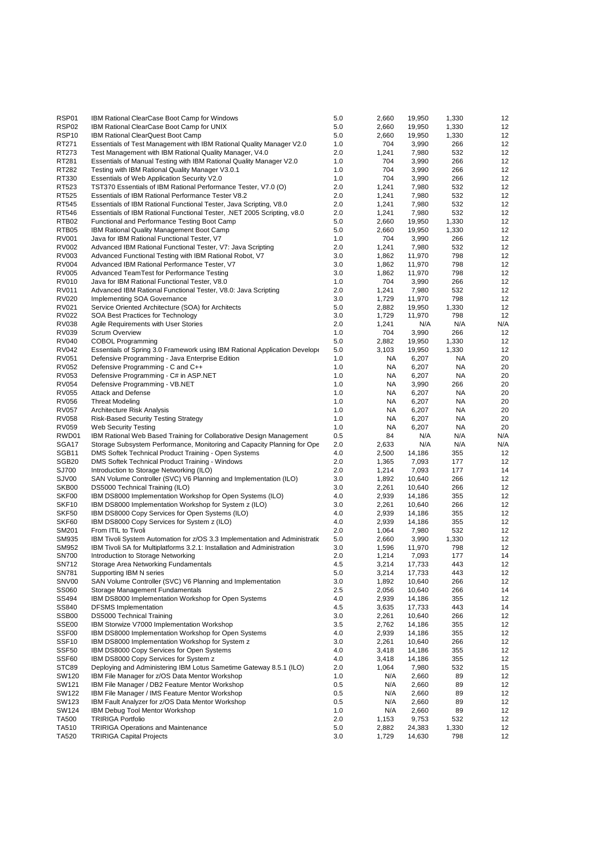| RSP01             | IBM Rational ClearCase Boot Camp for Windows                                                           | 5.0        | 2,660          | 19,950          | 1,330        | 12       |
|-------------------|--------------------------------------------------------------------------------------------------------|------------|----------------|-----------------|--------------|----------|
| RSP <sub>02</sub> | IBM Rational ClearCase Boot Camp for UNIX                                                              | 5.0        | 2,660          | 19,950          | 1,330        | 12       |
| RSP <sub>10</sub> | IBM Rational ClearQuest Boot Camp                                                                      | 5.0        | 2,660          | 19,950          | 1,330        | 12       |
| RT271             | Essentials of Test Management with IBM Rational Quality Manager V2.0                                   | 1.0        | 704            | 3,990           | 266          | 12       |
| RT273             | Test Management with IBM Rational Quality Manager, V4.0                                                | 2.0        | 1,241          | 7,980           | 532          | 12       |
| RT281             | Essentials of Manual Testing with IBM Rational Quality Manager V2.0                                    | 1.0        | 704            | 3,990           | 266          | 12       |
| RT282             | Testing with IBM Rational Quality Manager V3.0.1                                                       | 1.0        | 704            | 3,990           | 266          | 12       |
| RT330             | Essentials of Web Application Security V2.0                                                            | 1.0        | 704            | 3,990           | 266          | 12       |
| RT523             | TST370 Essentials of IBM Rational Performance Tester, V7.0 (O)                                         | 2.0        | 1,241          | 7,980           | 532          | 12       |
| RT525             | Essentials of IBM Rational Performance Tester V8.2                                                     | 2.0        | 1,241          | 7,980           | 532          | 12       |
| RT545             | Essentials of IBM Rational Functional Tester, Java Scripting, V8.0                                     | 2.0        | 1,241          | 7,980           | 532          | 12       |
| RT546             | Essentials of IBM Rational Functional Tester, .NET 2005 Scripting, v8.0                                | 2.0        | 1,241          | 7,980           | 532          | 12       |
| RTB02             | Functional and Performance Testing Boot Camp                                                           | 5.0        | 2,660          | 19,950          | 1,330        | 12       |
| RTB05             | <b>IBM Rational Quality Management Boot Camp</b>                                                       | 5.0        | 2,660          | 19,950          | 1,330        | 12       |
| <b>RV001</b>      | Java for IBM Rational Functional Tester, V7                                                            | 1.0        | 704            | 3,990           | 266          | 12       |
| <b>RV002</b>      | Advanced IBM Rational Functional Tester, V7: Java Scripting                                            | 2.0        | 1,241          | 7,980           | 532          | 12       |
| RV003             | Advanced Functional Testing with IBM Rational Robot, V7                                                | 3.0        | 1,862          | 11,970          | 798          | 12       |
| <b>RV004</b>      | Advanced IBM Rational Performance Tester, V7                                                           | 3.0        | 1,862          | 11,970          | 798          | 12       |
| <b>RV005</b>      | Advanced TeamTest for Performance Testing                                                              | 3.0        | 1,862          | 11,970          | 798          | 12       |
| RV010             | Java for IBM Rational Functional Tester, V8.0                                                          | 1.0        | 704            | 3,990           | 266          | 12       |
| RV011             | Advanced IBM Rational Functional Tester, V8.0: Java Scripting                                          | 2.0        | 1,241          | 7,980           | 532          | 12       |
| <b>RV020</b>      | Implementing SOA Governance                                                                            | 3.0        | 1,729          | 11,970          | 798          | 12       |
| RV021             | Service Oriented Architecture (SOA) for Architects                                                     | 5.0        | 2,882          | 19,950          | 1,330        | 12       |
| <b>RV022</b>      | SOA Best Practices for Technology                                                                      | 3.0        | 1,729          | 11,970          | 798          | 12       |
| RV038             | Agile Requirements with User Stories                                                                   | 2.0        | 1,241          | N/A             | N/A          | N/A      |
| <b>RV039</b>      | <b>Scrum Overview</b>                                                                                  | 1.0        | 704            | 3,990           | 266          | 12       |
| <b>RV040</b>      | <b>COBOL Programming</b>                                                                               | 5.0        | 2,882          | 19,950          | 1,330        | 12       |
| <b>RV042</b>      | Essentials of Spring 3.0 Framework using IBM Rational Application Develope                             | 5.0        | 3,103          | 19,950          | 1,330        | 12       |
| RV051             | Defensive Programming - Java Enterprise Edition                                                        | 1.0        | NA             | 6,207           | NA           | 20       |
| RV052             | Defensive Programming - C and C++                                                                      | 1.0        | NA             | 6,207           | NA           | 20       |
| RV053             | Defensive Programming - C# in ASP.NET                                                                  | 1.0        | NA             | 6,207           | NA           | 20       |
| <b>RV054</b>      | Defensive Programming - VB.NET                                                                         | 1.0        | NA             | 3,990           | 266          | 20       |
| <b>RV055</b>      | <b>Attack and Defense</b>                                                                              | 1.0        | NA             | 6,207           | NA           | 20       |
| RV056             | <b>Threat Modeling</b>                                                                                 | 1.0        | <b>NA</b>      | 6,207           | NA           | 20       |
| RV057             | Architecture Risk Analysis                                                                             | 1.0        | NA             | 6,207           | NA           | 20       |
| RV058             | <b>Risk-Based Security Testing Strategy</b>                                                            | 1.0        | NA             | 6,207           | NA           | 20       |
| <b>RV059</b>      | <b>Web Security Testing</b>                                                                            | 1.0        | NA             | 6,207           | NA           | 20       |
| RWD01             | IBM Rational Web Based Training for Collaborative Design Management                                    | 0.5        | 84             | N/A             | N/A          | N/A      |
| SGA17             | Storage Subsystem Performance, Monitoring and Capacity Planning for Ope                                | 2.0        | 2,633          | N/A             | N/A          | N/A      |
| SGB <sub>11</sub> | DMS Softek Technical Product Training - Open Systems                                                   | 4.0        | 2,500          | 14,186          | 355          | 12       |
| SGB <sub>20</sub> | <b>DMS Softek Technical Product Training - Windows</b>                                                 | 2.0        | 1,365          | 7,093           | 177          | 12       |
| SJ700             | Introduction to Storage Networking (ILO)                                                               | 2.0        | 1,214          | 7,093           | 177          | 14       |
| SJV00             | SAN Volume Controller (SVC) V6 Planning and Implementation (ILO)                                       | 3.0        | 1,892          | 10,640          | 266          | 12       |
| SKB00             | DS5000 Technical Training (ILO)                                                                        | 3.0        | 2,261          | 10,640          | 266          | 12       |
| SKF00             | IBM DS8000 Implementation Workshop for Open Systems (ILO)                                              | 4.0        | 2,939          | 14,186          | 355          | 12       |
| SKF <sub>10</sub> | IBM DS8000 Implementation Workshop for System z (ILO)                                                  | 3.0        | 2,261          | 10,640          | 266          | 12       |
| SKF50             | IBM DS8000 Copy Services for Open Systems (ILO)                                                        | 4.0        | 2,939          | 14,186          | 355          | 12       |
| SKF60             | IBM DS8000 Copy Services for System z (ILO)                                                            | 4.0        | 2,939          | 14,186          | 355          | 12       |
| SM201             | From ITIL to Tivoli                                                                                    | 2.0        | 1,064          | 7,980           | 532          | 12       |
| SM935             | IBM Tivoli System Automation for z/OS 3.3 Implementation and Administration                            | 5.0        | 2,660          | 3,990           | 1,330        | 12       |
| SM952             | IBM Tivoli SA for Multiplatforms 3.2.1: Installation and Administration                                | 3.0        | 1,596          | 11,970          | 798          | 12       |
| <b>SN700</b>      | Introduction to Storage Networking                                                                     | 2.0        | 1,214          | 7,093           | 177          | 14       |
| SN712             | Storage Area Networking Fundamentals                                                                   | 4.5        | 3,214          | 17,733          | 443          | 12       |
| SN781             | Supporting IBM N series                                                                                | 5.0        | 3,214          | 17,733          | 443          | 12       |
| SNV00             | SAN Volume Controller (SVC) V6 Planning and Implementation                                             | 3.0        | 1,892          | 10,640          | 266          | 12       |
| SS060             | Storage Management Fundamentals                                                                        | 2.5        | 2,056          | 10,640          | 266          | 14       |
| SS494             | IBM DS8000 Implementation Workshop for Open Systems                                                    | 4.0        | 2,939          | 14,186          | 355          | 12       |
| SS840             | <b>DFSMS</b> Implementation                                                                            | 4.5        | 3,635          | 17,733          | 443          | 14       |
| SSB <sub>00</sub> | <b>DS5000 Technical Training</b>                                                                       | 3.0        | 2,261          | 10,640          | 266          | 12       |
| SSE00             | IBM Storwize V7000 Implementation Workshop                                                             | 3.5        | 2,762          | 14,186          | 355          | 12       |
| SSF <sub>00</sub> | IBM DS8000 Implementation Workshop for Open Systems<br>IBM DS8000 Implementation Workshop for System z | 4.0        | 2,939          | 14,186          | 355          | 12       |
| SSF <sub>10</sub> |                                                                                                        | 3.0        | 2,261          | 10,640          | 266          | 12       |
| SSF50             |                                                                                                        |            |                |                 |              |          |
|                   | IBM DS8000 Copy Services for Open Systems                                                              | 4.0        | 3,418          | 14,186          | 355          | 12       |
| SSF60             | IBM DS8000 Copy Services for System z                                                                  | 4.0        | 3,418          | 14,186          | 355          | 12       |
| STC89             | Deploying and Administering IBM Lotus Sametime Gateway 8.5.1 (ILO)                                     | 2.0        | 1,064          | 7,980           | 532          | 15       |
| SW120             | IBM File Manager for z/OS Data Mentor Workshop                                                         | 1.0        | N/A            | 2,660           | 89           | 12       |
| SW121             | IBM File Manager / DB2 Feature Mentor Workshop                                                         | 0.5        | N/A            | 2,660           | 89           | 12       |
| SW122             | IBM File Manager / IMS Feature Mentor Workshop                                                         | $0.5\,$    | N/A            | 2,660           | 89           | 12       |
| SW123             | IBM Fault Analyzer for z/OS Data Mentor Workshop                                                       | 0.5        | N/A            | 2,660           | 89           | 12       |
| SW124             | IBM Debug Tool Mentor Workshop                                                                         | 1.0        | N/A            | 2,660           | 89           | 12       |
| TA500<br>TA510    | <b>TRIRIGA Portfolio</b><br><b>TRIRIGA Operations and Maintenance</b>                                  | 2.0<br>5.0 | 1,153<br>2,882 | 9,753<br>24,383 | 532<br>1,330 | 12<br>12 |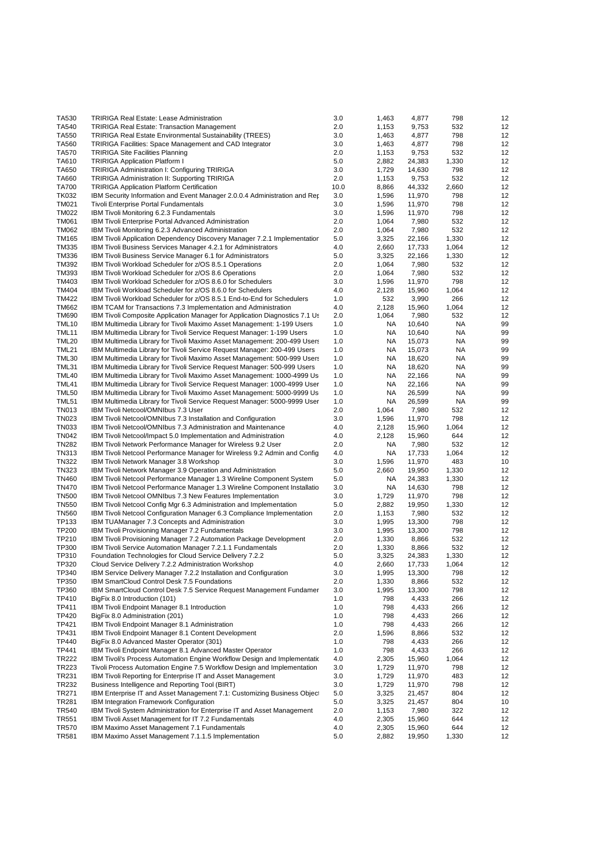| TA530        | <b>TRIRIGA Real Estate: Lease Administration</b>                                   | 3.0  | 1,463     | 4,877  | 798   | 12 |
|--------------|------------------------------------------------------------------------------------|------|-----------|--------|-------|----|
| TA540        | <b>TRIRIGA Real Estate: Transaction Management</b>                                 | 2.0  | 1,153     | 9,753  | 532   | 12 |
| TA550        | TRIRIGA Real Estate Environmental Sustainability (TREES)                           | 3.0  | 1,463     | 4,877  | 798   | 12 |
| TA560        | TRIRIGA Facilities: Space Management and CAD Integrator                            | 3.0  | 1,463     | 4,877  | 798   | 12 |
| TA570        | <b>TRIRIGA Site Facilities Planning</b>                                            | 2.0  | 1,153     | 9,753  | 532   | 12 |
| TA610        | <b>TRIRIGA Application Platform I</b>                                              | 5.0  | 2,882     | 24,383 | 1,330 | 12 |
| TA650        | TRIRIGA Administration I: Configuring TRIRIGA                                      | 3.0  | 1,729     | 14,630 | 798   | 12 |
| TA660        | TRIRIGA Administration II: Supporting TRIRIGA                                      | 2.0  | 1,153     | 9,753  | 532   | 12 |
| <b>TA700</b> | <b>TRIRIGA Application Platform Certification</b>                                  | 10.0 | 8,866     | 44,332 | 2,660 | 12 |
| <b>TK032</b> | IBM Security Information and Event Manager 2.0.0.4 Administration and Rep          | 3.0  | 1,596     | 11,970 | 798   | 12 |
| <b>TM021</b> | Tivoli Enterprise Portal Fundamentals                                              | 3.0  | 1,596     | 11,970 | 798   | 12 |
| <b>TM022</b> | IBM Tivoli Monitoring 6.2.3 Fundamentals                                           | 3.0  | 1,596     | 11,970 | 798   | 12 |
| <b>TM061</b> | <b>IBM Tivoli Enterprise Portal Advanced Administration</b>                        | 2.0  | 1,064     | 7,980  | 532   | 12 |
| <b>TM062</b> | IBM Tivoli Monitoring 6.2.3 Advanced Administration                                | 2.0  | 1,064     | 7,980  | 532   | 12 |
| TM165        | IBM Tivoli Application Dependency Discovery Manager 7.2.1 Implementatior           | 5.0  | 3,325     | 22,166 | 1,330 | 12 |
| TM335        | IBM Tivoli Business Services Manager 4.2.1 for Administrators                      | 4.0  | 2,660     | 17,733 | 1,064 | 12 |
| <b>TM336</b> | <b>IBM Tivoli Business Service Manager 6.1 for Administrators</b>                  | 5.0  | 3,325     | 22,166 | 1,330 | 12 |
| <b>TM392</b> | IBM Tivoli Workload Scheduler for z/OS 8.5.1 Operations                            | 2.0  | 1,064     | 7,980  | 532   | 12 |
| TM393        | IBM Tivoli Workload Scheduler for z/OS 8.6 Operations                              | 2.0  | 1,064     | 7,980  | 532   | 12 |
| TM403        | IBM Tivoli Workload Scheduler for z/OS 8.6.0 for Schedulers                        | 3.0  | 1,596     | 11,970 | 798   | 12 |
| TM404        | IBM Tivoli Workload Scheduler for z/OS 8.6.0 for Schedulers                        | 4.0  | 2,128     | 15,960 | 1,064 | 12 |
| <b>TM422</b> | IBM Tivoli Workload Scheduler for z/OS 8.5.1 End-to-End for Schedulers             | 1.0  | 532       | 3,990  | 266   | 12 |
| <b>TM662</b> | IBM TCAM for Transactions 7.3 Implementation and Administration                    | 4.0  | 2,128     | 15,960 | 1,064 | 12 |
| <b>TM690</b> | <b>IBM Tivoli Composite Application Manager for Application Diagnostics 7.1 Us</b> | 2.0  | 1,064     | 7,980  | 532   | 12 |
| TML10        | IBM Multimedia Library for Tivoli Maximo Asset Management: 1-199 Users             | 1.0  | NA        | 10,640 | NA    | 99 |
| TML11        | IBM Multimedia Library for Tivoli Service Request Manager: 1-199 Users             | 1.0  | NA        | 10,640 | NA    | 99 |
| <b>TML20</b> | IBM Multimedia Library for Tivoli Maximo Asset Management: 200-499 Users           | 1.0  | NA.       | 15,073 | ΝA    | 99 |
| <b>TML21</b> | IBM Multimedia Library for Tivoli Service Request Manager: 200-499 Users           | 1.0  | NA        | 15,073 | ΝA    | 99 |
| <b>TML30</b> | IBM Multimedia Library for Tivoli Maximo Asset Management: 500-999 Users           | 1.0  | <b>NA</b> | 18,620 | NA    | 99 |
| TML31        | IBM Multimedia Library for Tivoli Service Request Manager: 500-999 Users           | 1.0  | NA        | 18,620 | ΝA    | 99 |
| TML40        | IBM Multimedia Library for Tivoli Maximo Asset Management: 1000-4999 Us            | 1.0  | NA        | 22,166 | ΝA    | 99 |
| TML41        | IBM Multimedia Library for Tivoli Service Request Manager: 1000-4999 User          | 1.0  | NA        | 22,166 | ΝA    | 99 |
| <b>TML50</b> | IBM Multimedia Library for Tivoli Maximo Asset Management: 5000-9999 Us            | 1.0  | NA        | 26,599 | NA    | 99 |
| <b>TML51</b> | IBM Multimedia Library for Tivoli Service Request Manager: 5000-9999 User          | 1.0  | <b>NA</b> | 26,599 | NA    | 99 |
| TN013        | IBM Tivoli Netcool/OMNIbus 7.3 User                                                | 2.0  | 1,064     | 7,980  | 532   | 12 |
| <b>TN023</b> | IBM Tivoli Netcool/OMNIbus 7.3 Installation and Configuration                      | 3.0  | 1,596     | 11,970 | 798   | 12 |
| <b>TN033</b> | IBM Tivoli Netcool/OMNIbus 7.3 Administration and Maintenance                      | 4.0  | 2,128     | 15,960 | 1,064 | 12 |
| <b>TN042</b> | IBM Tivoli Netcool/Impact 5.0 Implementation and Administration                    | 4.0  | 2,128     | 15,960 | 644   | 12 |
| <b>TN282</b> | IBM Tivoli Network Performance Manager for Wireless 9.2 User                       | 2.0  | NA        | 7,980  | 532   | 12 |
| TN313        | IBM Tivoli Netcool Performance Manager for Wireless 9.2 Admin and Config           | 4.0  | NA        | 17,733 | 1,064 | 12 |
| <b>TN322</b> | IBM Tivoli Network Manager 3.8 Workshop                                            | 3.0  | 1,596     | 11,970 | 483   | 10 |
| <b>TN323</b> | IBM Tivoli Network Manager 3.9 Operation and Administration                        | 5.0  | 2,660     | 19,950 | 1,330 | 12 |
| <b>TN460</b> | IBM Tivoli Netcool Performance Manager 1.3 Wireline Component System               | 5.0  | NA        | 24,383 | 1,330 | 12 |
| <b>TN470</b> | IBM Tivoli Netcool Performance Manager 1.3 Wireline Component Installatio          | 3.0  | NA        | 14,630 | 798   | 12 |
| <b>TN500</b> | IBM Tivoli Netcool OMNIbus 7.3 New Features Implementation                         | 3.0  | 1,729     | 11,970 | 798   | 12 |
| <b>TN550</b> | IBM Tivoli Netcool Config Mgr 6.3 Administration and Implementation                | 5.0  | 2,882     | 19,950 | 1,330 | 12 |
| <b>TN560</b> | IBM Tivoli Netcool Configuration Manager 6.3 Compliance Implementation             | 2.0  | 1,153     | 7,980  | 532   | 12 |
| TP133        | IBM TUAManager 7.3 Concepts and Administration                                     | 3.0  | 1,995     | 13,300 | 798   | 12 |
| <b>TP200</b> | IBM Tivoli Provisioning Manager 7.2 Fundamentals                                   | 3.0  | 1,995     | 13,300 | 798   | 12 |
| TP210        | IBM Tivoli Provisioning Manager 7.2 Automation Package Development                 | 2.0  | 1,330     | 8,866  | 532   | 12 |
| TP300        | IBM Tivoli Service Automation Manager 7.2.1.1 Fundamentals                         | 2.0  | 1,330     | 8,866  | 532   | 12 |
| TP310        | Foundation Technologies for Cloud Service Delivery 7.2.2                           | 5.0  | 3,325     | 24,383 | 1,330 | 12 |
| TP320        | Cloud Service Delivery 7.2.2 Administration Workshop                               | 4.0  | 2,660     | 17,733 | 1,064 | 12 |
| TP340        | IBM Service Delivery Manager 7.2.2 Installation and Configuration                  | 3.0  | 1,995     | 13,300 | 798   | 12 |
| TP350        | IBM SmartCloud Control Desk 7.5 Foundations                                        | 2.0  | 1,330     | 8,866  | 532   | 12 |
| TP360        | IBM SmartCloud Control Desk 7.5 Service Request Management Fundamer                | 3.0  | 1,995     | 13,300 | 798   | 12 |
| TP410        | BigFix 8.0 Introduction (101)                                                      | 1.0  | 798       | 4,433  | 266   | 12 |
| TP411        | IBM Tivoli Endpoint Manager 8.1 Introduction                                       | 1.0  | 798       | 4,433  | 266   | 12 |
| TP420        | BigFix 8.0 Administration (201)                                                    | 1.0  | 798       | 4,433  | 266   | 12 |
| TP421        | IBM Tivoli Endpoint Manager 8.1 Administration                                     | 1.0  | 798       | 4,433  | 266   | 12 |
| TP431        | IBM Tivoli Endpoint Manager 8.1 Content Development                                | 2.0  | 1,596     | 8,866  | 532   | 12 |
| TP440        | BigFix 8.0 Advanced Master Operator (301)                                          | 1.0  | 798       | 4,433  | 266   | 12 |
| TP441        | IBM Tivoli Endpoint Manager 8.1 Advanced Master Operator                           | 1.0  | 798       | 4,433  | 266   | 12 |
| TR222        | IBM Tivoli's Process Automation Engine Workflow Design and Implementation          | 4.0  | 2,305     | 15,960 | 1,064 | 12 |
| TR223        | Tivoli Process Automation Engine 7.5 Workflow Design and Implementation            | 3.0  | 1,729     | 11,970 | 798   | 12 |
| TR231        | IBM Tivoli Reporting for Enterprise IT and Asset Management                        | 3.0  | 1,729     | 11,970 | 483   | 12 |
| TR232        | Business Intelligence and Reporting Tool (BIRT)                                    | 3.0  | 1,729     | 11,970 | 798   | 12 |
| TR271        | IBM Enterprise IT and Asset Management 7.1: Customizing Business Object            | 5.0  | 3,325     | 21,457 | 804   | 12 |
| TR281        | IBM Integration Framework Configuration                                            | 5.0  | 3,325     | 21,457 | 804   | 10 |
| <b>TR540</b> | IBM Tivoli System Administration for Enterprise IT and Asset Management            | 2.0  | 1,153     | 7,980  | 322   | 12 |
| TR551        | IBM Tivoli Asset Management for IT 7.2 Fundamentals                                | 4.0  | 2,305     | 15,960 | 644   | 12 |
| <b>TR570</b> | IBM Maximo Asset Management 7.1 Fundamentals                                       | 4.0  | 2,305     | 15,960 | 644   | 12 |
| <b>TR581</b> | IBM Maximo Asset Management 7.1.1.5 Implementation                                 | 5.0  | 2,882     | 19,950 | 1,330 | 12 |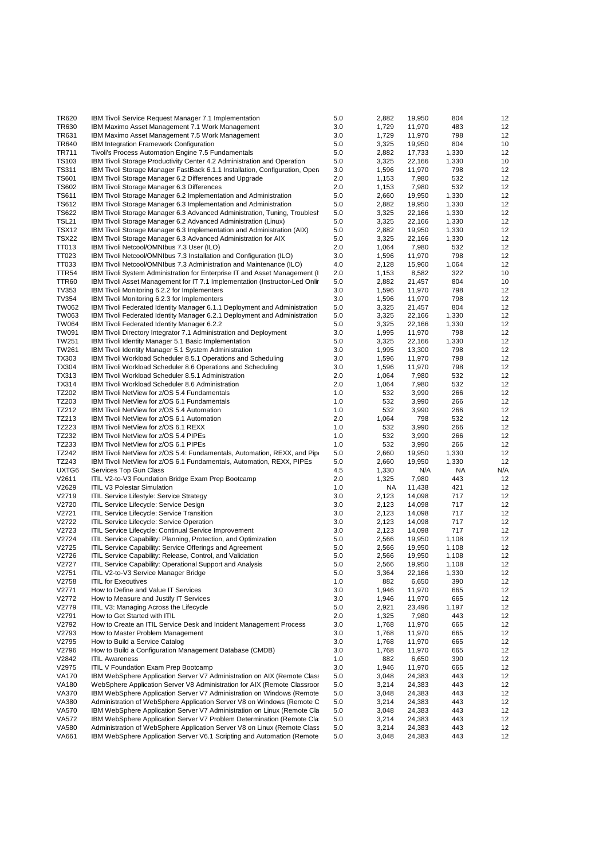| <b>TR620</b>      | IBM Tivoli Service Request Manager 7.1 Implementation                       | 5.0 | 2,882 | 19,950           | 804   | 12  |
|-------------------|-----------------------------------------------------------------------------|-----|-------|------------------|-------|-----|
| TR630             | IBM Maximo Asset Management 7.1 Work Management                             | 3.0 | 1,729 | 11,970           | 483   | 12  |
| TR631             | IBM Maximo Asset Management 7.5 Work Management                             | 3.0 | 1,729 | 11,970           | 798   | 12  |
| <b>TR640</b>      | IBM Integration Framework Configuration                                     | 5.0 | 3,325 | 19,950           | 804   | 10  |
| TR711             | Tivoli's Process Automation Engine 7.5 Fundamentals                         | 5.0 | 2,882 | 17,733           | 1,330 | 12  |
| TS103             | IBM Tivoli Storage Productivity Center 4.2 Administration and Operation     | 5.0 | 3,325 | 22,166           | 1,330 | 10  |
| <b>TS311</b>      | IBM Tivoli Storage Manager FastBack 6.1.1 Installation, Configuration, Oper | 3.0 | 1,596 | 11,970           | 798   | 12  |
| <b>TS601</b>      | IBM Tivoli Storage Manager 6.2 Differences and Upgrade                      | 2.0 | 1,153 | 7,980            | 532   | 12  |
| <b>TS602</b>      | IBM Tivoli Storage Manager 6.3 Differences                                  | 2.0 | 1,153 | 7,980            | 532   | 12  |
|                   |                                                                             |     |       |                  |       |     |
| TS611             | IBM Tivoli Storage Manager 6.2 Implementation and Administration            | 5.0 | 2,660 | 19,950           | 1,330 | 12  |
| <b>TS612</b>      | IBM Tivoli Storage Manager 6.3 Implementation and Administration            | 5.0 | 2,882 | 19,950           | 1,330 | 12  |
| <b>TS622</b>      | IBM Tivoli Storage Manager 6.3 Advanced Administration, Tuning, Troublesh   | 5.0 | 3,325 | 22,166           | 1,330 | 12  |
| <b>TSL21</b>      | IBM Tivoli Storage Manager 6.2 Advanced Administration (Linux)              | 5.0 | 3,325 | 22,166           | 1,330 | 12  |
| <b>TSX12</b>      | IBM Tivoli Storage Manager 6.3 Implementation and Administration (AIX)      | 5.0 | 2,882 | 19,950           | 1,330 | 12  |
| TSX22             | IBM Tivoli Storage Manager 6.3 Advanced Administration for AIX              | 5.0 | 3,325 | 22,166           | 1,330 | 12  |
| TT013             | IBM Tivoli Netcool/OMNIbus 7.3 User (ILO)                                   | 2.0 | 1,064 | 7,980            | 532   | 12  |
| TT023             | IBM Tivoli Netcool/OMNIbus 7.3 Installation and Configuration (ILO)         | 3.0 | 1,596 | 11,970           | 798   | 12  |
| TT033             | IBM Tivoli Netcool/OMNIbus 7.3 Administration and Maintenance (ILO)         | 4.0 | 2,128 | 15,960           | 1,064 | 12  |
| TTR <sub>54</sub> | IBM Tivoli System Administration for Enterprise IT and Asset Management (I  | 2.0 | 1,153 | 8,582            | 322   | 10  |
| TTR60             | IBM Tivoli Asset Management for IT 7.1 Implementation (Instructor-Led Onlir | 5.0 | 2,882 | 21,457           | 804   | 10  |
| TV353             | IBM Tivoli Monitoring 6.2.2 for Implementers                                | 3.0 | 1,596 | 11,970           | 798   | 12  |
| <b>TV354</b>      | IBM Tivoli Monitoring 6.2.3 for Implementers                                | 3.0 | 1,596 | 11,970           | 798   | 12  |
| <b>TW062</b>      | IBM Tivoli Federated Identity Manager 6.1.1 Deployment and Administration   | 5.0 | 3,325 | 21,457           | 804   | 12  |
| TW063             | IBM Tivoli Federated Identity Manager 6.2.1 Deployment and Administration   | 5.0 | 3,325 | 22,166           | 1,330 | 12  |
| TW064             | IBM Tivoli Federated Identity Manager 6.2.2                                 | 5.0 | 3,325 | 22,166           | 1,330 | 12  |
| TW091             | IBM Tivoli Directory Integrator 7.1 Administration and Deployment           | 3.0 | 1,995 | 11,970           | 798   | 12  |
| TW251             | IBM Tivoli Identity Manager 5.1 Basic Implementation                        | 5.0 | 3,325 | 22,166           | 1,330 | 12  |
| TW261             | IBM Tivoli Identity Manager 5.1 System Administration                       | 3.0 | 1,995 | 13,300           | 798   | 12  |
| TX303             | IBM Tivoli Workload Scheduler 8.5.1 Operations and Scheduling               | 3.0 | 1,596 | 11,970           | 798   | 12  |
| TX304             | IBM Tivoli Workload Scheduler 8.6 Operations and Scheduling                 | 3.0 |       | 11,970           | 798   | 12  |
|                   |                                                                             |     | 1,596 |                  |       |     |
| TX313             | IBM Tivoli Workload Scheduler 8.5.1 Administration                          | 2.0 | 1,064 | 7,980            | 532   | 12  |
| <b>TX314</b>      | IBM Tivoli Workload Scheduler 8.6 Administration                            | 2.0 | 1,064 | 7,980            | 532   | 12  |
| TZ202             | IBM Tivoli NetView for z/OS 5.4 Fundamentals                                | 1.0 | 532   | 3,990            | 266   | 12  |
| TZ203             | IBM Tivoli NetView for z/OS 6.1 Fundamentals                                | 1.0 | 532   | 3,990            | 266   | 12  |
| TZ212             | IBM Tivoli NetView for z/OS 5.4 Automation                                  | 1.0 | 532   | 3,990            | 266   | 12  |
| TZ213             | IBM Tivoli NetView for z/OS 6.1 Automation                                  | 2.0 | 1,064 | 798              | 532   | 12  |
| TZ223             | IBM Tivoli NetView for z/OS 6.1 REXX                                        | 1.0 | 532   | 3,990            | 266   | 12  |
| TZ232             | IBM Tivoli NetView for z/OS 5.4 PIPEs                                       | 1.0 | 532   | 3,990            | 266   | 12  |
| TZ233             | IBM Tivoli NetView for z/OS 6.1 PIPEs                                       | 1.0 | 532   | 3,990            | 266   | 12  |
| TZ242             | IBM Tivoli NetView for z/OS 5.4: Fundamentals, Automation, REXX, and Pipe   | 5.0 | 2,660 | 19,950           | 1,330 | 12  |
| TZ243             | IBM Tivoli NetView for z/OS 6.1 Fundamentals, Automation, REXX, PIPEs       | 5.0 | 2,660 | 19,950           | 1,330 | 12  |
| UXTG6             | Services Top Gun Class                                                      | 4.5 | 1,330 | N/A              | ΝA    | N/A |
| V2611             | ITIL V2-to-V3 Foundation Bridge Exam Prep Bootcamp                          | 2.0 | 1,325 | 7,980            | 443   | 12  |
| V2629             | <b>ITIL V3 Polestar Simulation</b>                                          | 1.0 | NA    | 11,438           | 421   | 12  |
| V2719             | ITIL Service Lifestyle: Service Strategy                                    | 3.0 | 2,123 | 14,098           | 717   | 12  |
| V2720             | ITIL Service Lifecycle: Service Design                                      | 3.0 | 2,123 | 14,098           | 717   | 12  |
| V2721             | ITIL Service Lifecycle: Service Transition                                  | 3.0 | 2,123 | 14,098           | 717   | 12  |
| V2722             | ITIL Service Lifecycle: Service Operation                                   | 3.0 | 2,123 | 14,098           | 717   | 12  |
| V2723             | ITIL Service Lifecycle: Continual Service Improvement                       | 3.0 | 2,123 | 14,098           | 717   | 12  |
| V2724             | ITIL Service Capability: Planning, Protection, and Optimization             | 5.0 | 2,566 | 19,950           | 1,108 | 12  |
| V2725             | <b>ITIL Service Capability: Service Offerings and Agreement</b>             | 5.0 | 2,566 | 19,950           | 1,108 | 12  |
| V2726             | ITIL Service Capability: Release, Control, and Validation                   | 5.0 | 2,566 | 19,950           | 1,108 | 12  |
| V2727             | ITIL Service Capability: Operational Support and Analysis                   | 5.0 | 2,566 | 19,950           | 1,108 | 12  |
| V2751             | ITIL V2-to-V3 Service Manager Bridge                                        | 5.0 | 3,364 | 22,166           | 1,330 | 12  |
| V2758             | <b>ITIL for Executives</b>                                                  | 1.0 | 882   | 6,650            | 390   | 12  |
| V2771             | How to Define and Value IT Services                                         | 3.0 | 1,946 |                  | 665   | 12  |
|                   |                                                                             |     |       | 11,970<br>11,970 |       |     |
| V2772             | How to Measure and Justify IT Services                                      | 3.0 | 1,946 |                  | 665   | 12  |
| V2779             | ITIL V3: Managing Across the Lifecycle                                      | 5.0 | 2,921 | 23,496           | 1,197 | 12  |
| V2791             | How to Get Started with ITIL                                                | 2.0 | 1,325 | 7,980            | 443   | 12  |
| V2792             | How to Create an ITIL Service Desk and Incident Management Process          | 3.0 | 1,768 | 11,970           | 665   | 12  |
| V2793             | How to Master Problem Management                                            | 3.0 | 1,768 | 11,970           | 665   | 12  |
| V2795             | How to Build a Service Catalog                                              | 3.0 | 1,768 | 11,970           | 665   | 12  |
| V2796             | How to Build a Configuration Management Database (CMDB)                     | 3.0 | 1,768 | 11,970           | 665   | 12  |
| V2842             | <b>ITIL Awareness</b>                                                       | 1.0 | 882   | 6,650            | 390   | 12  |
| V2975             | ITIL V Foundation Exam Prep Bootcamp                                        | 3.0 | 1,946 | 11,970           | 665   | 12  |
| <b>VA170</b>      | IBM WebSphere Application Server V7 Administration on AIX (Remote Class)    | 5.0 | 3,048 | 24,383           | 443   | 12  |
| <b>VA180</b>      | WebSphere Application Server V8 Administration for AIX (Remote Classroor    | 5.0 | 3,214 | 24,383           | 443   | 12  |
| <b>VA370</b>      | IBM WebSphere Application Server V7 Administration on Windows (Remote       | 5.0 | 3,048 | 24,383           | 443   | 12  |
| <b>VA380</b>      | Administration of WebSphere Application Server V8 on Windows (Remote C      | 5.0 | 3,214 | 24,383           | 443   | 12  |
| <b>VA570</b>      | IBM WebSphere Application Server V7 Administration on Linux (Remote Cla     | 5.0 | 3,048 | 24,383           | 443   | 12  |
| <b>VA572</b>      | IBM WebSphere Application Server V7 Problem Determination (Remote Cla       | 5.0 | 3,214 | 24,383           | 443   | 12  |
| <b>VA580</b>      | Administration of WebSphere Application Server V8 on Linux (Remote Class    | 5.0 | 3,214 | 24,383           | 443   | 12  |
| <b>VA661</b>      | IBM WebSphere Application Server V6.1 Scripting and Automation (Remote      | 5.0 | 3,048 | 24,383           | 443   | 12  |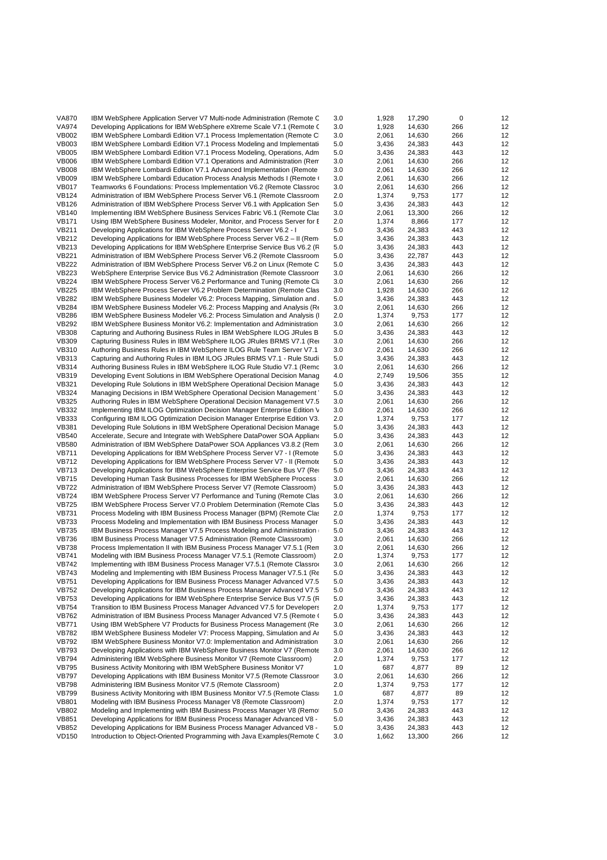| <b>VA870</b> | IBM WebSphere Application Server V7 Multi-node Administration (Remote C)  | 3.0 | 1,928 | 17,290 | 0   | 12 |
|--------------|---------------------------------------------------------------------------|-----|-------|--------|-----|----|
| <b>VA974</b> | Developing Applications for IBM WebSphere eXtreme Scale V7.1 (Remote C)   | 3.0 | 1,928 | 14,630 | 266 | 12 |
| <b>VB002</b> | IBM WebSphere Lombardi Edition V7.1 Process Implementation (Remote C)     | 3.0 | 2,061 | 14,630 | 266 | 12 |
| <b>VB003</b> | IBM WebSphere Lombardi Edition V7.1 Process Modeling and Implementati     | 5.0 | 3,436 | 24,383 | 443 | 12 |
|              |                                                                           |     |       |        |     |    |
| <b>VB005</b> | IBM WebSphere Lombardi Edition V7.1 Process Modeling, Operations, Adm     | 5.0 | 3,436 | 24,383 | 443 | 12 |
| <b>VB006</b> | IBM WebSphere Lombardi Edition V7.1 Operations and Administration (Rem    | 3.0 | 2,061 | 14,630 | 266 | 12 |
| <b>VB008</b> | IBM WebSphere Lombardi Edition V7.1 Advanced Implementation (Remote       | 3.0 | 2,061 | 14,630 | 266 | 12 |
| <b>VB009</b> | IBM WebSphere Lombardi Education Process Analysis Methods I (Remote (     | 3.0 | 2,061 | 14,630 | 266 | 12 |
| <b>VB017</b> | Teamworks 6 Foundations: Process Implementation V6.2 (Remote Classroc     | 3.0 | 2,061 | 14,630 | 266 | 12 |
| <b>VB124</b> | Administration of IBM WebSphere Process Server V6.1 (Remote Classroom     | 2.0 | 1,374 | 9,753  | 177 | 12 |
| <b>VB126</b> | Administration of IBM WebSphere Process Server V6.1 with Application Ser  | 5.0 | 3,436 | 24,383 | 443 | 12 |
| <b>VB140</b> | Implementing IBM WebSphere Business Services Fabric V6.1 (Remote Clas     | 3.0 | 2,061 | 13,300 | 266 | 12 |
| <b>VB171</b> |                                                                           | 2.0 | 1,374 |        | 177 | 12 |
|              | Using IBM WebSphere Business Modeler, Monitor, and Process Server for E.  |     |       | 8,866  |     |    |
| <b>VB211</b> | Developing Applications for IBM WebSphere Process Server V6.2 - I         | 5.0 | 3,436 | 24,383 | 443 | 12 |
| <b>VB212</b> | Developing Applications for IBM WebSphere Process Server V6.2 - II (Rem   | 5.0 | 3,436 | 24,383 | 443 | 12 |
| <b>VB213</b> | Developing Applications for IBM WebSphere Enterprise Service Bus V6.2 (R  | 5.0 | 3,436 | 24,383 | 443 | 12 |
| <b>VB221</b> | Administration of IBM WebSphere Process Server V6.2 (Remote Classroom     | 5.0 | 3,436 | 22,787 | 443 | 12 |
| <b>VB222</b> | Administration of IBM WebSphere Process Server V6.2 on Linux (Remote C)   | 5.0 | 3,436 | 24,383 | 443 | 12 |
| <b>VB223</b> | WebSphere Enterprise Service Bus V6.2 Administration (Remote Classroom    | 3.0 | 2,061 | 14,630 | 266 | 12 |
| <b>VB224</b> | IBM WebSphere Process Server V6.2 Performance and Tuning (Remote Cl.      | 3.0 | 2,061 | 14,630 | 266 | 12 |
| <b>VB225</b> | IBM WebSphere Process Server V6.2 Problem Determination (Remote Clas      | 3.0 | 1,928 | 14,630 | 266 | 12 |
| <b>VB282</b> |                                                                           |     |       |        |     |    |
|              | IBM WebSphere Business Modeler V6.2: Process Mapping, Simulation and      | 5.0 | 3,436 | 24,383 | 443 | 12 |
| <b>VB284</b> | IBM WebSphere Business Modeler V6.2: Process Mapping and Analysis (Re     | 3.0 | 2,061 | 14,630 | 266 | 12 |
| <b>VB286</b> | IBM WebSphere Business Modeler V6.2: Process Simulation and Analysis (I   | 2.0 | 1,374 | 9,753  | 177 | 12 |
| <b>VB292</b> | IBM WebSphere Business Monitor V6.2: Implementation and Administration    | 3.0 | 2,061 | 14,630 | 266 | 12 |
| <b>VB308</b> | Capturing and Authoring Business Rules in IBM WebSphere ILOG JRules B     | 5.0 | 3,436 | 24,383 | 443 | 12 |
| <b>VB309</b> | Capturing Business Rules in IBM WebSphere ILOG JRules BRMS V7.1 (Re)      | 3.0 | 2,061 | 14,630 | 266 | 12 |
| <b>VB310</b> | Authoring Business Rules in IBM WebSphere ILOG Rule Team Server V7.1      | 3.0 | 2,061 | 14,630 | 266 | 12 |
| <b>VB313</b> | Capturing and Authoring Rules in IBM ILOG JRules BRMS V7.1 - Rule Studi   | 5.0 | 3,436 | 24,383 | 443 | 12 |
| <b>VB314</b> | Authoring Business Rules in IBM WebSphere ILOG Rule Studio V7.1 (Remc     | 3.0 | 2,061 | 14,630 | 266 | 12 |
|              |                                                                           |     |       |        |     |    |
| <b>VB319</b> | Developing Event Solutions in IBM WebSphere Operational Decision Manag    | 4.0 | 2,749 | 19,506 | 355 | 12 |
| <b>VB321</b> | Developing Rule Solutions in IBM WebSphere Operational Decision Manage    | 5.0 | 3,436 | 24,383 | 443 | 12 |
| <b>VB324</b> | Managing Decisions in IBM WebSphere Operational Decision Management       | 5.0 | 3,436 | 24,383 | 443 | 12 |
| <b>VB325</b> | Authoring Rules in IBM WebSphere Operational Decision Management V7.5     | 3.0 | 2,061 | 14,630 | 266 | 12 |
| VB332        | Implementing IBM ILOG Optimization Decision Manager Enterprise Edition V  | 3.0 | 2,061 | 14,630 | 266 | 12 |
| <b>VB333</b> | Configuring IBM ILOG Optimization Decision Manager Enterprise Edition V3. | 2.0 | 1,374 | 9,753  | 177 | 12 |
| <b>VB381</b> | Developing Rule Solutions in IBM WebSphere Operational Decision Manage    | 5.0 | 3,436 | 24,383 | 443 | 12 |
| <b>VB540</b> | Accelerate, Secure and Integrate with WebSphere DataPower SOA Appliano    | 5.0 | 3,436 | 24,383 | 443 | 12 |
| <b>VB580</b> | Administration of IBM WebSphere DataPower SOA Appliances V3.8.2 (Rem      | 3.0 | 2,061 | 14,630 | 266 | 12 |
| <b>VB711</b> | Developing Applications for IBM WebSphere Process Server V7 - I (Remote   | 5.0 | 3,436 | 24,383 | 443 | 12 |
|              |                                                                           |     |       |        |     |    |
| <b>VB712</b> | Developing Applications for IBM WebSphere Process Server V7 - II (Remote  | 5.0 | 3,436 | 24,383 | 443 | 12 |
| <b>VB713</b> | Developing Applications for IBM WebSphere Enterprise Service Bus V7 (Re)  | 5.0 | 3,436 | 24,383 | 443 | 12 |
| <b>VB715</b> | Developing Human Task Business Processes for IBM WebSphere Process        | 3.0 | 2,061 | 14,630 | 266 | 12 |
| <b>VB722</b> | Administration of IBM WebSphere Process Server V7 (Remote Classroom)      | 5.0 | 3,436 | 24,383 | 443 | 12 |
| <b>VB724</b> | IBM WebSphere Process Server V7 Performance and Tuning (Remote Clas       | 3.0 | 2,061 | 14,630 | 266 | 12 |
| <b>VB725</b> | IBM WebSphere Process Server V7.0 Problem Determination (Remote Clas      | 5.0 | 3,436 | 24,383 | 443 | 12 |
| <b>VB731</b> | Process Modeling with IBM Business Process Manager (BPM) (Remote Class    | 2.0 | 1,374 | 9,753  | 177 | 12 |
| <b>VB733</b> | Process Modeling and Implementation with IBM Business Process Manager     | 5.0 | 3,436 | 24,383 | 443 | 12 |
| <b>VB735</b> | IBM Business Process Manager V7.5 Process Modeling and Administration     | 5.0 | 3,436 | 24,383 | 443 | 12 |
| <b>VB736</b> |                                                                           | 3.0 |       | 14,630 | 266 | 12 |
|              | IBM Business Process Manager V7.5 Administration (Remote Classroom)       |     | 2,061 |        |     |    |
| <b>VB738</b> | Process Implementation II with IBM Business Process Manager V7.5.1 (Ren   | 3.0 | 2,061 | 14,630 | 266 | 12 |
| <b>VB741</b> | Modeling with IBM Business Process Manager V7.5.1 (Remote Classroom)      | 2.0 | 1,374 | 9,753  | 177 | 12 |
| <b>VB742</b> | Implementing with IBM Business Process Manager V7.5.1 (Remote Classror    | 3.0 | 2,061 | 14,630 | 266 | 12 |
| <b>VB743</b> | Modeling and Implementing with IBM Business Process Manager V7.5.1 (Re    | 5.0 | 3,436 | 24,383 | 443 | 12 |
| <b>VB751</b> | Developing Applications for IBM Business Process Manager Advanced V7.5    | 5.0 | 3,436 | 24,383 | 443 | 12 |
| <b>VB752</b> | Developing Applications for IBM Business Process Manager Advanced V7.5    | 5.0 | 3,436 | 24,383 | 443 | 12 |
| <b>VB753</b> | Developing Applications for IBM WebSphere Enterprise Service Bus V7.5 (R) | 5.0 | 3,436 | 24,383 | 443 | 12 |
| <b>VB754</b> | Transition to IBM Business Process Manager Advanced V7.5 for Developers   | 2.0 | 1,374 | 9,753  | 177 | 12 |
| <b>VB762</b> | Administration of IBM Business Process Manager Advanced V7.5 (Remote (    | 5.0 | 3,436 | 24,383 | 443 | 12 |
| <b>VB771</b> | Using IBM WebSphere V7 Products for Business Process Management (Re       | 3.0 | 2,061 | 14,630 | 266 | 12 |
|              |                                                                           |     |       |        |     |    |
| <b>VB782</b> | IBM WebSphere Business Modeler V7: Process Mapping, Simulation and Ar     | 5.0 | 3,436 | 24,383 | 443 | 12 |
| <b>VB792</b> | IBM WebSphere Business Monitor V7.0: Implementation and Administration    | 3.0 | 2,061 | 14,630 | 266 | 12 |
| <b>VB793</b> | Developing Applications with IBM WebSphere Business Monitor V7 (Remote    | 3.0 | 2,061 | 14,630 | 266 | 12 |
| <b>VB794</b> | Administering IBM WebSphere Business Monitor V7 (Remote Classroom)        | 2.0 | 1,374 | 9,753  | 177 | 12 |
| <b>VB795</b> | Business Activity Monitoring with IBM WebSphere Business Monitor V7       | 1.0 | 687   | 4,877  | 89  | 12 |
| <b>VB797</b> | Developing Applications with IBM Business Monitor V7.5 (Remote Classroor  | 3.0 | 2,061 | 14,630 | 266 | 12 |
| <b>VB798</b> | Administering IBM Business Monitor V7.5 (Remote Classroom)                | 2.0 | 1,374 | 9,753  | 177 | 12 |
| <b>VB799</b> | Business Activity Monitoring with IBM Business Monitor V7.5 (Remote Class | 1.0 | 687   | 4,877  | 89  | 12 |
| <b>VB801</b> | Modeling with IBM Business Process Manager V8 (Remote Classroom)          | 2.0 | 1,374 | 9,753  | 177 | 12 |
| <b>VB802</b> | Modeling and Implementing with IBM Business Process Manager V8 (Remo      | 5.0 | 3,436 | 24,383 | 443 | 12 |
| <b>VB851</b> | Developing Applications for IBM Business Process Manager Advanced V8 -    | 5.0 | 3,436 | 24,383 | 443 | 12 |
| <b>VB852</b> | Developing Applications for IBM Business Process Manager Advanced V8 -    | 5.0 | 3,436 | 24,383 | 443 | 12 |
|              |                                                                           |     |       |        |     |    |
| <b>VD150</b> | Introduction to Object-Oriented Programming with Java Examples (Remote C) | 3.0 | 1,662 | 13,300 | 266 | 12 |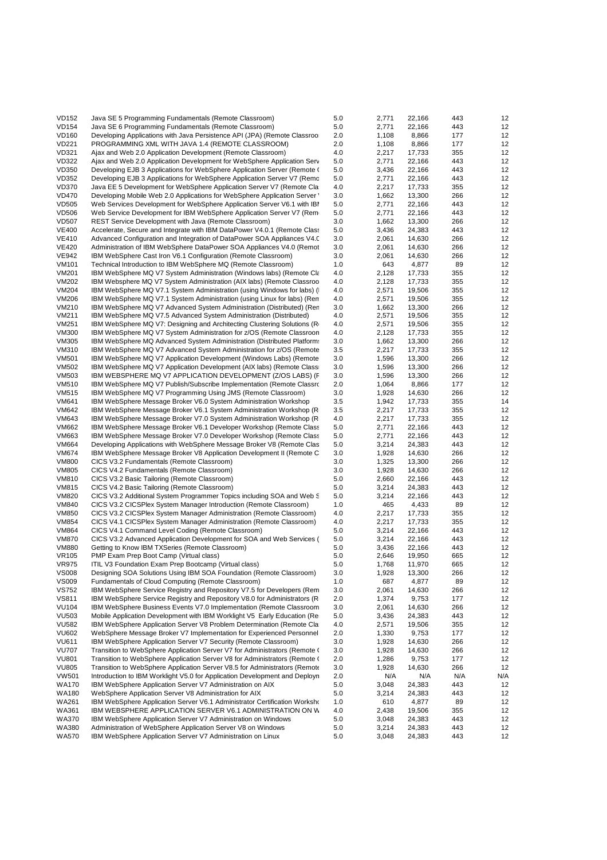| <b>VD152</b> | Java SE 5 Programming Fundamentals (Remote Classroom)                          | 5.0 | 2,771 | 22,166 | 443 | 12  |
|--------------|--------------------------------------------------------------------------------|-----|-------|--------|-----|-----|
| <b>VD154</b> | Java SE 6 Programming Fundamentals (Remote Classroom)                          | 5.0 | 2,771 | 22,166 | 443 | 12  |
| <b>VD160</b> | Developing Applications with Java Persistence API (JPA) (Remote Classroo       | 2.0 | 1,108 | 8,866  | 177 | 12  |
| <b>VD221</b> | PROGRAMMING XML WITH JAVA 1.4 (REMOTE CLASSROOM)                               | 2.0 | 1,108 | 8,866  | 177 | 12  |
| VD321        | Ajax and Web 2.0 Application Development (Remote Classroom)                    | 4.0 | 2,217 | 17,733 | 355 | 12  |
| <b>VD322</b> | Ajax and Web 2.0 Application Development for WebSphere Application Serv        | 5.0 | 2,771 | 22,166 | 443 | 12  |
| <b>VD350</b> | Developing EJB 3 Applications for WebSphere Application Server (Remote (       | 5.0 | 3,436 | 22,166 | 443 | 12  |
| <b>VD352</b> | Developing EJB 3 Applications for WebSphere Application Server V7 (Remc)       | 5.0 | 2,771 | 22,166 | 443 | 12  |
| <b>VD370</b> | Java EE 5 Development for WebSphere Application Server V7 (Remote Cla          | 4.0 | 2,217 | 17,733 | 355 | 12  |
| <b>VD470</b> | Developing Mobile Web 2.0 Applications for WebSphere Application Server        | 3.0 | 1,662 | 13,300 | 266 | 12  |
| <b>VD505</b> | Web Services Development for WebSphere Application Server V6.1 with IBI        | 5.0 | 2,771 | 22,166 | 443 | 12  |
| <b>VD506</b> | Web Service Development for IBM WebSphere Application Server V7 (Rem           | 5.0 | 2,771 | 22,166 | 443 | 12  |
| <b>VD507</b> | REST Service Development with Java (Remote Classroom)                          | 3.0 | 1,662 | 13,300 | 266 | 12  |
| <b>VE400</b> | Accelerate, Secure and Integrate with IBM DataPower V4.0.1 (Remote Class)      | 5.0 | 3,436 | 24,383 | 443 | 12  |
| <b>VE410</b> | Advanced Configuration and Integration of DataPower SOA Appliances V4.0        | 3.0 | 2,061 | 14,630 | 266 | 12  |
| <b>VE420</b> | Administration of IBM WebSphere DataPower SOA Appliances V4.0 (Remot           | 3.0 | 2,061 | 14,630 | 266 | 12  |
| <b>VE942</b> | IBM WebSphere Cast Iron V6.1 Configuration (Remote Classroom)                  | 3.0 | 2,061 | 14,630 | 266 | 12  |
| <b>VM101</b> | Technical Introduction to IBM WebSphere MQ (Remote Classroom)                  | 1.0 | 643   | 4,877  | 89  | 12  |
| <b>VM201</b> | IBM WebSphere MQ V7 System Administration (Windows labs) (Remote Clangle 1997) | 4.0 | 2,128 | 17,733 | 355 | 12  |
| <b>VM202</b> | IBM Websphere MQ V7 System Administration (AIX labs) (Remote Classroo          | 4.0 | 2,128 | 17,733 | 355 | 12  |
| <b>VM204</b> | IBM WebSphere MQ V7.1 System Administration (using Windows for labs) (         | 4.0 | 2,571 | 19,506 | 355 | 12  |
| <b>VM206</b> | IBM WebSphere MQ V7.1 System Administration (using Linux for labs) (Ren        | 4.0 | 2,571 | 19,506 | 355 | 12  |
| VM210        | IBM WebSphere MQ V7 Advanced System Administration (Distributed) (Rer          | 3.0 | 1,662 | 13,300 | 266 | 12  |
| <b>VM211</b> | IBM WebSphere MQ V7.5 Advanced System Administration (Distributed)             | 4.0 | 2,571 | 19,506 | 355 | 12  |
| <b>VM251</b> | IBM WebSphere MQ V7: Designing and Architecting Clustering Solutions (R)       | 4.0 | 2,571 | 19,506 | 355 | 12  |
| <b>VM300</b> | IBM WebSphere MQ V7 System Administration for z/OS (Remote Classroon           | 4.0 | 2,128 | 17,733 | 355 | 12  |
| VM305        | IBM WebSphere MQ Advanced System Administration (Distributed Platform:         | 3.0 | 1,662 | 13,300 | 266 | 12  |
| <b>VM310</b> | IBM WebSphere MQ V7 Advanced System Administration for z/OS (Remote            | 3.5 | 2,217 | 17,733 | 355 | 12  |
| <b>VM501</b> | IBM WebSphere MQ V7 Application Development (Windows Labs) (Remote             | 3.0 | 1,596 | 13,300 | 266 | 12  |
| VM502        | IBM WebSphere MQ V7 Application Development (AIX labs) (Remote Class           | 3.0 | 1,596 | 13,300 | 266 | 12  |
| VM503        | IBM WEBSPHERE MQ V7 APPLICATION DEVELOPMENT (Z/OS LABS) (F                     | 3.0 | 1,596 | 13,300 | 266 | 12  |
| <b>VM510</b> | IBM WebSphere MQ V7 Publish/Subscribe Implementation (Remote Classro           | 2.0 | 1,064 | 8,866  | 177 | 12  |
| <b>VM515</b> | IBM WebSphere MQ V7 Programming Using JMS (Remote Classroom)                   | 3.0 | 1,928 | 14,630 | 266 | 12  |
| <b>VM641</b> | IBM WebSphere Message Broker V6.0 System Administration Workshop               | 3.5 | 1,942 | 17,733 | 355 | 14  |
| <b>VM642</b> | IBM WebSphere Message Broker V6.1 System Administration Workshop (R)           | 3.5 | 2,217 | 17,733 | 355 | 12  |
| VM643        | IBM WebSphere Message Broker V7.0 System Administration Workshop (R)           | 4.0 | 2,217 | 17,733 | 355 | 12  |
| <b>VM662</b> | IBM WebSphere Message Broker V6.1 Developer Workshop (Remote Class)            | 5.0 | 2,771 | 22,166 | 443 | 12  |
| VM663        | IBM WebSphere Message Broker V7.0 Developer Workshop (Remote Class)            | 5.0 | 2,771 | 22,166 | 443 | 12  |
| <b>VM664</b> | Developing Applications with WebSphere Message Broker V8 (Remote Clas          | 5.0 | 3,214 | 24,383 | 443 | 12  |
| <b>VM674</b> | IBM WebSphere Message Broker V8 Application Development II (Remote C)          | 3.0 | 1,928 | 14,630 | 266 | 12  |
| <b>VM800</b> | CICS V3.2 Fundamentals (Remote Classroom)                                      | 3.0 | 1,325 | 13,300 | 266 | 12  |
| <b>VM805</b> | CICS V4.2 Fundamentals (Remote Classroom)                                      | 3.0 | 1,928 | 14,630 | 266 | 12  |
| <b>VM810</b> | CICS V3.2 Basic Tailoring (Remote Classroom)                                   | 5.0 | 2,660 | 22,166 | 443 | 12  |
| <b>VM815</b> | CICS V4.2 Basic Tailoring (Remote Classroom)                                   | 5.0 | 3,214 | 24,383 | 443 | 12  |
| <b>VM820</b> | CICS V3.2 Additional System Programmer Topics including SOA and Web 5          | 5.0 | 3,214 | 22,166 | 443 | 12  |
| <b>VM840</b> | CICS V3.2 CICSPlex System Manager Introduction (Remote Classroom)              | 1.0 | 465   | 4,433  | 89  | 12  |
| <b>VM850</b> | CICS V3.2 CICSPlex System Manager Administration (Remote Classroom)            | 4.0 | 2,217 | 17,733 | 355 | 12  |
| <b>VM854</b> | CICS V4.1 CICSPlex System Manager Administration (Remote Classroom)            | 4.0 | 2,217 | 17,733 | 355 | 12  |
| <b>VM864</b> | CICS V4.1 Command Level Coding (Remote Classroom)                              | 5.0 | 3,214 | 22,166 | 443 | 12  |
| <b>VM870</b> | CICS V3.2 Advanced Application Development for SOA and Web Services (          | 5.0 | 3,214 | 22,166 | 443 | 12  |
| <b>VM880</b> | Getting to Know IBM TXSeries (Remote Classroom)                                | 5.0 | 3,436 | 22,166 | 443 | 12  |
| <b>VR105</b> | PMP Exam Prep Boot Camp (Virtual class)                                        | 5.0 | 2,646 | 19,950 | 665 | 12  |
| <b>VR975</b> | ITIL V3 Foundation Exam Prep Bootcamp (Virtual class)                          | 5.0 | 1,768 | 11,970 | 665 | 12  |
| <b>VS008</b> | Designing SOA Solutions Using IBM SOA Foundation (Remote Classroom)            | 3.0 | 1,928 | 13,300 | 266 | 12  |
| <b>VS009</b> | Fundamentals of Cloud Computing (Remote Classroom)                             | 1.0 | 687   | 4,877  | 89  | 12  |
| <b>VS752</b> | IBM WebSphere Service Registry and Repository V7.5 for Developers (Rem         | 3.0 | 2,061 | 14,630 | 266 | 12  |
| <b>VS811</b> | IBM WebSphere Service Registry and Repository V8.0 for Administrators (R       | 2.0 | 1,374 | 9,753  | 177 | 12  |
| <b>VU104</b> | IBM WebSphere Business Events V7.0 Implementation (Remote Classroom            | 3.0 | 2,061 | 14,630 | 266 | 12  |
| <b>VU503</b> | Mobile Application Development with IBM Worklight V5 Early Education (Re       | 5.0 | 3,436 | 24,383 | 443 | 12  |
| <b>VU582</b> | IBM WebSphere Application Server V8 Problem Determination (Remote Cla          | 4.0 | 2,571 | 19,506 | 355 | 12  |
| <b>VU602</b> | WebSphere Message Broker V7 Implementation for Experienced Personnel           | 2.0 | 1,330 | 9,753  | 177 | 12  |
| <b>VU611</b> | IBM WebSphere Application Server V7 Security (Remote Classroom)                | 3.0 | 1,928 | 14,630 | 266 | 12  |
| <b>VU707</b> | Transition to WebSphere Application Server V7 for Administrators (Remote (     | 3.0 | 1,928 | 14,630 | 266 | 12  |
| <b>VU801</b> | Transition to WebSphere Application Server V8 for Administrators (Remote (     | 2.0 | 1,286 | 9,753  | 177 | 12  |
| <b>VU805</b> | Transition to WebSphere Application Server V8.5 for Administrators (Remote     | 3.0 | 1,928 | 14,630 | 266 | 12  |
| <b>VW501</b> | Introduction to IBM Worklight V5.0 for Application Development and Deployn     | 2.0 | N/A   | N/A    | N/A | N/A |
| <b>WA170</b> | IBM WebSphere Application Server V7 Administration on AIX                      | 5.0 | 3,048 | 24,383 | 443 | 12  |
| <b>WA180</b> | WebSphere Application Server V8 Administration for AIX                         | 5.0 | 3,214 | 24,383 | 443 | 12  |
| <b>WA261</b> | IBM WebSphere Application Server V6.1 Administrator Certification Worksho      | 1.0 | 610   | 4,877  | 89  | 12  |
| <b>WA361</b> | IBM WEBSPHERE APPLICATION SERVER V6.1 ADMINISTRATION ON W                      | 4.0 | 2,438 | 19,506 | 355 | 12  |
| <b>WA370</b> | IBM WebSphere Application Server V7 Administration on Windows                  | 5.0 | 3,048 | 24,383 | 443 | 12  |
| <b>WA380</b> | Administration of WebSphere Application Server V8 on Windows                   | 5.0 | 3,214 | 24,383 | 443 | 12  |
| <b>WA570</b> | IBM WebSphere Application Server V7 Administration on Linux                    | 5.0 | 3,048 | 24,383 | 443 | 12  |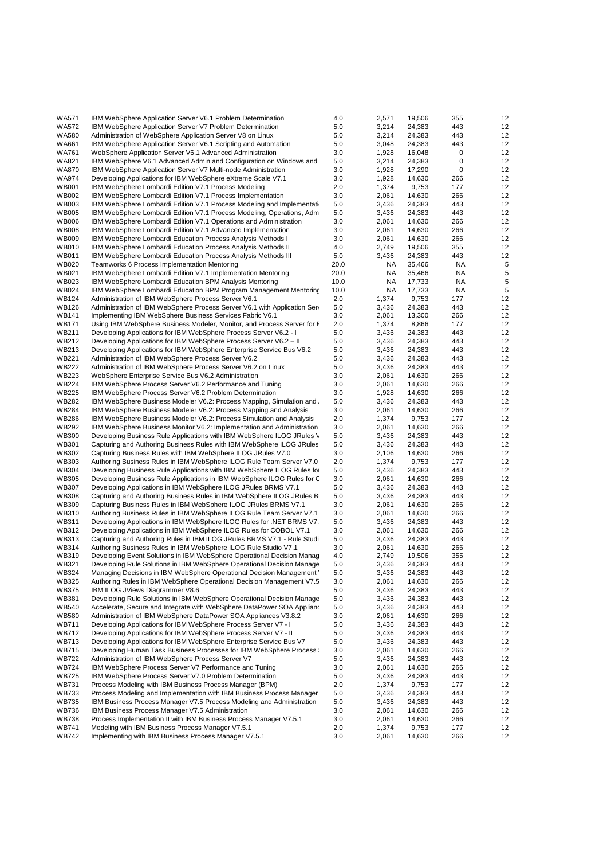| <b>WA571</b>                 | IBM WebSphere Application Server V6.1 Problem Determination                                                                             | 4.0          | 2,571          | 19,506           | 355        | 12       |
|------------------------------|-----------------------------------------------------------------------------------------------------------------------------------------|--------------|----------------|------------------|------------|----------|
| WA572                        | IBM WebSphere Application Server V7 Problem Determination                                                                               | 5.0          | 3,214          | 24,383           | 443        | 12       |
| <b>WA580</b>                 | Administration of WebSphere Application Server V8 on Linux                                                                              | 5.0          | 3,214          | 24,383           | 443        | 12       |
| <b>WA661</b>                 | IBM WebSphere Application Server V6.1 Scripting and Automation                                                                          | 5.0          | 3,048          | 24,383           | 443        | 12       |
| <b>WA761</b>                 | WebSphere Application Server V6.1 Advanced Administration                                                                               | 3.0          | 1,928          | 16,048           | 0          | 12       |
| <b>WA821</b>                 | IBM WebSphere V6.1 Advanced Admin and Configuration on Windows and                                                                      | 5.0          | 3,214          | 24,383           | 0          | 12       |
| <b>WA870</b>                 | IBM WebSphere Application Server V7 Multi-node Administration                                                                           | 3.0          | 1,928          | 17,290           | 0          | 12       |
| <b>WA974</b>                 | Developing Applications for IBM WebSphere eXtreme Scale V7.1                                                                            | 3.0          | 1,928          | 14,630           | 266        | 12       |
| <b>WB001</b>                 | IBM WebSphere Lombardi Edition V7.1 Process Modeling                                                                                    | 2.0          | 1,374          | 9,753            | 177        | 12       |
| <b>WB002</b>                 | IBM WebSphere Lombardi Edition V7.1 Process Implementation                                                                              | 3.0          | 2,061          | 14,630           | 266        | 12       |
| <b>WB003</b>                 | IBM WebSphere Lombardi Edition V7.1 Process Modeling and Implementati                                                                   | 5.0          | 3,436          | 24,383           | 443        | 12       |
| <b>WB005</b>                 | IBM WebSphere Lombardi Edition V7.1 Process Modeling, Operations, Adm                                                                   | 5.0          | 3,436          | 24,383           | 443        | 12       |
| <b>WB006</b>                 | IBM WebSphere Lombardi Edition V7.1 Operations and Administration                                                                       | 3.0          | 2,061          | 14,630           | 266        | 12       |
| <b>WB008</b>                 | IBM WebSphere Lombardi Edition V7.1 Advanced Implementation                                                                             | 3.0          | 2,061          | 14,630           | 266        | 12       |
| <b>WB009</b>                 | IBM WebSphere Lombardi Education Process Analysis Methods I                                                                             | 3.0          | 2,061          | 14,630           | 266        | 12       |
| <b>WB010</b>                 | IBM WebSphere Lombardi Education Process Analysis Methods II                                                                            | 4.0          | 2,749          | 19,506           | 355        | 12       |
| <b>WB011</b><br><b>WB020</b> | IBM WebSphere Lombardi Education Process Analysis Methods III                                                                           | 5.0          | 3,436          | 24,383           | 443        | 12       |
| WB021                        | Teamworks 6 Process Implementation Mentoring                                                                                            | 20.0<br>20.0 | NA<br>NA       | 35,466           | ΝA<br>ΝA   | 5<br>5   |
| WB023                        | IBM WebSphere Lombardi Edition V7.1 Implementation Mentoring<br>IBM WebSphere Lombardi Education BPM Analysis Mentoring                 | 10.0         | NA             | 35,466<br>17,733 | NA         | 5        |
| <b>WB024</b>                 | IBM WebSphere Lombardi Education BPM Program Management Mentoring                                                                       | 10.0         | NA             | 17,733           | ΝA         | 5        |
| <b>WB124</b>                 | Administration of IBM WebSphere Process Server V6.1                                                                                     | 2.0          | 1,374          | 9,753            | 177        | 12       |
| <b>WB126</b>                 | Administration of IBM WebSphere Process Server V6.1 with Application Ser                                                                | 5.0          | 3,436          | 24,383           | 443        | 12       |
| <b>WB141</b>                 | Implementing IBM WebSphere Business Services Fabric V6.1                                                                                | 3.0          | 2,061          | 13,300           | 266        | 12       |
| <b>WB171</b>                 | Using IBM WebSphere Business Modeler, Monitor, and Process Server for E                                                                 | 2.0          | 1,374          | 8,866            | 177        | 12       |
| <b>WB211</b>                 | Developing Applications for IBM WebSphere Process Server V6.2 - I                                                                       | 5.0          | 3,436          | 24,383           | 443        | 12       |
| <b>WB212</b>                 | Developing Applications for IBM WebSphere Process Server V6.2 - II                                                                      | 5.0          | 3,436          | 24,383           | 443        | 12       |
| WB213                        | Developing Applications for IBM WebSphere Enterprise Service Bus V6.2                                                                   | 5.0          | 3,436          | 24,383           | 443        | 12       |
| <b>WB221</b>                 | Administration of IBM WebSphere Process Server V6.2                                                                                     | 5.0          | 3,436          | 24,383           | 443        | 12       |
| <b>WB222</b>                 | Administration of IBM WebSphere Process Server V6.2 on Linux                                                                            | 5.0          | 3,436          | 24,383           | 443        | 12       |
| <b>WB223</b>                 | WebSphere Enterprise Service Bus V6.2 Administration                                                                                    | 3.0          | 2,061          | 14,630           | 266        | 12       |
| <b>WB224</b>                 | IBM WebSphere Process Server V6.2 Performance and Tuning                                                                                | 3.0          | 2,061          | 14,630           | 266        | 12       |
| <b>WB225</b>                 | IBM WebSphere Process Server V6.2 Problem Determination                                                                                 | 3.0          | 1,928          | 14,630           | 266        | 12       |
| <b>WB282</b>                 | IBM WebSphere Business Modeler V6.2: Process Mapping, Simulation and                                                                    | 5.0          | 3,436          | 24,383           | 443        | 12       |
| <b>WB284</b>                 | IBM WebSphere Business Modeler V6.2: Process Mapping and Analysis                                                                       | 3.0          | 2,061          | 14,630           | 266        | 12       |
| <b>WB286</b>                 | IBM WebSphere Business Modeler V6.2: Process Simulation and Analysis                                                                    | 2.0          | 1,374          | 9,753            | 177        | 12       |
| <b>WB292</b>                 | IBM WebSphere Business Monitor V6.2: Implementation and Administration                                                                  | 3.0          | 2,061          | 14,630           | 266        | 12       |
| <b>WB300</b>                 | Developing Business Rule Applications with IBM WebSphere ILOG JRules \                                                                  | 5.0          | 3,436          | 24,383           | 443        | 12       |
| <b>WB301</b>                 | Capturing and Authoring Business Rules with IBM WebSphere ILOG JRules                                                                   | 5.0          | 3,436          | 24,383           | 443        | 12       |
| WB302                        | Capturing Business Rules with IBM WebSphere ILOG JRules V7.0                                                                            | 3.0          | 2,106          | 14,630           | 266        | 12       |
| <b>WB303</b>                 | Authoring Business Rules in IBM WebSphere ILOG Rule Team Server V7.0                                                                    | 2.0          | 1,374          | 9,753            | 177        | 12       |
| <b>WB304</b>                 | Developing Business Rule Applications with IBM WebSphere ILOG Rules for                                                                 | 5.0          | 3,436          | 24,383           | 443        | 12       |
| <b>WB305</b>                 | Developing Business Rule Applications in IBM WebSphere ILOG Rules for C                                                                 | 3.0          | 2,061          | 14,630           | 266        | 12       |
| <b>WB307</b>                 | Developing Applications in IBM WebSphere ILOG JRules BRMS V7.1                                                                          | 5.0          | 3,436          | 24,383           | 443        | 12       |
| <b>WB308</b><br><b>WB309</b> | Capturing and Authoring Business Rules in IBM WebSphere ILOG JRules B                                                                   | 5.0<br>3.0   | 3,436<br>2,061 | 24,383<br>14,630 | 443<br>266 | 12<br>12 |
| <b>WB310</b>                 | Capturing Business Rules in IBM WebSphere ILOG JRules BRMS V7.1<br>Authoring Business Rules in IBM WebSphere ILOG Rule Team Server V7.1 | 3.0          | 2,061          | 14,630           | 266        | 12       |
| <b>WB311</b>                 | Developing Applications in IBM WebSphere ILOG Rules for .NET BRMS V7.                                                                   | 5.0          | 3,436          | 24,383           | 443        | 12       |
| WB312                        | Developing Applications in IBM WebSphere ILOG Rules for COBOL V7.1                                                                      | 3.0          | 2,061          | 14,630           | 266        | 12       |
| WB313                        | Capturing and Authoring Rules in IBM ILOG JRules BRMS V7.1 - Rule Studi                                                                 | 5.0          | 3,436          | 24,383           | 443        | 12       |
| <b>WB314</b>                 | Authoring Business Rules in IBM WebSphere ILOG Rule Studio V7.1                                                                         | 3.0          | 2,061          | 14,630           | 266        | 12       |
| <b>WB319</b>                 | Developing Event Solutions in IBM WebSphere Operational Decision Manag                                                                  | 4.0          | 2,749          | 19,506           | 355        | 12       |
| <b>WB321</b>                 | Developing Rule Solutions in IBM WebSphere Operational Decision Manage                                                                  | 5.0          | 3,436          | 24,383           | 443        | 12       |
| WB324                        | Managing Decisions in IBM WebSphere Operational Decision Management                                                                     | 5.0          | 3,436          | 24,383           | 443        | 12       |
| WB325                        | Authoring Rules in IBM WebSphere Operational Decision Management V7.5                                                                   | 3.0          | 2,061          | 14,630           | 266        | 12       |
| <b>WB375</b>                 | IBM ILOG JViews Diagrammer V8.6                                                                                                         | 5.0          | 3,436          | 24,383           | 443        | 12       |
| <b>WB381</b>                 | Developing Rule Solutions in IBM WebSphere Operational Decision Manage                                                                  | 5.0          | 3,436          | 24,383           | 443        | 12       |
| <b>WB540</b>                 | Accelerate, Secure and Integrate with WebSphere DataPower SOA Appliano                                                                  | 5.0          | 3,436          | 24,383           | 443        | 12       |
| WB580                        | Administration of IBM WebSphere DataPower SOA Appliances V3.8.2                                                                         | 3.0          | 2,061          | 14,630           | 266        | 12       |
| <b>WB711</b>                 | Developing Applications for IBM WebSphere Process Server V7 - I                                                                         | 5.0          | 3,436          | 24,383           | 443        | 12       |
| <b>WB712</b>                 | Developing Applications for IBM WebSphere Process Server V7 - II                                                                        | 5.0          | 3,436          | 24,383           | 443        | 12       |
| <b>WB713</b>                 | Developing Applications for IBM WebSphere Enterprise Service Bus V7                                                                     | 5.0          | 3,436          | 24,383           | 443        | 12       |
| <b>WB715</b>                 | Developing Human Task Business Processes for IBM WebSphere Process                                                                      | 3.0          | 2,061          | 14,630           | 266        | 12       |
| <b>WB722</b>                 | Administration of IBM WebSphere Process Server V7                                                                                       | 5.0          | 3,436          | 24,383           | 443        | 12       |
| <b>WB724</b>                 | IBM WebSphere Process Server V7 Performance and Tuning                                                                                  | 3.0          | 2,061          | 14,630           | 266        | 12       |
| <b>WB725</b>                 | IBM WebSphere Process Server V7.0 Problem Determination                                                                                 | 5.0          | 3,436          | 24,383           | 443        | 12       |
| <b>WB731</b>                 | Process Modeling with IBM Business Process Manager (BPM)                                                                                | 2.0          | 1,374          | 9,753            | 177        | 12       |
| <b>WB733</b>                 | Process Modeling and Implementation with IBM Business Process Manager                                                                   | 5.0          | 3,436          | 24,383           | 443        | 12       |
| <b>WB735</b>                 | IBM Business Process Manager V7.5 Process Modeling and Administration                                                                   | 5.0          | 3,436          | 24,383           | 443        | 12       |
| <b>WB736</b><br><b>WB738</b> | IBM Business Process Manager V7.5 Administration<br>Process Implementation II with IBM Business Process Manager V7.5.1                  | 3.0<br>3.0   | 2,061<br>2,061 | 14,630<br>14,630 | 266<br>266 | 12<br>12 |
| <b>WB741</b>                 | Modeling with IBM Business Process Manager V7.5.1                                                                                       | 2.0          | 1,374          | 9,753            | 177        | 12       |
| <b>WB742</b>                 | Implementing with IBM Business Process Manager V7.5.1                                                                                   | 3.0          | 2,061          | 14,630           | 266        | 12       |
|                              |                                                                                                                                         |              |                |                  |            |          |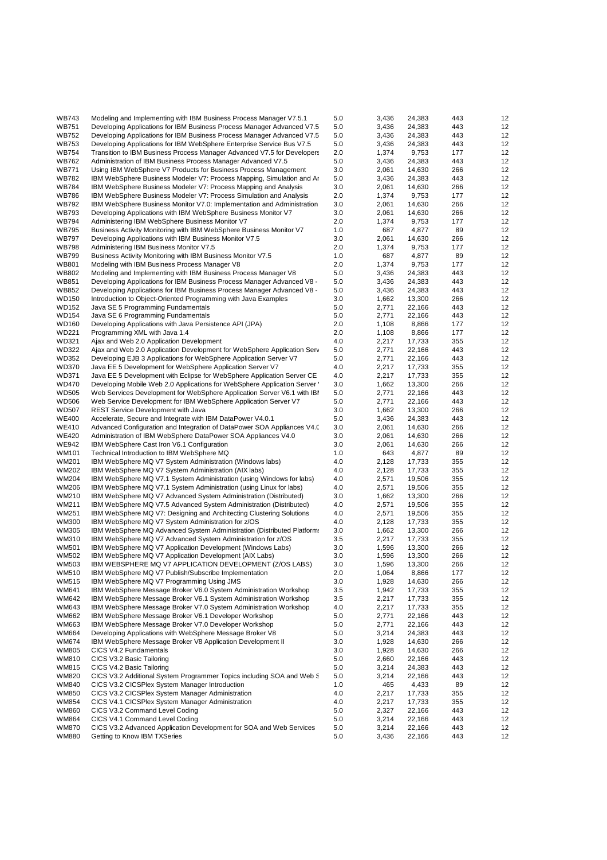| <b>WB743</b>                 | Modeling and Implementing with IBM Business Process Manager V7.5.1                                                                       | 5.0        | 3,436          | 24,383           | 443        | 12       |
|------------------------------|------------------------------------------------------------------------------------------------------------------------------------------|------------|----------------|------------------|------------|----------|
| <b>WB751</b>                 | Developing Applications for IBM Business Process Manager Advanced V7.5                                                                   | 5.0        | 3,436          | 24,383           | 443        | 12       |
| <b>WB752</b>                 | Developing Applications for IBM Business Process Manager Advanced V7.5                                                                   | 5.0        | 3,436          | 24,383           | 443        | 12       |
| <b>WB753</b>                 | Developing Applications for IBM WebSphere Enterprise Service Bus V7.5                                                                    | 5.0        | 3,436          | 24,383           | 443        | 12       |
| <b>WB754</b>                 | Transition to IBM Business Process Manager Advanced V7.5 for Developers                                                                  | 2.0        | 1,374          | 9,753            | 177        | 12       |
| <b>WB762</b>                 | Administration of IBM Business Process Manager Advanced V7.5                                                                             | 5.0        | 3,436          | 24,383           | 443        | 12       |
| <b>WB771</b>                 | Using IBM WebSphere V7 Products for Business Process Management                                                                          | 3.0        | 2,061          | 14,630           | 266        | 12       |
| <b>WB782</b>                 | IBM WebSphere Business Modeler V7: Process Mapping, Simulation and Ar                                                                    | 5.0        | 3,436          | 24,383           | 443        | 12       |
| <b>WB784</b><br><b>WB786</b> | IBM WebSphere Business Modeler V7: Process Mapping and Analysis<br>IBM WebSphere Business Modeler V7: Process Simulation and Analysis    | 3.0<br>2.0 | 2,061<br>1,374 | 14,630<br>9,753  | 266<br>177 | 12<br>12 |
| <b>WB792</b>                 | IBM WebSphere Business Monitor V7.0: Implementation and Administration                                                                   | 3.0        | 2,061          | 14,630           | 266        | 12       |
| <b>WB793</b>                 | Developing Applications with IBM WebSphere Business Monitor V7                                                                           | 3.0        | 2,061          | 14,630           | 266        | 12       |
| <b>WB794</b>                 | Administering IBM WebSphere Business Monitor V7                                                                                          | 2.0        | 1,374          | 9,753            | 177        | 12       |
| <b>WB795</b>                 | Business Activity Monitoring with IBM WebSphere Business Monitor V7                                                                      | 1.0        | 687            | 4,877            | 89         | 12       |
| <b>WB797</b>                 | Developing Applications with IBM Business Monitor V7.5                                                                                   | 3.0        | 2,061          | 14,630           | 266        | 12       |
| <b>WB798</b>                 | Administering IBM Business Monitor V7.5                                                                                                  | 2.0        | 1,374          | 9,753            | 177        | 12       |
| <b>WB799</b>                 | Business Activity Monitoring with IBM Business Monitor V7.5                                                                              | 1.0        | 687            | 4,877            | 89         | 12       |
| <b>WB801</b>                 | Modeling with IBM Business Process Manager V8                                                                                            | 2.0        | 1,374          | 9,753            | 177        | 12       |
| <b>WB802</b>                 | Modeling and Implementing with IBM Business Process Manager V8                                                                           | 5.0        | 3,436          | 24,383           | 443        | 12       |
| <b>WB851</b>                 | Developing Applications for IBM Business Process Manager Advanced V8 -                                                                   | 5.0        | 3,436          | 24,383           | 443        | 12       |
| <b>WB852</b>                 | Developing Applications for IBM Business Process Manager Advanced V8 -                                                                   | 5.0        | 3,436          | 24,383           | 443        | 12       |
| WD150<br><b>WD152</b>        | Introduction to Object-Oriented Programming with Java Examples                                                                           | 3.0        | 1,662          | 13,300           | 266<br>443 | 12<br>12 |
| <b>WD154</b>                 | Java SE 5 Programming Fundamentals<br>Java SE 6 Programming Fundamentals                                                                 | 5.0<br>5.0 | 2,771<br>2,771 | 22,166<br>22,166 | 443        | 12       |
| WD160                        | Developing Applications with Java Persistence API (JPA)                                                                                  | 2.0        | 1,108          | 8,866            | 177        | 12       |
| <b>WD221</b>                 | Programming XML with Java 1.4                                                                                                            | 2.0        | 1,108          | 8,866            | 177        | 12       |
| WD321                        | Ajax and Web 2.0 Application Development                                                                                                 | 4.0        | 2,217          | 17,733           | 355        | 12       |
| <b>WD322</b>                 | Ajax and Web 2.0 Application Development for WebSphere Application Serv                                                                  | 5.0        | 2,771          | 22,166           | 443        | 12       |
| WD352                        | Developing EJB 3 Applications for WebSphere Application Server V7                                                                        | 5.0        | 2,771          | 22,166           | 443        | 12       |
| <b>WD370</b>                 | Java EE 5 Development for WebSphere Application Server V7                                                                                | 4.0        | 2,217          | 17,733           | 355        | 12       |
| <b>WD371</b>                 | Java EE 5 Development with Eclipse for WebSphere Application Server CE                                                                   | 4.0        | 2,217          | 17,733           | 355        | 12       |
| <b>WD470</b>                 | Developing Mobile Web 2.0 Applications for WebSphere Application Server                                                                  | 3.0        | 1,662          | 13,300           | 266        | 12       |
| <b>WD505</b>                 | Web Services Development for WebSphere Application Server V6.1 with IBI                                                                  | 5.0        | 2,771          | 22,166           | 443        | 12       |
| <b>WD506</b>                 | Web Service Development for IBM WebSphere Application Server V7                                                                          | 5.0        | 2,771          | 22,166           | 443        | 12       |
| <b>WD507</b>                 | <b>REST Service Development with Java</b>                                                                                                | 3.0        | 1,662          | 13,300           | 266        | 12       |
| <b>WE400</b><br><b>WE410</b> | Accelerate, Secure and Integrate with IBM DataPower V4.0.1                                                                               | 5.0<br>3.0 | 3,436          | 24,383           | 443<br>266 | 12<br>12 |
| <b>WE420</b>                 | Advanced Configuration and Integration of DataPower SOA Appliances V4.0<br>Administration of IBM WebSphere DataPower SOA Appliances V4.0 | 3.0        | 2,061<br>2,061 | 14,630<br>14,630 | 266        | 12       |
| <b>WE942</b>                 | IBM WebSphere Cast Iron V6.1 Configuration                                                                                               | 3.0        | 2,061          | 14,630           | 266        | 12       |
| <b>WM101</b>                 | Technical Introduction to IBM WebSphere MQ                                                                                               | 1.0        | 643            | 4,877            | 89         | 12       |
| <b>WM201</b>                 | IBM WebSphere MQ V7 System Administration (Windows labs)                                                                                 | 4.0        | 2,128          | 17,733           | 355        | 12       |
| WM202                        | IBM WebSphere MQ V7 System Administration (AIX labs)                                                                                     | 4.0        | 2,128          | 17,733           | 355        | 12       |
| <b>WM204</b>                 | IBM WebSphere MQ V7.1 System Administration (using Windows for labs)                                                                     | 4.0        | 2,571          | 19,506           | 355        | 12       |
| <b>WM206</b>                 | IBM WebSphere MQ V7.1 System Administration (using Linux for labs)                                                                       | 4.0        | 2,571          | 19,506           | 355        | 12       |
| WM210                        | IBM WebSphere MQ V7 Advanced System Administration (Distributed)                                                                         | 3.0        | 1,662          | 13,300           | 266        | 12       |
| <b>WM211</b>                 | IBM WebSphere MQ V7.5 Advanced System Administration (Distributed)                                                                       | 4.0        | 2,571          | 19,506           | 355        | 12       |
| WM251                        | IBM WebSphere MQ V7: Designing and Architecting Clustering Solutions                                                                     | 4.0        | 2,571          | 19,506           | 355        | 12       |
| WM300                        | IBM WebSphere MQ V7 System Administration for z/OS                                                                                       | 4.0        | 2,128          | 17,733<br>13,300 | 355        | 12       |
| WM305<br>WM310               | IBM WebSphere MQ Advanced System Administration (Distributed Platform:                                                                   | 3.0<br>3.5 | 1,662<br>2,217 | 17,733           | 266<br>355 | 12<br>12 |
| <b>WM501</b>                 | IBM WebSphere MQ V7 Advanced System Administration for z/OS<br>IBM WebSphere MQ V7 Application Development (Windows Labs)                | 3.0        | 1,596          | 13,300           | 266        | 12       |
| <b>WM502</b>                 | IBM WebSphere MQ V7 Application Development (AIX Labs)                                                                                   | 3.0        | 1,596          | 13,300           | 266        | 12       |
| WM503                        | IBM WEBSPHERE MQ V7 APPLICATION DEVELOPMENT (Z/OS LABS)                                                                                  | 3.0        | 1,596          | 13,300           | 266        | 12       |
| WM510                        | IBM WebSphere MQ V7 Publish/Subscribe Implementation                                                                                     | 2.0        | 1,064          | 8,866            | 177        | 12       |
| WM515                        | IBM WebSphere MQ V7 Programming Using JMS                                                                                                | 3.0        | 1,928          | 14,630           | 266        | 12       |
| WM641                        | IBM WebSphere Message Broker V6.0 System Administration Workshop                                                                         | 3.5        | 1,942          | 17,733           | 355        | 12       |
| WM642                        | IBM WebSphere Message Broker V6.1 System Administration Workshop                                                                         | 3.5        | 2,217          | 17,733           | 355        | 12       |
| WM643                        | IBM WebSphere Message Broker V7.0 System Administration Workshop                                                                         | 4.0        | 2,217          | 17,733           | 355        | 12       |
| WM662                        | IBM WebSphere Message Broker V6.1 Developer Workshop                                                                                     | 5.0        | 2,771          | 22,166           | 443        | 12       |
| WM663                        | IBM WebSphere Message Broker V7.0 Developer Workshop                                                                                     | 5.0        | 2,771          | 22,166           | 443        | 12       |
| <b>WM664</b>                 | Developing Applications with WebSphere Message Broker V8                                                                                 | 5.0        | 3,214          | 24,383           | 443        | 12       |
| WM674                        | IBM WebSphere Message Broker V8 Application Development II                                                                               | 3.0        | 1,928          | 14,630           | 266        | 12       |
| WM805<br>WM810               | CICS V4.2 Fundamentals<br>CICS V3.2 Basic Tailoring                                                                                      | 3.0<br>5.0 | 1,928<br>2,660 | 14,630<br>22,166 | 266<br>443 | 12<br>12 |
| WM815                        | CICS V4.2 Basic Tailoring                                                                                                                | 5.0        | 3,214          | 24,383           | 443        | 12       |
| <b>WM820</b>                 | CICS V3.2 Additional System Programmer Topics including SOA and Web &                                                                    | 5.0        | 3,214          | 22,166           | 443        | 12       |
| WM840                        | CICS V3.2 CICSPlex System Manager Introduction                                                                                           | 1.0        | 465            | 4,433            | 89         | 12       |
| <b>WM850</b>                 | CICS V3.2 CICSPlex System Manager Administration                                                                                         | 4.0        | 2,217          | 17,733           | 355        | 12       |
| <b>WM854</b>                 | CICS V4.1 CICSPlex System Manager Administration                                                                                         | 4.0        | 2,217          | 17,733           | 355        | 12       |
| <b>WM860</b>                 | CICS V3.2 Command Level Coding                                                                                                           | 5.0        | 2,327          | 22,166           | 443        | 12       |
| WM864                        | CICS V4.1 Command Level Coding                                                                                                           | 5.0        | 3,214          | 22,166           | 443        | 12       |
| WM870                        | CICS V3.2 Advanced Application Development for SOA and Web Services                                                                      | 5.0        | 3,214          | 22,166           | 443        | 12       |
| WM880                        | Getting to Know IBM TXSeries                                                                                                             | 5.0        | 3,436          | 22,166           | 443        | 12       |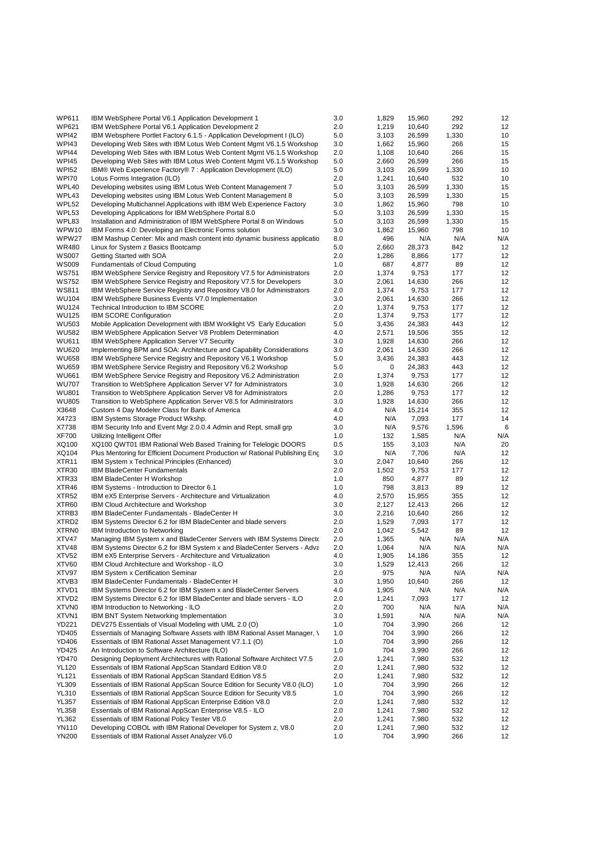| WP611             | IBM WebSphere Portal V6.1 Application Development 1                         | 3.0 | 1,829 | 15,960 | 292   | 12  |
|-------------------|-----------------------------------------------------------------------------|-----|-------|--------|-------|-----|
| <b>WP621</b>      | IBM WebSphere Portal V6.1 Application Development 2                         | 2.0 | 1,219 | 10,640 | 292   | 12  |
| <b>WPI42</b>      | IBM Websphere Portlet Factory 6.1.5 - Application Development I (ILO)       | 5.0 | 3,103 | 26,599 | 1,330 | 10  |
| WPI43             | Developing Web Sites with IBM Lotus Web Content Mgmt V6.1.5 Workshop        | 3.0 | 1,662 | 15,960 | 266   | 15  |
| <b>WPI44</b>      | Developing Web Sites with IBM Lotus Web Content Mgmt V6.1.5 Workshop        | 2.0 | 1,108 | 10,640 | 266   | 15  |
| <b>WPI45</b>      | Developing Web Sites with IBM Lotus Web Content Mgmt V6.1.5 Workshop        | 5.0 | 2,660 | 26,599 | 266   | 15  |
| <b>WPI52</b>      | IBM® Web Experience Factory® 7 : Application Development (ILO)              | 5.0 | 3,103 | 26,599 | 1,330 | 10  |
| WPI70             | Lotus Forms Integration (ILO)                                               | 2.0 | 1,241 | 10,640 | 532   | 10  |
| WPL40             | Developing websites using IBM Lotus Web Content Management 7                | 5.0 | 3,103 | 26,599 | 1,330 | 15  |
| WPL43             | Developing websites using IBM Lotus Web Content Management 8                | 5.0 | 3,103 | 26,599 | 1,330 | 15  |
| WPL52             | Developing Multichannel Applications with IBM Web Experience Factory        | 3.0 | 1,862 | 15,960 | 798   | 10  |
| WPL53             | Developing Applications for IBM WebSphere Portal 8.0                        | 5.0 | 3,103 | 26,599 | 1,330 | 15  |
| WPL83             | Installation and Administration of IBM WebSphere Portal 8 on Windows        | 5.0 | 3,103 | 26,599 | 1,330 | 15  |
| WPW10             | IBM Forms 4.0: Developing an Electronic Forms solution                      | 3.0 | 1,862 | 15,960 | 798   | 10  |
| WPW27             | IBM Mashup Center: Mix and mash content into dynamic business applicatic    | 8.0 | 496   | N/A    | N/A   | N/A |
| WR480             | Linux for System z Basics Bootcamp                                          | 5.0 | 2,660 | 28,373 | 842   | 12  |
| <b>WS007</b>      | Getting Started with SOA                                                    | 2.0 | 1,286 | 8,866  | 177   | 12  |
| <b>WS009</b>      | <b>Fundamentals of Cloud Computing</b>                                      | 1.0 | 687   | 4,877  | 89    | 12  |
| <b>WS751</b>      | IBM WebSphere Service Registry and Repository V7.5 for Administrators       | 2.0 | 1,374 | 9,753  | 177   | 12  |
| <b>WS752</b>      | IBM WebSphere Service Registry and Repository V7.5 for Developers           | 3.0 | 2,061 | 14,630 | 266   | 12  |
| <b>WS811</b>      | IBM WebSphere Service Registry and Repository V8.0 for Administrators       | 2.0 | 1,374 | 9,753  | 177   | 12  |
| <b>WU104</b>      | IBM WebSphere Business Events V7.0 Implementation                           | 3.0 | 2,061 | 14,630 | 266   | 12  |
| <b>WU124</b>      | Technical Introduction to IBM SCORE                                         | 2.0 | 1,374 | 9,753  | 177   | 12  |
| <b>WU125</b>      | <b>IBM SCORE Configuration</b>                                              | 2.0 | 1,374 | 9,753  | 177   | 12  |
| <b>WU503</b>      | Mobile Application Development with IBM Worklight V5 Early Education        | 5.0 | 3,436 | 24,383 | 443   | 12  |
| <b>WU582</b>      | IBM WebSphere Application Server V8 Problem Determination                   | 4.0 | 2,571 | 19,506 | 355   | 12  |
| <b>WU611</b>      | <b>IBM WebSphere Application Server V7 Security</b>                         | 3.0 | 1,928 | 14,630 | 266   | 12  |
| <b>WU620</b>      | Implementing BPM and SOA: Architecture and Capability Considerations        | 3.0 | 2,061 | 14,630 | 266   | 12  |
| <b>WU658</b>      | IBM WebSphere Service Registry and Repository V6.1 Workshop                 | 5.0 | 3,436 | 24,383 | 443   | 12  |
| <b>WU659</b>      | IBM WebSphere Service Registry and Repository V6.2 Workshop                 | 5.0 | 0     | 24,383 | 443   | 12  |
| <b>WU661</b>      | IBM WebSphere Service Registry and Repository V6.2 Administration           | 2.0 | 1,374 | 9,753  | 177   | 12  |
| <b>WU707</b>      | Transition to WebSphere Application Server V7 for Administrators            | 3.0 | 1,928 | 14,630 | 266   | 12  |
| <b>WU801</b>      | Transition to WebSphere Application Server V8 for Administrators            | 2.0 | 1,286 | 9,753  | 177   | 12  |
| <b>WU805</b>      | Transition to WebSphere Application Server V8.5 for Administrators          | 3.0 | 1,928 | 14,630 | 266   | 12  |
| X3648             | Custom 4 Day Modeler Class for Bank of America                              | 4.0 | N/A   | 15,214 | 355   | 12  |
| X4723             | IBM Systems Storage Product Wkshp.                                          | 4.0 | N/A   | 7,093  | 177   | 14  |
| X7738             | IBM Security Info and Event Mgr 2.0.0.4 Admin and Rept, small grp           | 3.0 | N/A   | 9,576  | 1,596 | 6   |
| <b>XF700</b>      | Utilizing Intelligent Offer                                                 | 1.0 | 132   | 1,585  | N/A   | N/A |
| XQ100             | XQ100 QWT01 IBM Rational Web Based Training for Telelogic DOORS             | 0.5 | 155   | 3,103  | N/A   | 20  |
| XQ104             | Plus Mentoring for Efficient Document Production w/ Rational Publishing Eng | 3.0 | N/A   | 7,706  | N/A   | 12  |
| XTR <sub>11</sub> | IBM System x Technical Principles (Enhanced)                                | 3.0 | 2,047 | 10,640 | 266   | 12  |
| XTR <sub>30</sub> | <b>IBM BladeCenter Fundamentals</b>                                         | 2.0 | 1,502 | 9,753  | 177   | 12  |
| XTR33             | IBM BladeCenter H Workshop                                                  | 1.0 | 850   | 4,877  | 89    | 12  |
| XTR46             | IBM Systems - Introduction to Director 6.1                                  | 1.0 | 798   | 3,813  | 89    | 12  |
| XTR52             | IBM eX5 Enterprise Servers - Architecture and Virtualization                | 4.0 | 2,570 | 15,955 | 355   | 12  |
| XTR60             | IBM Cloud Architecture and Workshop                                         | 3.0 | 2,127 | 12,413 | 266   | 12  |
| XTRB3             | IBM BladeCenter Fundamentals - BladeCenter H                                | 3.0 | 2,216 | 10,640 | 266   | 12  |
| XTRD2             | IBM Systems Director 6.2 for IBM BladeCenter and blade servers              | 2.0 | 1,529 | 7,093  | 177   | 12  |
| XTRN0             | <b>IBM Introduction to Networking</b>                                       | 2.0 | 1,042 | 5,542  | 89    | 12  |
| XTV47             | Managing IBM System x and BladeCenter Servers with IBM Systems Directo      | 2.0 | 1,365 | N/A    | N/A   | N/A |
| XTV48             | IBM Systems Director 6.2 for IBM System x and BladeCenter Servers - Adva    | 2.0 | 1,064 | N/A    | N/A   | N/A |
| XTV52             | IBM eX5 Enterprise Servers - Architecture and Virtualization                | 4.0 | 1,905 | 14,186 | 355   | 12  |
| XTV60             | IBM Cloud Architecture and Workshop - ILO                                   | 3.0 | 1,529 | 12,413 | 266   | 12  |
| XTV97             | <b>IBM System x Certification Seminar</b>                                   | 2.0 | 975   | N/A    | N/A   | N/A |
| XTVB3             | IBM BladeCenter Fundamentals - BladeCenter H                                | 3.0 | 1,950 | 10,640 | 266   | 12  |
| XTVD1             | IBM Systems Director 6.2 for IBM System x and BladeCenter Servers           | 4.0 | 1,905 | N/A    | N/A   | N/A |
| XTVD2             | IBM Systems Director 6.2 for IBM BladeCenter and blade servers - ILO        | 2.0 | 1,241 | 7,093  | 177   | 12  |
| XTVN0             | IBM Introduction to Networking - ILO                                        | 2.0 | 700   | N/A    | N/A   | N/A |
| XTVN1             | <b>IBM BNT System Networking Implementation</b>                             | 3.0 | 1,591 | N/A    | N/A   | N/A |
| <b>YD221</b>      | DEV275 Essentials of Visual Modeling with UML 2.0 (O)                       | 1.0 | 704   | 3,990  | 266   | 12  |
| YD405             | Essentials of Managing Software Assets with IBM Rational Asset Manager, \   | 1.0 | 704   | 3,990  | 266   | 12  |
| YD406             | Essentials of IBM Rational Asset Management V7.1.1 (O)                      | 1.0 | 704   | 3,990  | 266   | 12  |
| <b>YD425</b>      | An Introduction to Software Architecture (ILO)                              | 1.0 | 704   | 3,990  | 266   | 12  |
| <b>YD470</b>      | Designing Deployment Architectures with Rational Software Architect V7.5    | 2.0 | 1,241 | 7,980  | 532   | 12  |
| <b>YL120</b>      | Essentials of IBM Rational AppScan Standard Edition V8.0                    | 2.0 | 1,241 | 7,980  | 532   | 12  |
| <b>YL121</b>      | Essentials of IBM Rational AppScan Standard Edition V8.5                    | 2.0 | 1,241 | 7,980  | 532   | 12  |
| YL309             | Essentials of IBM Rational AppScan Source Edition for Security V8.0 (ILO)   | 1.0 | 704   | 3,990  | 266   | 12  |
| <b>YL310</b>      | Essentials of IBM Rational AppScan Source Edition for Security V8.5         | 1.0 | 704   | 3,990  | 266   | 12  |
| <b>YL357</b>      | Essentials of IBM Rational AppScan Enterprise Edition V8.0                  | 2.0 | 1,241 | 7,980  | 532   | 12  |
| <b>YL358</b>      | Essentials of IBM Rational AppScan Enterprise V8.5 - ILO                    | 2.0 | 1,241 | 7,980  | 532   | 12  |
| <b>YL362</b>      | Essentials of IBM Rational Policy Tester V8.0                               | 2.0 | 1,241 | 7,980  | 532   | 12  |
| YN110             | Developing COBOL with IBM Rational Developer for System z, V8.0             | 2.0 | 1,241 | 7,980  | 532   | 12  |
| <b>YN200</b>      | Essentials of IBM Rational Asset Analyzer V6.0                              | 1.0 | 704   | 3,990  | 266   | 12  |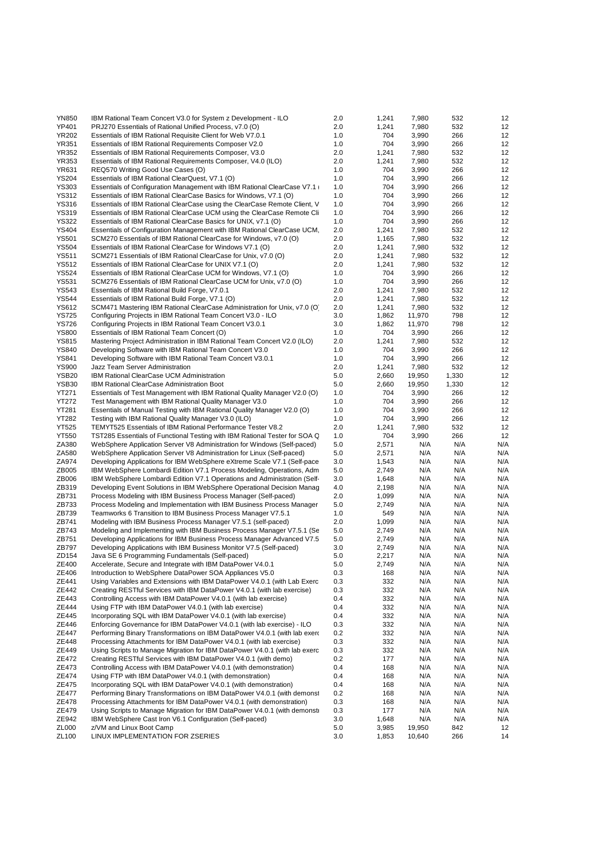| <b>YN850</b>      | IBM Rational Team Concert V3.0 for System z Development - ILO              | 2.0 | 1,241 | 7,980  | 532   | 12  |
|-------------------|----------------------------------------------------------------------------|-----|-------|--------|-------|-----|
| YP401             | PRJ270 Essentials of Rational Unified Process, v7.0 (O)                    | 2.0 | 1,241 | 7,980  | 532   | 12  |
| <b>YR202</b>      | Essentials of IBM Rational Requisite Client for Web V7.0.1                 | 1.0 | 704   | 3,990  | 266   | 12  |
| <b>YR351</b>      | Essentials of IBM Rational Requirements Composer V2.0                      | 1.0 | 704   | 3,990  | 266   | 12  |
| <b>YR352</b>      | Essentials of IBM Rational Requirements Composer, V3.0                     | 2.0 | 1,241 | 7,980  | 532   | 12  |
| YR353             | Essentials of IBM Rational Requirements Composer, V4.0 (ILO)               | 2.0 | 1,241 | 7,980  | 532   | 12  |
| <b>YR631</b>      | REQ570 Writing Good Use Cases (O)                                          | 1.0 | 704   | 3,990  | 266   | 12  |
| <b>YS204</b>      | Essentials of IBM Rational ClearQuest, V7.1 (O)                            | 1.0 | 704   | 3,990  | 266   | 12  |
| <b>YS303</b>      | Essentials of Configuration Management with IBM Rational ClearCase V7.1    | 1.0 | 704   | 3,990  | 266   | 12  |
| <b>YS312</b>      | Essentials of IBM Rational ClearCase Basics for Windows, V7.1 (O)          | 1.0 | 704   | 3,990  | 266   | 12  |
| <b>YS316</b>      | Essentials of IBM Rational ClearCase using the ClearCase Remote Client, V  | 1.0 | 704   | 3,990  | 266   | 12  |
| <b>YS319</b>      | Essentials of IBM Rational ClearCase UCM using the ClearCase Remote Cli    | 1.0 | 704   | 3,990  | 266   | 12  |
| <b>YS322</b>      | Essentials of IBM Rational ClearCase Basics for UNIX, v7.1 (O)             | 1.0 | 704   | 3,990  | 266   | 12  |
| <b>YS404</b>      | Essentials of Configuration Management with IBM Rational ClearCase UCM.    | 2.0 | 1,241 | 7,980  | 532   | 12  |
| <b>YS501</b>      | SCM270 Essentials of IBM Rational ClearCase for Windows, v7.0 (O)          | 2.0 | 1,165 | 7,980  | 532   | 12  |
| <b>YS504</b>      | Essentials of IBM Rational ClearCase for Windows V7.1 (O)                  | 2.0 | 1,241 | 7,980  | 532   | 12  |
| <b>YS511</b>      | SCM271 Essentials of IBM Rational ClearCase for Unix, v7.0 (O)             | 2.0 | 1,241 | 7,980  | 532   | 12  |
| <b>YS512</b>      | Essentials of IBM Rational ClearCase for UNIX V7.1 (O)                     | 2.0 | 1,241 | 7,980  | 532   | 12  |
| <b>YS524</b>      | Essentials of IBM Rational ClearCase UCM for Windows, V7.1 (O)             | 1.0 | 704   | 3,990  | 266   | 12  |
| <b>YS531</b>      | SCM276 Essentials of IBM Rational ClearCase UCM for Unix, v7.0 (O)         | 1.0 | 704   | 3,990  | 266   | 12  |
| <b>YS543</b>      | Essentials of IBM Rational Build Forge, V7.0.1                             | 2.0 | 1,241 | 7,980  | 532   | 12  |
| <b>YS544</b>      | Essentials of IBM Rational Build Forge, V7.1 (O)                           | 2.0 | 1,241 | 7,980  | 532   | 12  |
| <b>YS612</b>      | SCM471 Mastering IBM Rational ClearCase Administration for Unix, v7.0 (O   | 2.0 | 1,241 | 7,980  | 532   | 12  |
| <b>YS725</b>      | Configuring Projects in IBM Rational Team Concert V3.0 - ILO               | 3.0 | 1,862 | 11,970 | 798   | 12  |
| <b>YS726</b>      | Configuring Projects in IBM Rational Team Concert V3.0.1                   | 3.0 | 1,862 | 11,970 | 798   | 12  |
| <b>YS800</b>      | Essentials of IBM Rational Team Concert (O)                                | 1.0 | 704   | 3,990  | 266   | 12  |
| <b>YS815</b>      | Mastering Project Administration in IBM Rational Team Concert V2.0 (ILO)   | 2.0 | 1,241 | 7,980  | 532   | 12  |
| <b>YS840</b>      | Developing Software with IBM Rational Team Concert V3.0                    | 1.0 | 704   | 3,990  | 266   | 12  |
| <b>YS841</b>      | Developing Software with IBM Rational Team Concert V3.0.1                  | 1.0 | 704   | 3,990  | 266   | 12  |
| <b>YS900</b>      | Jazz Team Server Administration                                            | 2.0 | 1,241 | 7,980  | 532   | 12  |
| YSB <sub>20</sub> | IBM Rational ClearCase UCM Administration                                  | 5.0 | 2,660 | 19,950 | 1,330 | 12  |
| <b>YSB30</b>      | <b>IBM Rational ClearCase Administration Boot</b>                          | 5.0 | 2,660 | 19,950 | 1,330 | 12  |
| <b>YT271</b>      | Essentials of Test Management with IBM Rational Quality Manager V2.0 (O)   | 1.0 | 704   | 3,990  | 266   | 12  |
| <b>YT272</b>      | Test Management with IBM Rational Quality Manager V3.0                     | 1.0 | 704   | 3,990  | 266   | 12  |
| YT281             | Essentials of Manual Testing with IBM Rational Quality Manager V2.0 (O)    | 1.0 | 704   | 3,990  | 266   | 12  |
| <b>YT282</b>      | Testing with IBM Rational Quality Manager V3.0 (ILO)                       | 1.0 | 704   | 3,990  | 266   | 12  |
| <b>YT525</b>      | TEMYT525 Essentials of IBM Rational Performance Tester V8.2                | 2.0 | 1,241 | 7,980  | 532   | 12  |
| <b>YT550</b>      | TST285 Essentials of Functional Testing with IBM Rational Tester for SOA G | 1.0 | 704   | 3,990  | 266   | 12  |
| ZA380             | WebSphere Application Server V8 Administration for Windows (Self-paced)    | 5.0 | 2,571 | N/A    | N/A   | N/A |
| ZA580             | WebSphere Application Server V8 Administration for Linux (Self-paced)      | 5.0 | 2,571 | N/A    | N/A   | N/A |
| ZA974             | Developing Applications for IBM WebSphere eXtreme Scale V7.1 (Self-pace    | 3.0 | 1,543 | N/A    | N/A   | N/A |
| ZB005             | IBM WebSphere Lombardi Edition V7.1 Process Modeling, Operations, Adm      | 5.0 | 2,749 | N/A    | N/A   | N/A |
| ZB006             | IBM WebSphere Lombardi Edition V7.1 Operations and Administration (Self-   | 3.0 | 1,648 | N/A    | N/A   | N/A |
| ZB319             | Developing Event Solutions in IBM WebSphere Operational Decision Manag     | 4.0 | 2,198 | N/A    | N/A   | N/A |
| ZB731             | Process Modeling with IBM Business Process Manager (Self-paced)            | 2.0 | 1,099 | N/A    | N/A   | N/A |
| ZB733             | Process Modeling and Implementation with IBM Business Process Manager      | 5.0 | 2,749 | N/A    | N/A   | N/A |
| ZB739             | Teamworks 6 Transition to IBM Business Process Manager V7.5.1              | 1.0 | 549   | N/A    | N/A   | N/A |
| ZB741             | Modeling with IBM Business Process Manager V7.5.1 (self-paced)             | 2.0 | 1,099 | N/A    | N/A   | N/A |
| ZB743             | Modeling and Implementing with IBM Business Process Manager V7.5.1 (Se     | 5.0 | 2,749 | N/A    | N/A   | N/A |
| ZB751             | Developing Applications for IBM Business Process Manager Advanced V7.5     | 5.0 | 2,749 | N/A    | N/A   | N/A |
| ZB797             | Developing Applications with IBM Business Monitor V7.5 (Self-paced)        | 3.0 | 2,749 | N/A    | N/A   | N/A |
| ZD154             | Java SE 6 Programming Fundamentals (Self-paced)                            | 5.0 | 2,217 | N/A    | N/A   | N/A |
| ZE400             | Accelerate, Secure and Integrate with IBM DataPower V4.0.1                 | 5.0 | 2,749 | N/A    | N/A   | N/A |
| ZE406             | Introduction to WebSphere DataPower SOA Appliances V5.0                    | 0.3 | 168   | N/A    | N/A   | N/A |
| ZE441             | Using Variables and Extensions with IBM DataPower V4.0.1 (with Lab Exerc   | 0.3 | 332   | N/A    | N/A   | N/A |
| ZE442             | Creating RESTful Services with IBM DataPower V4.0.1 (with lab exercise)    | 0.3 | 332   | N/A    | N/A   | N/A |
| ZE443             | Controlling Access with IBM DataPower V4.0.1 (with lab exercise)           | 0.4 | 332   | N/A    | N/A   | N/A |
| ZE444             | Using FTP with IBM DataPower V4.0.1 (with lab exercise)                    | 0.4 | 332   | N/A    | N/A   | N/A |
| ZE445             | Incorporating SQL with IBM DataPower V4.0.1 (with lab exercise)            | 0.4 | 332   | N/A    | N/A   | N/A |
| ZE446             | Enforcing Governance for IBM DataPower V4.0.1 (with lab exercise) - ILO    | 0.3 | 332   | N/A    | N/A   | N/A |
| ZE447             | Performing Binary Transformations on IBM DataPower V4.0.1 (with lab exero  | 0.2 | 332   | N/A    | N/A   | N/A |
| ZE448             | Processing Attachments for IBM DataPower V4.0.1 (with lab exercise)        | 0.3 | 332   | N/A    | N/A   | N/A |
| ZE449             | Using Scripts to Manage Migration for IBM DataPower V4.0.1 (with lab exerc | 0.3 | 332   | N/A    | N/A   | N/A |
| ZE472             | Creating RESTful Services with IBM DataPower V4.0.1 (with demo)            | 0.2 | 177   | N/A    | N/A   | N/A |
| ZE473             | Controlling Access with IBM DataPower V4.0.1 (with demonstration)          | 0.4 | 168   | N/A    | N/A   | N/A |
| ZE474             | Using FTP with IBM DataPower V4.0.1 (with demonstration)                   | 0.4 | 168   | N/A    | N/A   | N/A |
| ZE475             | Incorporating SQL with IBM DataPower V4.0.1 (with demonstration)           | 0.4 | 168   | N/A    | N/A   | N/A |
| ZE477             | Performing Binary Transformations on IBM DataPower V4.0.1 (with demonst    | 0.2 | 168   | N/A    | N/A   | N/A |
| ZE478             | Processing Attachments for IBM DataPower V4.0.1 (with demonstration)       | 0.3 | 168   | N/A    | N/A   | N/A |
| ZE479             | Using Scripts to Manage Migration for IBM DataPower V4.0.1 (with demonst   | 0.3 | 177   | N/A    | N/A   | N/A |
| ZE942             | IBM WebSphere Cast Iron V6.1 Configuration (Self-paced)                    | 3.0 | 1,648 | N/A    | N/A   | N/A |
| ZL000             | z/VM and Linux Boot Camp                                                   | 5.0 | 3,985 | 19,950 | 842   | 12  |
| ZL100             | LINUX IMPLEMENTATION FOR ZSERIES                                           | 3.0 | 1,853 | 10,640 | 266   | 14  |